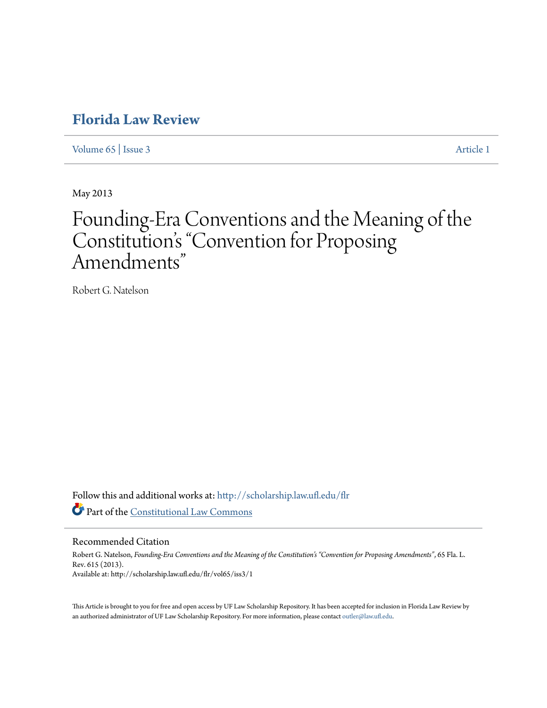## **[Florida Law Review](http://scholarship.law.ufl.edu/flr?utm_source=scholarship.law.ufl.edu%2Fflr%2Fvol65%2Fiss3%2F1&utm_medium=PDF&utm_campaign=PDFCoverPages)**

[Volume 65](http://scholarship.law.ufl.edu/flr/vol65?utm_source=scholarship.law.ufl.edu%2Fflr%2Fvol65%2Fiss3%2F1&utm_medium=PDF&utm_campaign=PDFCoverPages) | [Issue 3](http://scholarship.law.ufl.edu/flr/vol65/iss3?utm_source=scholarship.law.ufl.edu%2Fflr%2Fvol65%2Fiss3%2F1&utm_medium=PDF&utm_campaign=PDFCoverPages) [Article 1](http://scholarship.law.ufl.edu/flr/vol65/iss3/1?utm_source=scholarship.law.ufl.edu%2Fflr%2Fvol65%2Fiss3%2F1&utm_medium=PDF&utm_campaign=PDFCoverPages)

May 2013

# Founding-Era Conventions and the Meaning of the Constitution's "Convention for Proposing Amendments "

Robert G. Natelson

Follow this and additional works at: [http://scholarship.law.ufl.edu/flr](http://scholarship.law.ufl.edu/flr?utm_source=scholarship.law.ufl.edu%2Fflr%2Fvol65%2Fiss3%2F1&utm_medium=PDF&utm_campaign=PDFCoverPages) Part of the [Constitutional Law Commons](http://network.bepress.com/hgg/discipline/589?utm_source=scholarship.law.ufl.edu%2Fflr%2Fvol65%2Fiss3%2F1&utm_medium=PDF&utm_campaign=PDFCoverPages)

### Recommended Citation

Robert G. Natelson, *Founding-Era Conventions and the Meaning of the Constitution's "Convention for Proposing Amendments"*, 65 Fla. L. Rev. 615 (2013). Available at: http://scholarship.law.ufl.edu/flr/vol65/iss3/1

This Article is brought to you for free and open access by UF Law Scholarship Repository. It has been accepted for inclusion in Florida Law Review by an authorized administrator of UF Law Scholarship Repository. For more information, please contact [outler@law.ufl.edu](mailto:outler@law.ufl.edu).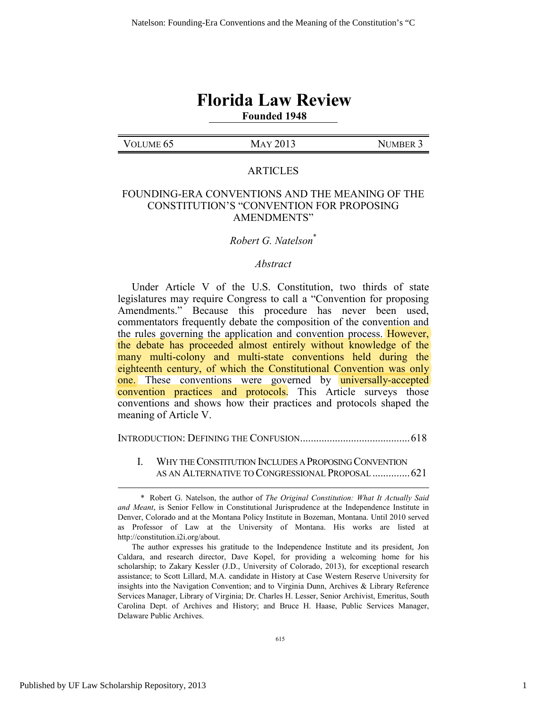## **Florida Law Review Founded 1948**

## VOLUME 65 MAY 2013 NUMBER 3

### ARTICLES

### FOUNDING-ERA CONVENTIONS AND THE MEANING OF THE CONSTITUTION'S "CONVENTION FOR PROPOSING AMENDMENTS"

### *Robert G. Natelson*\*

### *Abstract*

Under Article V of the U.S. Constitution, two thirds of state legislatures may require Congress to call a "Convention for proposing Amendments." Because this procedure has never been used, commentators frequently debate the composition of the convention and the rules governing the application and convention process. However, the debate has proceeded almost entirely without knowledge of the many multi-colony and multi-state conventions held during the eighteenth century, of which the Constitutional Convention was only one. These conventions were governed by universally-accepted convention practices and protocols. This Article surveys those conventions and shows how their practices and protocols shaped the meaning of Article V.

INTRODUCTION: DEFINING THE CONFUSION......................................... 618

 I. WHY THE CONSTITUTION INCLUDES A PROPOSING CONVENTION AS AN ALTERNATIVE TO CONGRESSIONAL PROPOSAL .............. 621

 <sup>\*</sup> Robert G. Natelson, the author of *The Original Constitution: What It Actually Said and Meant*, is Senior Fellow in Constitutional Jurisprudence at the Independence Institute in Denver, Colorado and at the Montana Policy Institute in Bozeman, Montana. Until 2010 served as Professor of Law at the University of Montana. His works are listed at http://constitution.i2i.org/about.

The author expresses his gratitude to the Independence Institute and its president, Jon Caldara, and research director, Dave Kopel, for providing a welcoming home for his scholarship; to Zakary Kessler (J.D., University of Colorado, 2013), for exceptional research assistance; to Scott Lillard, M.A. candidate in History at Case Western Reserve University for insights into the Navigation Convention; and to Virginia Dunn, Archives & Library Reference Services Manager, Library of Virginia; Dr. Charles H. Lesser, Senior Archivist, Emeritus, South Carolina Dept. of Archives and History; and Bruce H. Haase, Public Services Manager, Delaware Public Archives.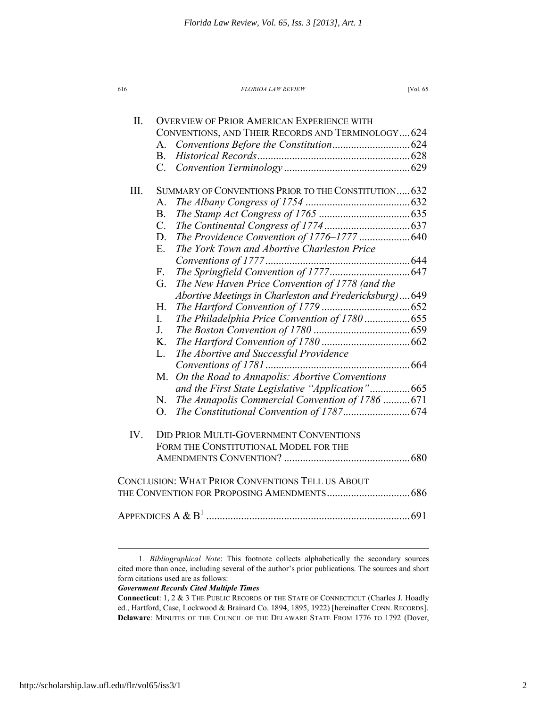II. OVERVIEW OF PRIOR AMERICAN EXPERIENCE WITH

|      |                                                      | CONVENTIONS, AND THEIR RECORDS AND TERMINOLOGY624       |  |
|------|------------------------------------------------------|---------------------------------------------------------|--|
|      | $A_{-}$                                              |                                                         |  |
|      | B.                                                   |                                                         |  |
|      | C.                                                   |                                                         |  |
| III. | SUMMARY OF CONVENTIONS PRIOR TO THE CONSTITUTION 632 |                                                         |  |
|      | A.                                                   |                                                         |  |
|      | <b>B.</b>                                            |                                                         |  |
|      | $C_{\cdot}$                                          |                                                         |  |
|      | D.                                                   | The Providence Convention of 1776-1777  640             |  |
|      | Ε.                                                   | The York Town and Abortive Charleston Price             |  |
|      |                                                      |                                                         |  |
|      | F.                                                   |                                                         |  |
|      | G.                                                   | The New Haven Price Convention of 1778 (and the         |  |
|      |                                                      | Abortive Meetings in Charleston and Fredericksburg) 649 |  |
|      | Η.                                                   |                                                         |  |
|      | I.                                                   | The Philadelphia Price Convention of 1780  655          |  |
|      | J.                                                   |                                                         |  |
|      | K.                                                   |                                                         |  |
|      | L.                                                   | The Abortive and Successful Providence                  |  |
|      |                                                      |                                                         |  |
|      | M.                                                   | On the Road to Annapolis: Abortive Conventions          |  |
|      |                                                      | and the First State Legislative "Application" 665       |  |
|      | N.                                                   | The Annapolis Commercial Convention of 1786  671        |  |
|      | O <sub>1</sub>                                       |                                                         |  |
| IV.  | <b>DID PRIOR MULTI-GOVERNMENT CONVENTIONS</b>        |                                                         |  |
|      | FORM THE CONSTITUTIONAL MODEL FOR THE                |                                                         |  |
|      |                                                      |                                                         |  |
|      |                                                      | <b>CONCLUSION: WHAT PRIOR CONVENTIONS TELL US ABOUT</b> |  |
|      |                                                      |                                                         |  |
|      |                                                      |                                                         |  |
|      |                                                      |                                                         |  |

### *Government Records Cited Multiple Times*

 <sup>1</sup>*. Bibliographical Note*: This footnote collects alphabetically the secondary sources cited more than once, including several of the author's prior publications. The sources and short form citations used are as follows:

**Connecticut**: 1, 2 & 3 THE PUBLIC RECORDS OF THE STATE OF CONNECTICUT (Charles J. Hoadly ed., Hartford, Case, Lockwood & Brainard Co. 1894, 1895, 1922) [hereinafter CONN. RECORDS]. **Delaware**: MINUTES OF THE COUNCIL OF THE DELAWARE STATE FROM 1776 TO 1792 (Dover,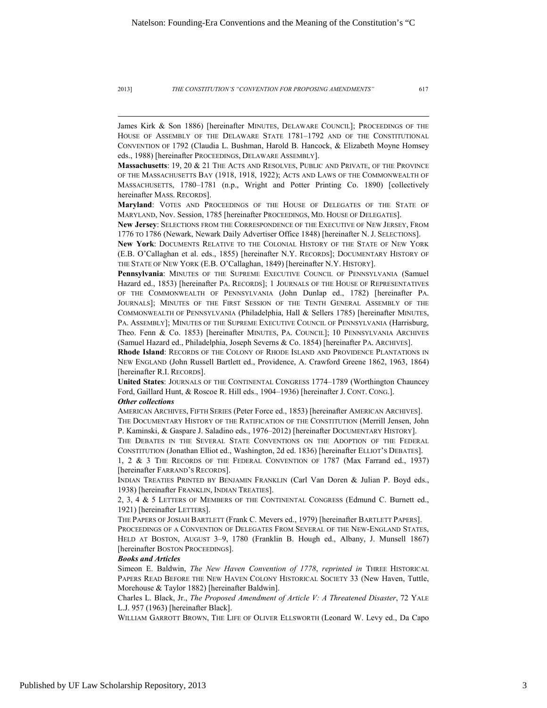$\overline{a}$ 

James Kirk & Son 1886) [hereinafter MINUTES, DELAWARE COUNCIL]; PROCEEDINGS OF THE HOUSE OF ASSEMBLY OF THE DELAWARE STATE 1781–1792 AND OF THE CONSTITUTIONAL CONVENTION OF 1792 (Claudia L. Bushman, Harold B. Hancock, & Elizabeth Moyne Homsey eds., 1988) [hereinafter PROCEEDINGS, DELAWARE ASSEMBLY].

**Massachusetts**: 19, 20 & 21 THE ACTS AND RESOLVES, PUBLIC AND PRIVATE, OF THE PROVINCE OF THE MASSACHUSETTS BAY (1918, 1918, 1922); ACTS AND LAWS OF THE COMMONWEALTH OF MASSACHUSETTS, 1780–1781 (n.p., Wright and Potter Printing Co. 1890) [collectively hereinafter MASS. RECORDS].

**Maryland**: VOTES AND PROCEEDINGS OF THE HOUSE OF DELEGATES OF THE STATE OF MARYLAND, Nov. Session, 1785 [hereinafter PROCEEDINGS, MD. HOUSE OF DELEGATES].

**New Jersey**: SELECTIONS FROM THE CORRESPONDENCE OF THE EXECUTIVE OF NEW JERSEY, FROM 1776 TO 1786 (Newark, Newark Daily Advertiser Office 1848) [hereinafter N. J. SELECTIONS].

**New York**: DOCUMENTS RELATIVE TO THE COLONIAL HISTORY OF THE STATE OF NEW YORK (E.B. O'Callaghan et al. eds., 1855) [hereinafter N.Y. RECORDS]; DOCUMENTARY HISTORY OF THE STATE OF NEW YORK (E.B. O'Callaghan, 1849) [hereinafter N.Y. HISTORY].

Pennsylvania: MINUTES OF THE SUPREME EXECUTIVE COUNCIL OF PENNSYLVANIA (Samuel Hazard ed., 1853) [hereinafter PA. RECORDS]; 1 JOURNALS OF THE HOUSE OF REPRESENTATIVES OF THE COMMONWEALTH OF PENNSYLVANIA (John Dunlap ed., 1782) [hereinafter PA. JOURNALS]; MINUTES OF THE FIRST SESSION OF THE TENTH GENERAL ASSEMBLY OF THE COMMONWEALTH OF PENNSYLVANIA (Philadelphia, Hall & Sellers 1785) [hereinafter MINUTES, PA. ASSEMBLY]; MINUTES OF THE SUPREME EXECUTIVE COUNCIL OF PENNSYLVANIA (Harrisburg, Theo. Fenn & Co. 1853) [hereinafter MINUTES, PA. COUNCIL]; 10 PENNSYLVANIA ARCHIVES (Samuel Hazard ed., Philadelphia, Joseph Severns & Co. 1854) [hereinafter PA. ARCHIVES].

**Rhode Island**: RECORDS OF THE COLONY OF RHODE ISLAND AND PROVIDENCE PLANTATIONS IN NEW ENGLAND (John Russell Bartlett ed., Providence, A. Crawford Greene 1862, 1963, 1864) [hereinafter R.I. RECORDS].

**United States**: JOURNALS OF THE CONTINENTAL CONGRESS 1774–1789 (Worthington Chauncey Ford, Gaillard Hunt, & Roscoe R. Hill eds., 1904–1936) [hereinafter J. CONT. CONG.]. *Other collections* 

AMERICAN ARCHIVES, FIFTH SERIES (Peter Force ed., 1853) [hereinafter AMERICAN ARCHIVES]. THE DOCUMENTARY HISTORY OF THE RATIFICATION OF THE CONSTITUTION (Merrill Jensen, John P. Kaminski, & Gaspare J. Saladino eds., 1976–2012) [hereinafter DOCUMENTARY HISTORY].

THE DEBATES IN THE SEVERAL STATE CONVENTIONS ON THE ADOPTION OF THE FEDERAL CONSTITUTION (Jonathan Elliot ed., Washington, 2d ed. 1836) [hereinafter ELLIOT'S DEBATES].

1, 2 & 3 THE RECORDS OF THE FEDERAL CONVENTION OF 1787 (Max Farrand ed., 1937) [hereinafter FARRAND'S RECORDS].

INDIAN TREATIES PRINTED BY BENJAMIN FRANKLIN (Carl Van Doren & Julian P. Boyd eds., 1938) [hereinafter FRANKLIN, INDIAN TREATIES].

2, 3, 4 & 5 LETTERS OF MEMBERS OF THE CONTINENTAL CONGRESS (Edmund C. Burnett ed., 1921) [hereinafter LETTERS].

THE PAPERS OF JOSIAH BARTLETT (Frank C. Mevers ed., 1979) [hereinafter BARTLETT PAPERS]. PROCEEDINGS OF A CONVENTION OF DELEGATES FROM SEVERAL OF THE NEW-ENGLAND STATES, HELD AT BOSTON, AUGUST 3–9, 1780 (Franklin B. Hough ed., Albany, J. Munsell 1867) [hereinafter BOSTON PROCEEDINGS].

### *Books and Articles*

Simeon E. Baldwin, *The New Haven Convention of 1778*, *reprinted in* THREE HISTORICAL PAPERS READ BEFORE THE NEW HAVEN COLONY HISTORICAL SOCIETY 33 (New Haven, Tuttle, Morehouse & Taylor 1882) [hereinafter Baldwin].

Charles L. Black, Jr., *The Proposed Amendment of Article V: A Threatened Disaster*, 72 YALE L.J. 957 (1963) [hereinafter Black].

WILLIAM GARROTT BROWN, THE LIFE OF OLIVER ELLSWORTH (Leonard W. Levy ed., Da Capo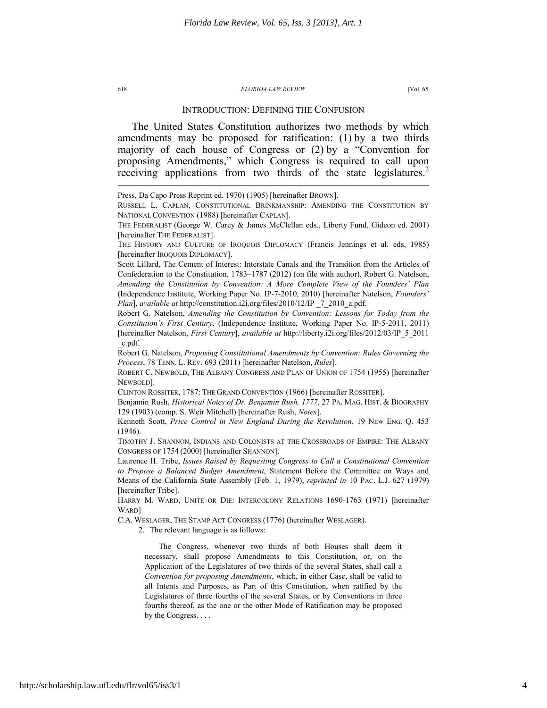### INTRODUCTION: DEFINING THE CONFUSION

The United States Constitution authorizes two methods by which amendments may be proposed for ratification: (1) by a two thirds majority of each house of Congress or (2) by a "Convention for proposing Amendments," which Congress is required to call upon receiving applications from two thirds of the state legislatures.<sup>2</sup>

Scott Lillard, The Cement of Interest: Interstate Canals and the Transition from the Articles of Confederation to the Constitution, 1783–1787 (2012) (on file with author). Robert G. Natelson, *Amending the Constitution by Convention: A More Complete View of the Founders' Plan*  (Independence Institute, Working Paper No. IP-7-2010, 2010) [hereinafter Natelson, *Founders' Plan*], *available at* http://constitution.i2i.org/files/2010/12/IP \_7\_2010\_a.pdf.

Robert G. Natelson, *Amending the Constitution by Convention: Lessons for Today from the Constitution's First Century*, (Independence Institute, Working Paper No. IP-5-2011, 2011) [hereinafter Natelson, *First Century*], *available at* http://liberty.i2i.org/files/2012/03/IP\_5\_2011 \_c.pdf.

Robert G. Natelson, *Proposing Constitutional Amendments by Convention: Rules Governing the Process*, 78 TENN. L. REV. 693 (2011) [hereinafter Natelson, *Rules*].

ROBERT C. NEWBOLD, THE ALBANY CONGRESS AND PLAN OF UNION OF 1754 (1955) [hereinafter NEWBOLD].

CLINTON ROSSITER, 1787: THE GRAND CONVENTION (1966) [hereinafter ROSSITER].

Benjamin Rush, *Historical Notes of Dr. Benjamin Rush, 1777*, 27 PA. MAG. HIST. & BIOGRAPHY 129 (1903) (comp. S. Weir Mitchell) [hereinafter Rush, *Notes*].

Kenneth Scott, *Price Control in New England During the Revolution*, 19 NEW ENG. Q. 453 (1946).

TIMOTHY J. SHANNON, INDIANS AND COLONISTS AT THE CROSSROADS OF EMPIRE: THE ALBANY CONGRESS OF 1754 (2000) [hereinafter SHANNON].

Laurence H. Tribe, *Issues Raised by Requesting Congress to Call a Constitutional Convention to Propose a Balanced Budget Amendment*, Statement Before the Committee on Ways and Means of the California State Assembly (Feb. 1, 1979), *reprinted in* 10 PAC. L.J. 627 (1979) [hereinafter Tribe].

HARRY M. WARD, UNITE OR DIE: INTERCOLONY RELATIONS 1690-1763 (1971) [hereinafter WARD]

C.A. WESLAGER, THE STAMP ACT CONGRESS (1776) (hereinafter WESLAGER).

2. The relevant language is as follows:

The Congress, whenever two thirds of both Houses shall deem it necessary, shall propose Amendments to this Constitution, or, on the Application of the Legislatures of two thirds of the several States, shall call a *Convention for proposing Amendments*, which, in either Case, shall be valid to all Intents and Purposes, as Part of this Constitution, when ratified by the Legislatures of three fourths of the several States, or by Conventions in three fourths thereof, as the one or the other Mode of Ratification may be proposed by the Congress. . . .

Press, Da Capo Press Reprint ed. 1970) (1905) [hereinafter BROWN].

RUSSELL L. CAPLAN, CONSTITUTIONAL BRINKMANSHIP: AMENDING THE CONSTITUTION BY NATIONAL CONVENTION (1988) [hereinafter CAPLAN].

THE FEDERALIST (George W. Carey & James McClellan eds., Liberty Fund, Gideon ed. 2001) [hereinafter THE FEDERALIST].

THE HISTORY AND CULTURE OF IROQUOIS DIPLOMACY (Francis Jennings et al. eds, 1985) [hereinafter IROQUOIS DIPLOMACY].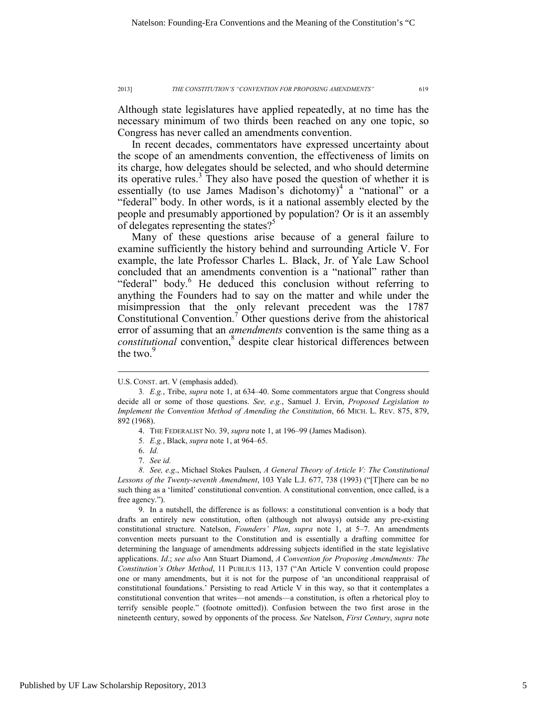Although state legislatures have applied repeatedly, at no time has the necessary minimum of two thirds been reached on any one topic, so Congress has never called an amendments convention.

In recent decades, commentators have expressed uncertainty about the scope of an amendments convention, the effectiveness of limits on its charge, how delegates should be selected, and who should determine its operative rules.<sup>3</sup> They also have posed the question of whether it is essentially (to use James Madison's dichotomy)<sup>4</sup> a "national" or a "federal" body. In other words, is it a national assembly elected by the people and presumably apportioned by population? Or is it an assembly of delegates representing the states?<sup>5</sup>

Many of these questions arise because of a general failure to examine sufficiently the history behind and surrounding Article V. For example, the late Professor Charles L. Black, Jr. of Yale Law School concluded that an amendments convention is a "national" rather than "federal" body.<sup>6</sup> He deduced this conclusion without referring to anything the Founders had to say on the matter and while under the misimpression that the only relevant precedent was the 1787 Constitutional Convention.<sup>7</sup> Other questions derive from the ahistorical error of assuming that an *amendments* convention is the same thing as a *constitutional* convention,<sup>8</sup> despite clear historical differences between the two. $9$ 

 $\overline{a}$ 

 9. In a nutshell, the difference is as follows: a constitutional convention is a body that drafts an entirely new constitution, often (although not always) outside any pre-existing constitutional structure. Natelson, *Founders' Plan*, *supra* note 1, at 5–7. An amendments convention meets pursuant to the Constitution and is essentially a drafting committee for determining the language of amendments addressing subjects identified in the state legislative applications. *Id*.; *see also* Ann Stuart Diamond, *A Convention for Proposing Amendments: The Constitution's Other Method*, 11 PUBLIUS 113, 137 ("An Article V convention could propose one or many amendments, but it is not for the purpose of 'an unconditional reappraisal of constitutional foundations.' Persisting to read Article V in this way, so that it contemplates a constitutional convention that writes—not amends—a constitution, is often a rhetorical ploy to terrify sensible people." (footnote omitted)). Confusion between the two first arose in the nineteenth century, sowed by opponents of the process. *See* Natelson, *First Century*, *supra* note

U.S. CONST. art. V (emphasis added).

<sup>3</sup>*. E.g.*, Tribe, *supra* note 1, at 634–40. Some commentators argue that Congress should decide all or some of those questions. *See, e.g.*, Samuel J. Ervin, *Proposed Legislation to Implement the Convention Method of Amending the Constitution*, 66 MICH. L. REV. 875, 879, 892 (1968).

 <sup>4.</sup> THE FEDERALIST NO. 39, *supra* note 1, at 196–99 (James Madison).

<sup>5</sup>*. E.g.*, Black, *supra* note 1, at 964–65.

 <sup>6.</sup> *Id.*

 <sup>7.</sup> *See id.*

 *<sup>8.</sup> See, e.g*., Michael Stokes Paulsen, *A General Theory of Article V: The Constitutional Lessons of the Twenty-seventh Amendment*, 103 Yale L.J. 677, 738 (1993) ("[T]here can be no such thing as a 'limited' constitutional convention. A constitutional convention, once called, is a free agency.").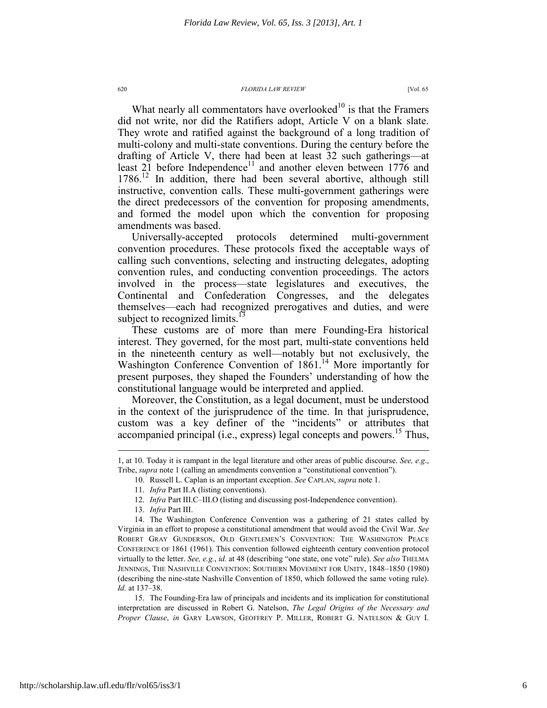What nearly all commentators have overlooked $10$  is that the Framers did not write, nor did the Ratifiers adopt, Article V on a blank slate. They wrote and ratified against the background of a long tradition of multi-colony and multi-state conventions. During the century before the drafting of Article V, there had been at least 32 such gatherings—at least 21 before Independence<sup>11</sup> and another eleven between 1776 and 1786.<sup>12</sup> In addition, there had been several abortive, although still instructive, convention calls. These multi-government gatherings were the direct predecessors of the convention for proposing amendments, and formed the model upon which the convention for proposing amendments was based.

Universally-accepted protocols determined multi-government convention procedures. These protocols fixed the acceptable ways of calling such conventions, selecting and instructing delegates, adopting convention rules, and conducting convention proceedings. The actors involved in the process—state legislatures and executives, the Continental and Confederation Congresses, and the delegates themselves—each had recognized prerogatives and duties, and were subject to recognized limits.<sup>13</sup>

These customs are of more than mere Founding-Era historical interest. They governed, for the most part, multi-state conventions held in the nineteenth century as well—notably but not exclusively, the Washington Conference Convention of 1861.<sup>14</sup> More importantly for present purposes, they shaped the Founders' understanding of how the constitutional language would be interpreted and applied.

Moreover, the Constitution, as a legal document, must be understood in the context of the jurisprudence of the time. In that jurisprudence, custom was a key definer of the "incidents" or attributes that accompanied principal (i.e., express) legal concepts and powers.<sup>15</sup> Thus,

<sup>1,</sup> at 10. Today it is rampant in the legal literature and other areas of public discourse. *See, e.g*., Tribe, *supra* note 1 (calling an amendments convention a "constitutional convention").

 <sup>10.</sup> Russell L. Caplan is an important exception. *See* CAPLAN, *supra* note 1.

 <sup>11.</sup> *Infra* Part II.A (listing conventions).

 <sup>12.</sup> *Infra* Part III.C–III.O (listing and discussing post-Independence convention).

 <sup>13.</sup> *Infra* Part III.

 <sup>14.</sup> The Washington Conference Convention was a gathering of 21 states called by Virginia in an effort to propose a constitutional amendment that would avoid the Civil War. *See* ROBERT GRAY GUNDERSON, OLD GENTLEMEN'S CONVENTION: THE WASHINGTON PEACE CONFERENCE OF 1861 (1961). This convention followed eighteenth century convention protocol virtually to the letter. *See, e.g.*, *id.* at 48 (describing "one state, one vote" rule). *See also* THELMA JENNINGS, THE NASHVILLE CONVENTION: SOUTHERN MOVEMENT FOR UNITY, 1848–1850 (1980) (describing the nine-state Nashville Convention of 1850, which followed the same voting rule). *Id.* at 137–38.

 <sup>15.</sup> The Founding-Era law of principals and incidents and its implication for constitutional interpretation are discussed in Robert G. Natelson, *The Legal Origins of the Necessary and Proper Clause*, *in* GARY LAWSON, GEOFFREY P. MILLER, ROBERT G. NATELSON & GUY I.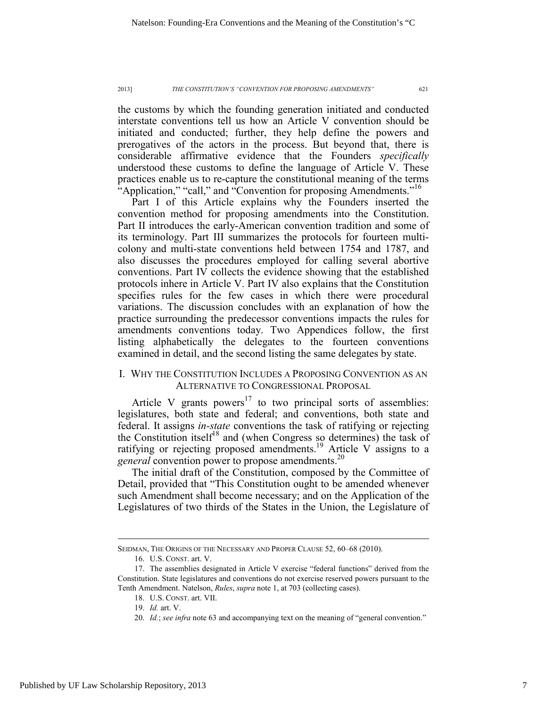the customs by which the founding generation initiated and conducted interstate conventions tell us how an Article V convention should be initiated and conducted; further, they help define the powers and prerogatives of the actors in the process. But beyond that, there is considerable affirmative evidence that the Founders *specifically* understood these customs to define the language of Article V. These practices enable us to re-capture the constitutional meaning of the terms "Application," "call," and "Convention for proposing Amendments."<sup>16</sup>

Part I of this Article explains why the Founders inserted the convention method for proposing amendments into the Constitution. Part II introduces the early-American convention tradition and some of its terminology. Part III summarizes the protocols for fourteen multicolony and multi-state conventions held between 1754 and 1787, and also discusses the procedures employed for calling several abortive conventions. Part IV collects the evidence showing that the established protocols inhere in Article V. Part IV also explains that the Constitution specifies rules for the few cases in which there were procedural variations. The discussion concludes with an explanation of how the practice surrounding the predecessor conventions impacts the rules for amendments conventions today. Two Appendices follow, the first listing alphabetically the delegates to the fourteen conventions examined in detail, and the second listing the same delegates by state.

### I. WHY THE CONSTITUTION INCLUDES A PROPOSING CONVENTION AS AN ALTERNATIVE TO CONGRESSIONAL PROPOSAL

Article V grants powers $17$  to two principal sorts of assemblies: legislatures, both state and federal; and conventions, both state and federal. It assigns *in-state* conventions the task of ratifying or rejecting the Constitution itself<sup>18</sup> and (when Congress so determines) the task of ratifying or rejecting proposed amendments.<sup>19</sup> Article V assigns to a *general* convention power to propose amendments.<sup>20</sup>

The initial draft of the Constitution, composed by the Committee of Detail, provided that "This Constitution ought to be amended whenever such Amendment shall become necessary; and on the Application of the Legislatures of two thirds of the States in the Union, the Legislature of

SEIDMAN, THE ORIGINS OF THE NECESSARY AND PROPER CLAUSE 52, 60–68 (2010).

 <sup>16.</sup> U.S. CONST. art. V.

 <sup>17.</sup> The assemblies designated in Article V exercise "federal functions" derived from the Constitution. State legislatures and conventions do not exercise reserved powers pursuant to the Tenth Amendment. Natelson, *Rules*, *supra* note 1, at 703 (collecting cases).

 <sup>18.</sup> U.S. CONST. art. VII.

 <sup>19.</sup> *Id.* art. V.

<sup>20.</sup> *Id.*; *see infra* note 63 and accompanying text on the meaning of "general convention."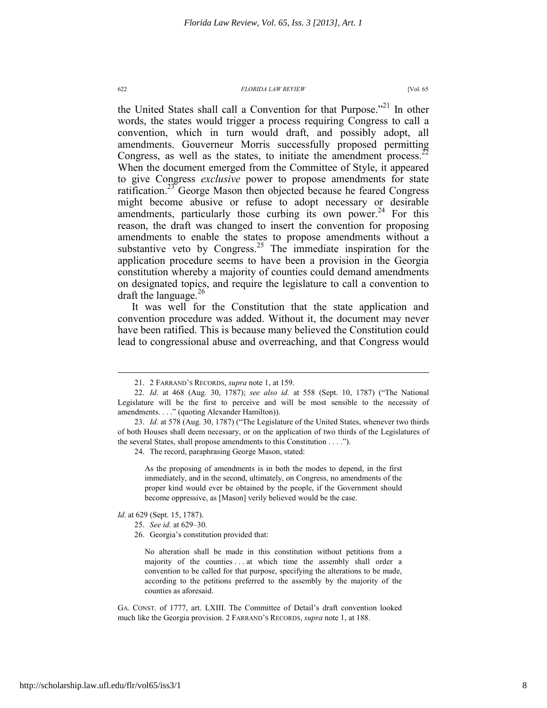the United States shall call a Convention for that Purpose."<sup>21</sup> In other words, the states would trigger a process requiring Congress to call a convention, which in turn would draft, and possibly adopt, all amendments. Gouverneur Morris successfully proposed permitting Congress, as well as the states, to initiate the amendment process.<sup>22</sup> When the document emerged from the Committee of Style, it appeared to give Congress *exclusive* power to propose amendments for state ratification.<sup>23</sup> George Mason then objected because he feared Congress might become abusive or refuse to adopt necessary or desirable amendments, particularly those curbing its own power.<sup>24</sup> For this reason, the draft was changed to insert the convention for proposing amendments to enable the states to propose amendments without a substantive veto by Congress.<sup>25</sup> The immediate inspiration for the application procedure seems to have been a provision in the Georgia constitution whereby a majority of counties could demand amendments on designated topics, and require the legislature to call a convention to draft the language.<sup>26</sup>

It was well for the Constitution that the state application and convention procedure was added. Without it, the document may never have been ratified. This is because many believed the Constitution could lead to congressional abuse and overreaching, and that Congress would

24. The record, paraphrasing George Mason, stated:

As the proposing of amendments is in both the modes to depend, in the first immediately, and in the second, ultimately, on Congress, no amendments of the proper kind would ever be obtained by the people, if the Government should become oppressive, as [Mason] verily believed would be the case.

*Id.* at 629 (Sept. 15, 1787).

 $\overline{a}$ 

25. *See id.* at 629–30.

No alteration shall be made in this constitution without petitions from a majority of the counties . . . at which time the assembly shall order a convention to be called for that purpose, specifying the alterations to be made, according to the petitions preferred to the assembly by the majority of the counties as aforesaid.

GA. CONST. of 1777, art. LXIII. The Committee of Detail's draft convention looked much like the Georgia provision. 2 FARRAND'S RECORDS, *supra* note 1, at 188.

 <sup>21. 2</sup> FARRAND'S RECORDS, *supra* note 1, at 159.

 <sup>22.</sup> *Id*. at 468 (Aug. 30, 1787); *see also id.* at 558 (Sept. 10, 1787) ("The National Legislature will be the first to perceive and will be most sensible to the necessity of amendments. . . ." (quoting Alexander Hamilton)).

 <sup>23.</sup> *Id.* at 578 (Aug. 30, 1787) ("The Legislature of the United States, whenever two thirds of both Houses shall deem necessary, or on the application of two thirds of the Legislatures of the several States, shall propose amendments to this Constitution . . . .").

 <sup>26.</sup> Georgia's constitution provided that: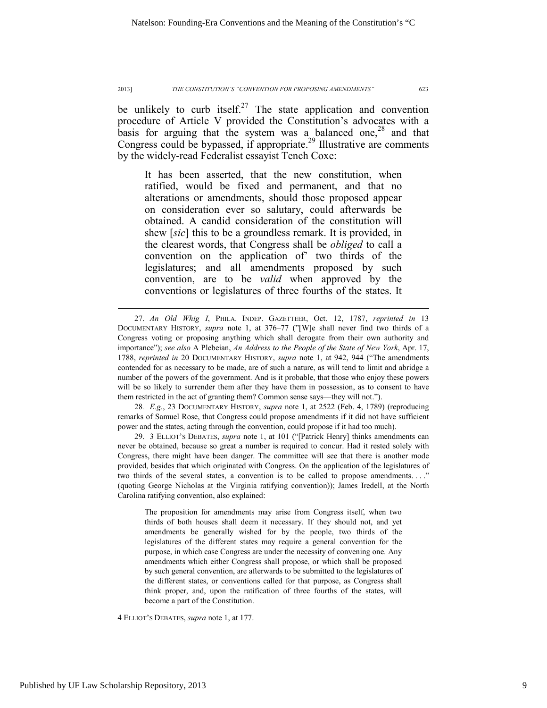be unlikely to curb itself.<sup>27</sup> The state application and convention procedure of Article V provided the Constitution's advocates with a basis for arguing that the system was a balanced one,<sup>28</sup> and that Congress could be bypassed, if appropriate.<sup>29</sup> Illustrative are comments by the widely-read Federalist essayist Tench Coxe:

It has been asserted, that the new constitution, when ratified, would be fixed and permanent, and that no alterations or amendments, should those proposed appear on consideration ever so salutary, could afterwards be obtained. A candid consideration of the constitution will shew [*sic*] this to be a groundless remark. It is provided, in the clearest words, that Congress shall be *obliged* to call a convention on the application of' two thirds of the legislatures; and all amendments proposed by such convention, are to be *valid* when approved by the conventions or legislatures of three fourths of the states. It

28*. E.g.*, 23 DOCUMENTARY HISTORY, *supra* note 1, at 2522 (Feb. 4, 1789) (reproducing remarks of Samuel Rose, that Congress could propose amendments if it did not have sufficient power and the states, acting through the convention, could propose if it had too much).

 29. 3 ELLIOT'S DEBATES, *supra* note 1, at 101 ("[Patrick Henry] thinks amendments can never be obtained, because so great a number is required to concur. Had it rested solely with Congress, there might have been danger. The committee will see that there is another mode provided, besides that which originated with Congress. On the application of the legislatures of two thirds of the several states, a convention is to be called to propose amendments. . . ." (quoting George Nicholas at the Virginia ratifying convention)); James Iredell, at the North Carolina ratifying convention, also explained:

The proposition for amendments may arise from Congress itself, when two thirds of both houses shall deem it necessary. If they should not, and yet amendments be generally wished for by the people, two thirds of the legislatures of the different states may require a general convention for the purpose, in which case Congress are under the necessity of convening one. Any amendments which either Congress shall propose, or which shall be proposed by such general convention, are afterwards to be submitted to the legislatures of the different states, or conventions called for that purpose, as Congress shall think proper, and, upon the ratification of three fourths of the states, will become a part of the Constitution.

4 ELLIOT'S DEBATES, *supra* note 1, at 177.

 <sup>27.</sup> *An Old Whig I*, PHILA. INDEP. GAZETTEER, Oct. 12, 1787, *reprinted in* 13 DOCUMENTARY HISTORY, *supra* note 1, at 376–77 ("[W]e shall never find two thirds of a Congress voting or proposing anything which shall derogate from their own authority and importance"); *see also* A Plebeian, *An Address to the People of the State of New York*, Apr. 17, 1788, *reprinted in* 20 DOCUMENTARY HISTORY, *supra* note 1, at 942, 944 ("The amendments contended for as necessary to be made, are of such a nature, as will tend to limit and abridge a number of the powers of the government. And is it probable, that those who enjoy these powers will be so likely to surrender them after they have them in possession, as to consent to have them restricted in the act of granting them? Common sense says—they will not.").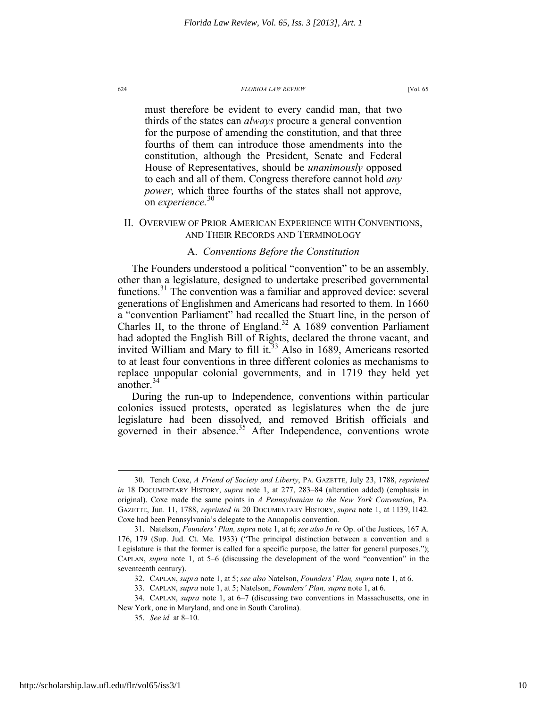must therefore be evident to every candid man, that two thirds of the states can *always* procure a general convention for the purpose of amending the constitution, and that three fourths of them can introduce those amendments into the constitution, although the President, Senate and Federal House of Representatives, should be *unanimously* opposed to each and all of them. Congress therefore cannot hold *any power,* which three fourths of the states shall not approve, on *experience.*<sup>30</sup>

### II. OVERVIEW OF PRIOR AMERICAN EXPERIENCE WITH CONVENTIONS, AND THEIR RECORDS AND TERMINOLOGY

### A. *Conventions Before the Constitution*

The Founders understood a political "convention" to be an assembly, other than a legislature, designed to undertake prescribed governmental functions.31 The convention was a familiar and approved device: several generations of Englishmen and Americans had resorted to them. In 1660 a "convention Parliament" had recalled the Stuart line, in the person of Charles II, to the throne of England.<sup>32</sup> A 1689 convention Parliament had adopted the English Bill of Rights, declared the throne vacant, and invited William and Mary to fill it.<sup>33</sup> Also in 1689, Americans resorted to at least four conventions in three different colonies as mechanisms to replace unpopular colonial governments, and in 1719 they held yet another.<sup>34</sup>

During the run-up to Independence, conventions within particular colonies issued protests, operated as legislatures when the de jure legislature had been dissolved, and removed British officials and governed in their absence. $35$  After Independence, conventions wrote

 <sup>30.</sup> Tench Coxe, *A Friend of Society and Liberty*, PA. GAZETTE, July 23, 1788, *reprinted in* 18 DOCUMENTARY HISTORY, *supra* note 1, at 277, 283–84 (alteration added) (emphasis in original). Coxe made the same points in *A Pennsylvanian to the New York Convention*, PA. GAZETTE, Jun. 11, 1788, *reprinted in* 20 DOCUMENTARY HISTORY, *supra* note 1, at 1139, l142. Coxe had been Pennsylvania's delegate to the Annapolis convention.

 <sup>31.</sup> Natelson, *Founders' Plan, supra* note 1, at 6; *see also In re* Op. of the Justices, 167 A. 176, 179 (Sup. Jud. Ct. Me. 1933) ("The principal distinction between a convention and a Legislature is that the former is called for a specific purpose, the latter for general purposes."); CAPLAN, *supra* note 1, at 5–6 (discussing the development of the word "convention" in the seventeenth century).

 <sup>32.</sup> CAPLAN, *supra* note 1, at 5; *see also* Natelson, *Founders' Plan, supra* note 1, at 6.

 <sup>33.</sup> CAPLAN, *supra* note 1, at 5; Natelson, *Founders' Plan, supra* note 1, at 6.

 <sup>34.</sup> CAPLAN, *supra* note 1, at 6–7 (discussing two conventions in Massachusetts, one in New York, one in Maryland, and one in South Carolina).

 <sup>35.</sup> *See id.* at 8–10.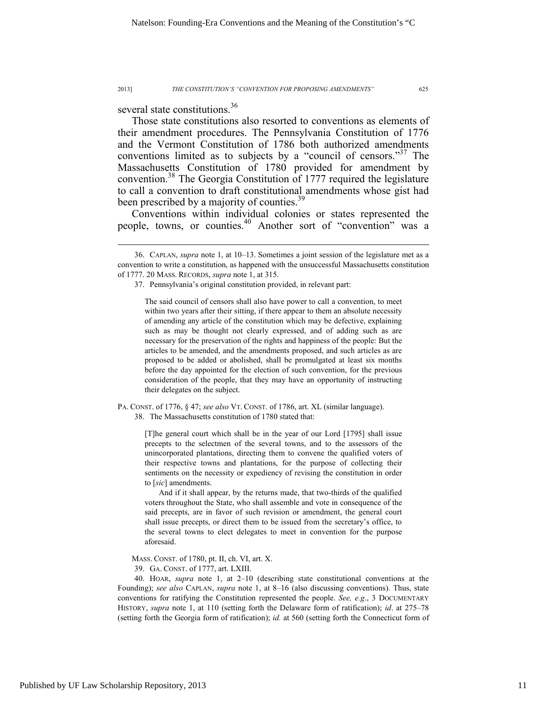several state constitutions.<sup>36</sup>

 $\overline{a}$ 

Those state constitutions also resorted to conventions as elements of their amendment procedures. The Pennsylvania Constitution of 1776 and the Vermont Constitution of 1786 both authorized amendments conventions limited as to subjects by a "council of censors."<sup>37</sup> The Massachusetts Constitution of 1780 provided for amendment by convention.38 The Georgia Constitution of 1777 required the legislature to call a convention to draft constitutional amendments whose gist had been prescribed by a majority of counties.<sup>39</sup>

Conventions within individual colonies or states represented the people, towns, or counties.<sup>40</sup> Another sort of "convention" was a

PA. CONST. of 1776, § 47; *see also* VT. CONST. of 1786, art. XL (similar language).

38. The Massachusetts constitution of 1780 stated that:

[T]he general court which shall be in the year of our Lord [1795] shall issue precepts to the selectmen of the several towns, and to the assessors of the unincorporated plantations, directing them to convene the qualified voters of their respective towns and plantations, for the purpose of collecting their sentiments on the necessity or expediency of revising the constitution in order to [*sic*] amendments.

And if it shall appear, by the returns made, that two-thirds of the qualified voters throughout the State, who shall assemble and vote in consequence of the said precepts, are in favor of such revision or amendment, the general court shall issue precepts, or direct them to be issued from the secretary's office, to the several towns to elect delegates to meet in convention for the purpose aforesaid.

39. GA. CONST. of 1777, art. LXIII.

 40. HOAR, *supra* note 1, at 2–10 (describing state constitutional conventions at the Founding); *see also* CAPLAN, *supra* note 1, at 8–16 (also discussing conventions). Thus, state conventions for ratifying the Constitution represented the people. *See, e.g*., 3 DOCUMENTARY HISTORY, *supra* note 1, at 110 (setting forth the Delaware form of ratification); *id*. at 275–78 (setting forth the Georgia form of ratification); *id.* at 560 (setting forth the Connecticut form of

 <sup>36.</sup> CAPLAN, *supra* note 1, at 10–13. Sometimes a joint session of the legislature met as a convention to write a constitution, as happened with the unsuccessful Massachusetts constitution of 1777. 20 MASS. RECORDS, *supra* note 1, at 315.

 <sup>37.</sup> Pennsylvania's original constitution provided, in relevant part:

The said council of censors shall also have power to call a convention, to meet within two years after their sitting, if there appear to them an absolute necessity of amending any article of the constitution which may be defective, explaining such as may be thought not clearly expressed, and of adding such as are necessary for the preservation of the rights and happiness of the people: But the articles to be amended, and the amendments proposed, and such articles as are proposed to be added or abolished, shall be promulgated at least six months before the day appointed for the election of such convention, for the previous consideration of the people, that they may have an opportunity of instructing their delegates on the subject.

MASS. CONST. of 1780, pt. II, ch. VI, art. X.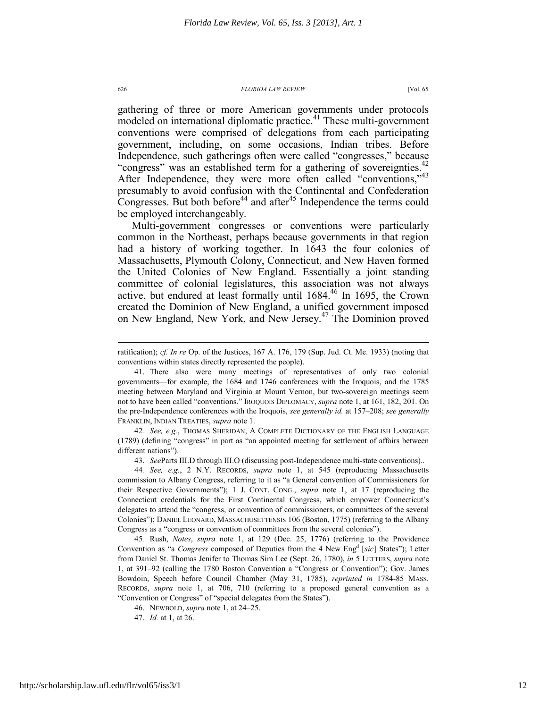gathering of three or more American governments under protocols modeled on international diplomatic practice.<sup>41</sup> These multi-government conventions were comprised of delegations from each participating government, including, on some occasions, Indian tribes. Before Independence, such gatherings often were called "congresses," because "congress" was an established term for a gathering of sovereignties.<sup>42</sup> After Independence, they were more often called "conventions,"<sup>43</sup> presumably to avoid confusion with the Continental and Confederation Congresses. But both before<sup>44</sup> and after<sup>45</sup> Independence the terms could be employed interchangeably.

Multi-government congresses or conventions were particularly common in the Northeast, perhaps because governments in that region had a history of working together. In 1643 the four colonies of Massachusetts, Plymouth Colony, Connecticut, and New Haven formed the United Colonies of New England. Essentially a joint standing committee of colonial legislatures, this association was not always active, but endured at least formally until 1684.<sup>46</sup> In 1695, the Crown created the Dominion of New England, a unified government imposed on New England, New York, and New Jersey.47 The Dominion proved

42*. See, e.g.*, THOMAS SHERIDAN, A COMPLETE DICTIONARY OF THE ENGLISH LANGUAGE (1789) (defining "congress" in part as "an appointed meeting for settlement of affairs between different nations").

43. *See*Parts III.D through III.O (discussing post-Independence multi-state conventions)..

45*.* Rush, *Notes*, *supra* note 1, at 129 (Dec. 25, 1776) (referring to the Providence Convention as "a *Congress* composed of Deputies from the 4 New Eng<sup>d</sup> [sic] States"); Letter from Daniel St. Thomas Jenifer to Thomas Sim Lee (Sept. 26, 1780), *in* 5 LETTERS, *supra* note 1, at 391–92 (calling the 1780 Boston Convention a "Congress or Convention"); Gov. James Bowdoin, Speech before Council Chamber (May 31, 1785), *reprinted in* 1784-85 MASS. RECORDS, *supra* note 1, at 706, 710 (referring to a proposed general convention as a "Convention or Congress" of "special delegates from the States").

46. NEWBOLD, *supra* note 1, at 24–25.

47. *Id.* at 1, at 26.

ratification); *cf. In re* Op. of the Justices, 167 A. 176, 179 (Sup. Jud. Ct. Me. 1933) (noting that conventions within states directly represented the people).

 <sup>41.</sup> There also were many meetings of representatives of only two colonial governments—for example, the 1684 and 1746 conferences with the Iroquois, and the 1785 meeting between Maryland and Virginia at Mount Vernon, but two-sovereign meetings seem not to have been called "conventions." IROQUOIS DIPLOMACY, *supra* note 1, at 161, 182, 201. On the pre-Independence conferences with the Iroquois, *see generally id.* at 157–208; *see generally* FRANKLIN, INDIAN TREATIES, *supra* note 1.

<sup>44</sup>*. See, e.g.*, 2 N.Y. RECORDS, *supra* note 1, at 545 (reproducing Massachusetts commission to Albany Congress, referring to it as "a General convention of Commissioners for their Respective Governments"); 1 J. CONT. CONG., *supra* note 1, at 17 (reproducing the Connecticut credentials for the First Continental Congress, which empower Connecticut's delegates to attend the "congress, or convention of commissioners, or committees of the several Colonies"); DANIEL LEONARD, MASSACHUSETTENSIS 106 (Boston, 1775) (referring to the Albany Congress as a "congress or convention of committees from the several colonies").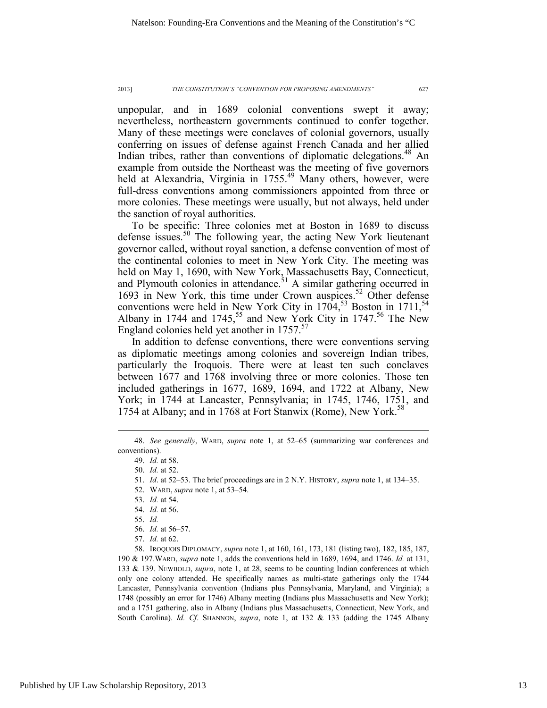unpopular, and in 1689 colonial conventions swept it away; nevertheless, northeastern governments continued to confer together. Many of these meetings were conclaves of colonial governors, usually conferring on issues of defense against French Canada and her allied Indian tribes, rather than conventions of diplomatic delegations.<sup>48</sup> An example from outside the Northeast was the meeting of five governors held at Alexandria, Virginia in 1755.<sup>49</sup> Many others, however, were full-dress conventions among commissioners appointed from three or more colonies. These meetings were usually, but not always, held under the sanction of royal authorities.

To be specific: Three colonies met at Boston in 1689 to discuss defense issues.<sup>50</sup> The following year, the acting New York lieutenant governor called, without royal sanction, a defense convention of most of the continental colonies to meet in New York City. The meeting was held on May 1, 1690, with New York, Massachusetts Bay, Connecticut, and Plymouth colonies in attendance.<sup> $51$ </sup> A similar gathering occurred in 1693 in New York, this time under Crown auspices.<sup>52</sup> Other defense conventions were held in New York City in  $1704$ ,<sup>53</sup> Boston in  $1711$ ,<sup>54</sup> Albany in 1744 and 1745,<sup>55</sup> and New York City in 1747.<sup>56</sup> The New England colonies held yet another in  $1757$ .<sup>57</sup>

In addition to defense conventions, there were conventions serving as diplomatic meetings among colonies and sovereign Indian tribes, particularly the Iroquois. There were at least ten such conclaves between 1677 and 1768 involving three or more colonies. Those ten included gatherings in 1677, 1689, 1694, and 1722 at Albany, New York; in 1744 at Lancaster, Pennsylvania; in 1745, 1746, 1751, and 1754 at Albany; and in 1768 at Fort Stanwix (Rome), New York.<sup>38</sup>

 $\overline{a}$ 

53. *Id.* at 54.

 58. IROQUOIS DIPLOMACY, *supra* note 1, at 160, 161, 173, 181 (listing two), 182, 185, 187, 190 & 197.WARD, *supra* note 1, adds the conventions held in 1689, 1694, and 1746. *Id.* at 131, 133 & 139. NEWBOLD, *supra*, note 1, at 28, seems to be counting Indian conferences at which only one colony attended. He specifically names as multi-state gatherings only the 1744 Lancaster, Pennsylvania convention (Indians plus Pennsylvania, Maryland, and Virginia); a 1748 (possibly an error for 1746) Albany meeting (Indians plus Massachusetts and New York); and a 1751 gathering, also in Albany (Indians plus Massachusetts, Connecticut, New York, and South Carolina). *Id. Cf*. SHANNON, *supra*, note 1, at 132 & 133 (adding the 1745 Albany

 <sup>48.</sup> *See generally*, WARD, *supra* note 1, at 52–65 (summarizing war conferences and conventions).

 <sup>49.</sup> *Id.* at 58.

 <sup>50.</sup> *Id.* at 52.

 <sup>51.</sup> *Id*. at 52–53. The brief proceedings are in 2 N.Y. HISTORY, *supra* note 1, at 134–35.

 <sup>52.</sup> WARD, *supra* note 1, at 53–54.

 <sup>54.</sup> *Id.* at 56.

 <sup>55.</sup> *Id.* 

 <sup>56.</sup> *Id.* at 56–57.

 <sup>57.</sup> *Id.* at 62.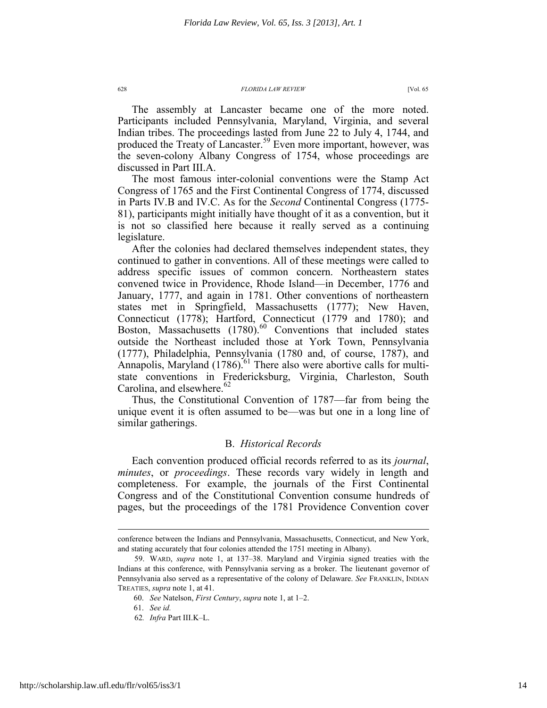The assembly at Lancaster became one of the more noted. Participants included Pennsylvania, Maryland, Virginia, and several Indian tribes. The proceedings lasted from June 22 to July 4, 1744, and produced the Treaty of Lancaster.<sup>59</sup> Even more important, however, was the seven-colony Albany Congress of 1754, whose proceedings are discussed in Part III.A.

The most famous inter-colonial conventions were the Stamp Act Congress of 1765 and the First Continental Congress of 1774, discussed in Parts IV.B and IV.C. As for the *Second* Continental Congress (1775- 81), participants might initially have thought of it as a convention, but it is not so classified here because it really served as a continuing legislature.

After the colonies had declared themselves independent states, they continued to gather in conventions. All of these meetings were called to address specific issues of common concern. Northeastern states convened twice in Providence, Rhode Island—in December, 1776 and January, 1777, and again in 1781. Other conventions of northeastern states met in Springfield, Massachusetts (1777); New Haven, Connecticut (1778); Hartford, Connecticut (1779 and 1780); and Boston, Massachusetts  $(1780)$ <sup>60</sup> Conventions that included states outside the Northeast included those at York Town, Pennsylvania (1777), Philadelphia, Pennsylvania (1780 and, of course, 1787), and Annapolis, Maryland  $(1786)$ .<sup>61</sup> There also were abortive calls for multistate conventions in Fredericksburg, Virginia, Charleston, South Carolina, and elsewhere. $62$ 

Thus, the Constitutional Convention of 1787—far from being the unique event it is often assumed to be—was but one in a long line of similar gatherings.

### B. *Historical Records*

Each convention produced official records referred to as its *journal*, *minutes*, or *proceedings*. These records vary widely in length and completeness. For example, the journals of the First Continental Congress and of the Constitutional Convention consume hundreds of pages, but the proceedings of the 1781 Providence Convention cover

conference between the Indians and Pennsylvania, Massachusetts, Connecticut, and New York, and stating accurately that four colonies attended the 1751 meeting in Albany).

 <sup>59.</sup> WARD, *supra* note 1, at 137–38. Maryland and Virginia signed treaties with the Indians at this conference, with Pennsylvania serving as a broker. The lieutenant governor of Pennsylvania also served as a representative of the colony of Delaware. *See* FRANKLIN, INDIAN TREATIES, *supra* note 1, at 41.

<sup>60.</sup> *See* Natelson, *First Century*, *supra* note 1, at 1–2.

 <sup>61.</sup> *See id.*

<sup>62</sup>*. Infra* Part III.K–L.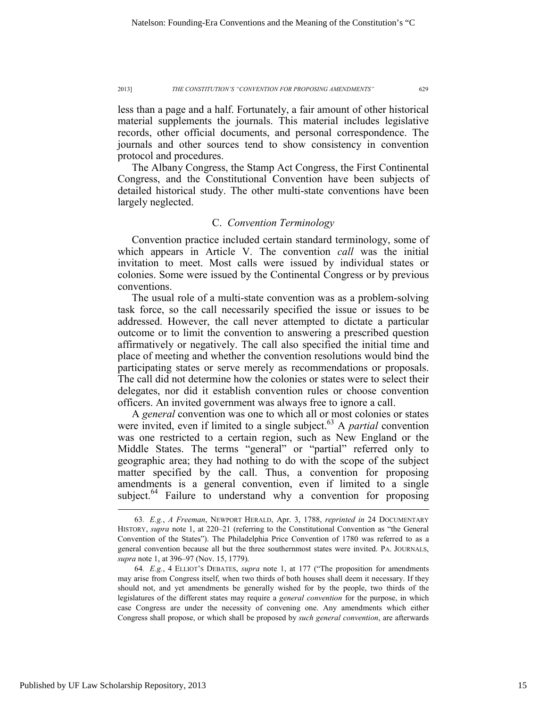less than a page and a half. Fortunately, a fair amount of other historical material supplements the journals. This material includes legislative records, other official documents, and personal correspondence. The journals and other sources tend to show consistency in convention protocol and procedures.

The Albany Congress, the Stamp Act Congress, the First Continental Congress, and the Constitutional Convention have been subjects of detailed historical study. The other multi-state conventions have been largely neglected.

### C. *Convention Terminology*

Convention practice included certain standard terminology, some of which appears in Article V. The convention *call* was the initial invitation to meet. Most calls were issued by individual states or colonies. Some were issued by the Continental Congress or by previous conventions.

The usual role of a multi-state convention was as a problem-solving task force, so the call necessarily specified the issue or issues to be addressed. However, the call never attempted to dictate a particular outcome or to limit the convention to answering a prescribed question affirmatively or negatively. The call also specified the initial time and place of meeting and whether the convention resolutions would bind the participating states or serve merely as recommendations or proposals. The call did not determine how the colonies or states were to select their delegates, nor did it establish convention rules or choose convention officers. An invited government was always free to ignore a call.

A *general* convention was one to which all or most colonies or states were invited, even if limited to a single subject.<sup>63</sup> A *partial* convention was one restricted to a certain region, such as New England or the Middle States. The terms "general" or "partial" referred only to geographic area; they had nothing to do with the scope of the subject matter specified by the call. Thus, a convention for proposing amendments is a general convention, even if limited to a single subject. $64$  Failure to understand why a convention for proposing

 <sup>63</sup>*. E.g.*, *A Freeman*, NEWPORT HERALD, Apr. 3, 1788, *reprinted in* 24 DOCUMENTARY HISTORY, *supra* note 1, at 220-21 (referring to the Constitutional Convention as "the General Convention of the States"). The Philadelphia Price Convention of 1780 was referred to as a general convention because all but the three southernmost states were invited. PA. JOURNALS, *supra* note 1, at 396–97 (Nov. 15, 1779).

<sup>64</sup>*. E.g.*, 4 ELLIOT'S DEBATES, *supra* note 1, at 177 ("The proposition for amendments may arise from Congress itself, when two thirds of both houses shall deem it necessary. If they should not, and yet amendments be generally wished for by the people, two thirds of the legislatures of the different states may require a *general convention* for the purpose, in which case Congress are under the necessity of convening one. Any amendments which either Congress shall propose, or which shall be proposed by *such general convention*, are afterwards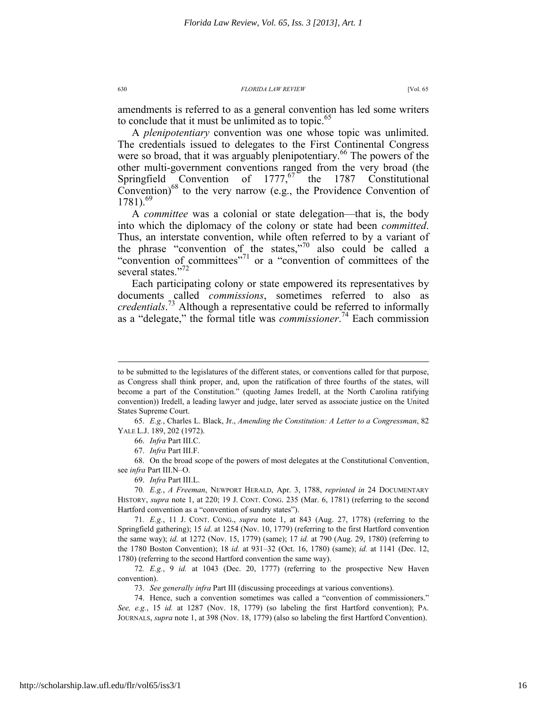amendments is referred to as a general convention has led some writers to conclude that it must be unlimited as to topic.<sup>65</sup>

A *plenipotentiary* convention was one whose topic was unlimited. The credentials issued to delegates to the First Continental Congress were so broad, that it was arguably plenipotentiary.<sup>66</sup> The powers of the other multi-government conventions ranged from the very broad (the Springfield Convention of  $1777<sub>1</sub><sup>67</sup>$  the 1787 Constitutional Convention) $^{68}$  to the very narrow (e.g., the Providence Convention of  $1781$ .<sup>69</sup>

A *committee* was a colonial or state delegation—that is, the body into which the diplomacy of the colony or state had been *committed*. Thus, an interstate convention, while often referred to by a variant of the phrase "convention of the states,"<sup>70</sup> also could be called a "convention of committees"71 or a "convention of committees of the several states."<sup>72</sup>

Each participating colony or state empowered its representatives by documents called *commissions*, sometimes referred to also as *credentials*. 73 Although a representative could be referred to informally as a "delegate," the formal title was *commissioner*. 74 Each commission

to be submitted to the legislatures of the different states, or conventions called for that purpose, as Congress shall think proper, and, upon the ratification of three fourths of the states, will become a part of the Constitution." (quoting James Iredell, at the North Carolina ratifying convention)) Iredell, a leading lawyer and judge, later served as associate justice on the United States Supreme Court.

 <sup>65.</sup> *E.g.*, Charles L. Black, Jr., *Amending the Constitution: A Letter to a Congressman*, 82 YALE L.J. 189, 202 (1972).

 <sup>66.</sup> *Infra* Part III.C.

 <sup>67.</sup> *Infra* Part III.F.

 <sup>68.</sup> On the broad scope of the powers of most delegates at the Constitutional Convention, see *infra* Part III.N–O.

 <sup>69.</sup> *Infra* Part III.L.

<sup>70</sup>*. E.g.*, *A Freeman*, NEWPORT HERALD, Apr. 3, 1788, *reprinted in* 24 DOCUMENTARY HISTORY, *supra* note 1, at 220; 19 J. CONT. CONG. 235 (Mar. 6, 1781) (referring to the second Hartford convention as a "convention of sundry states").

<sup>71</sup>*. E.g.*, 11 J. CONT. CONG., *supra* note 1, at 843 (Aug. 27, 1778) (referring to the Springfield gathering); 15 *id*. at 1254 (Nov. 10, 1779) (referring to the first Hartford convention the same way); *id.* at 1272 (Nov. 15, 1779) (same); 17 *id.* at 790 (Aug. 29, 1780) (referring to the 1780 Boston Convention); 18 *id.* at 931–32 (Oct. 16, 1780) (same); *id.* at 1141 (Dec. 12, 1780) (referring to the second Hartford convention the same way).

<sup>72</sup>*. E.g.*, 9 *id.* at 1043 (Dec. 20, 1777) (referring to the prospective New Haven convention).

 <sup>73.</sup> *See generally infra* Part III (discussing proceedings at various conventions).

 <sup>74.</sup> Hence, such a convention sometimes was called a "convention of commissioners." *See, e.g.*, 15 *id.* at 1287 (Nov. 18, 1779) (so labeling the first Hartford convention); PA. JOURNALS, *supra* note 1, at 398 (Nov. 18, 1779) (also so labeling the first Hartford Convention).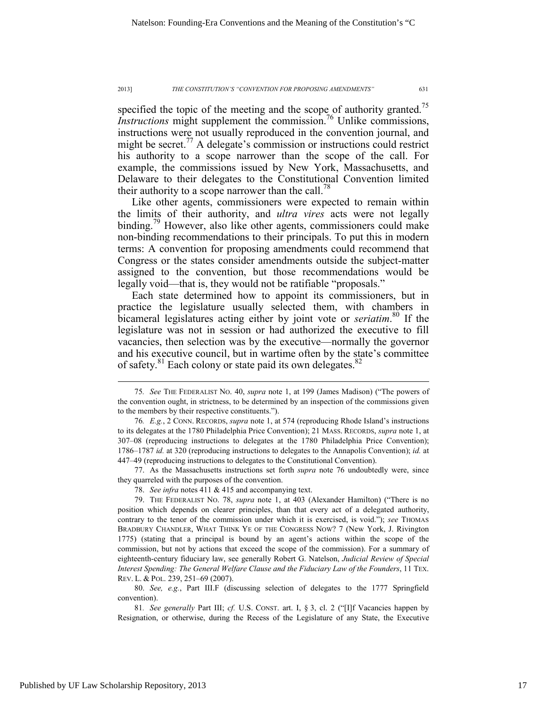specified the topic of the meeting and the scope of authority granted.<sup>75</sup> *Instructions* might supplement the commission.<sup>76</sup> Unlike commissions, instructions were not usually reproduced in the convention journal, and might be secret.<sup>77</sup> A delegate's commission or instructions could restrict his authority to a scope narrower than the scope of the call. For example, the commissions issued by New York, Massachusetts, and Delaware to their delegates to the Constitutional Convention limited their authority to a scope narrower than the call.<sup>78</sup>

Like other agents, commissioners were expected to remain within the limits of their authority, and *ultra vires* acts were not legally binding.<sup>79</sup> However, also like other agents, commissioners could make non-binding recommendations to their principals. To put this in modern terms: A convention for proposing amendments could recommend that Congress or the states consider amendments outside the subject-matter assigned to the convention, but those recommendations would be legally void—that is, they would not be ratifiable "proposals."

Each state determined how to appoint its commissioners, but in practice the legislature usually selected them, with chambers in bicameral legislatures acting either by joint vote or *seriatim*. 80 If the legislature was not in session or had authorized the executive to fill vacancies, then selection was by the executive—normally the governor and his executive council, but in wartime often by the state's committee of safety. $81$  Each colony or state paid its own delegates. $82$ 

 77. As the Massachusetts instructions set forth *supra* note 76 undoubtedly were, since they quarreled with the purposes of the convention.

 80. *See, e.g.*, Part III.F (discussing selection of delegates to the 1777 Springfield convention).

81*. See generally* Part III; *cf.* U.S. CONST. art. I, § 3, cl. 2 ("[I]f Vacancies happen by Resignation, or otherwise, during the Recess of the Legislature of any State, the Executive

 <sup>75</sup>*. See* THE FEDERALIST NO. 40, *supra* note 1, at 199 (James Madison) ("The powers of the convention ought, in strictness, to be determined by an inspection of the commissions given to the members by their respective constituents.").

<sup>76</sup>*. E.g.*, 2 CONN. RECORDS, *supra* note 1, at 574 (reproducing Rhode Island's instructions to its delegates at the 1780 Philadelphia Price Convention); 21 MASS. RECORDS, *supra* note 1, at 307–08 (reproducing instructions to delegates at the 1780 Philadelphia Price Convention); 1786–1787 *id.* at 320 (reproducing instructions to delegates to the Annapolis Convention); *id.* at 447–49 (reproducing instructions to delegates to the Constitutional Convention).

 <sup>78.</sup> *See infra* notes 411 & 415 and accompanying text.

 <sup>79.</sup> THE FEDERALIST NO. 78, *supra* note 1, at 403 (Alexander Hamilton) ("There is no position which depends on clearer principles, than that every act of a delegated authority, contrary to the tenor of the commission under which it is exercised, is void."); *see* THOMAS BRADBURY CHANDLER, WHAT THINK YE OF THE CONGRESS NOW? 7 (New York, J. Rivington 1775) (stating that a principal is bound by an agent's actions within the scope of the commission, but not by actions that exceed the scope of the commission). For a summary of eighteenth-century fiduciary law, see generally Robert G. Natelson, *Judicial Review of Special Interest Spending: The General Welfare Clause and the Fiduciary Law of the Founders*, 11 TEX. REV. L. & POL. 239, 251–69 (2007).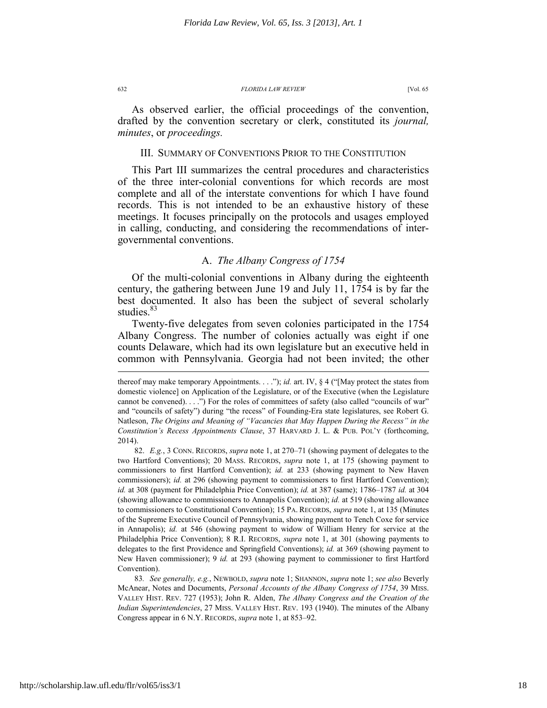As observed earlier, the official proceedings of the convention, drafted by the convention secretary or clerk, constituted its *journal, minutes*, or *proceedings.*

### III. SUMMARY OF CONVENTIONS PRIOR TO THE CONSTITUTION

This Part III summarizes the central procedures and characteristics of the three inter-colonial conventions for which records are most complete and all of the interstate conventions for which I have found records. This is not intended to be an exhaustive history of these meetings. It focuses principally on the protocols and usages employed in calling, conducting, and considering the recommendations of intergovernmental conventions.

### A. *The Albany Congress of 1754*

Of the multi-colonial conventions in Albany during the eighteenth century, the gathering between June 19 and July 11, 1754 is by far the best documented. It also has been the subject of several scholarly studies.<sup>83</sup>

Twenty-five delegates from seven colonies participated in the 1754 Albany Congress. The number of colonies actually was eight if one counts Delaware, which had its own legislature but an executive held in common with Pennsylvania. Georgia had not been invited; the other

thereof may make temporary Appointments. . . ."); *id.* art. IV, § 4 ("[May protect the states from domestic violence] on Application of the Legislature, or of the Executive (when the Legislature cannot be convened). . . .") For the roles of committees of safety (also called "councils of war" and "councils of safety") during "the recess" of Founding-Era state legislatures, see Robert G. Natleson, *The Origins and Meaning of "Vacancies that May Happen During the Recess" in the Constitution's Recess Appointments Clause*, 37 HARVARD J. L. & PUB. POL'Y (forthcoming, 2014).

 <sup>82.</sup> *E.g.*, 3 CONN. RECORDS, *supra* note 1, at 270–71 (showing payment of delegates to the two Hartford Conventions); 20 MASS. RECORDS, *supra* note 1, at 175 (showing payment to commissioners to first Hartford Convention); *id.* at 233 (showing payment to New Haven commissioners); *id.* at 296 (showing payment to commissioners to first Hartford Convention); *id.* at 308 (payment for Philadelphia Price Convention); *id.* at 387 (same); 1786–1787 *id.* at 304 (showing allowance to commissioners to Annapolis Convention); *id.* at 519 (showing allowance to commissioners to Constitutional Convention); 15 PA. RECORDS, *supra* note 1, at 135 (Minutes of the Supreme Executive Council of Pennsylvania, showing payment to Tench Coxe for service in Annapolis); *id.* at 546 (showing payment to widow of William Henry for service at the Philadelphia Price Convention); 8 R.I. RECORDS, *supra* note 1, at 301 (showing payments to delegates to the first Providence and Springfield Conventions); *id.* at 369 (showing payment to New Haven commissioner); 9 *id.* at 293 (showing payment to commissioner to first Hartford Convention).

<sup>83</sup>*. See generally, e.g.*, NEWBOLD, *supra* note 1; SHANNON, *supra* note 1; *see also* Beverly McAnear, Notes and Documents, *Personal Accounts of the Albany Congress of 1754*, 39 MISS. VALLEY HIST. REV. 727 (1953); John R. Alden, *The Albany Congress and the Creation of the Indian Superintendencies*, 27 MISS. VALLEY HIST. REV. 193 (1940). The minutes of the Albany Congress appear in 6 N.Y. RECORDS, *supra* note 1, at 853–92.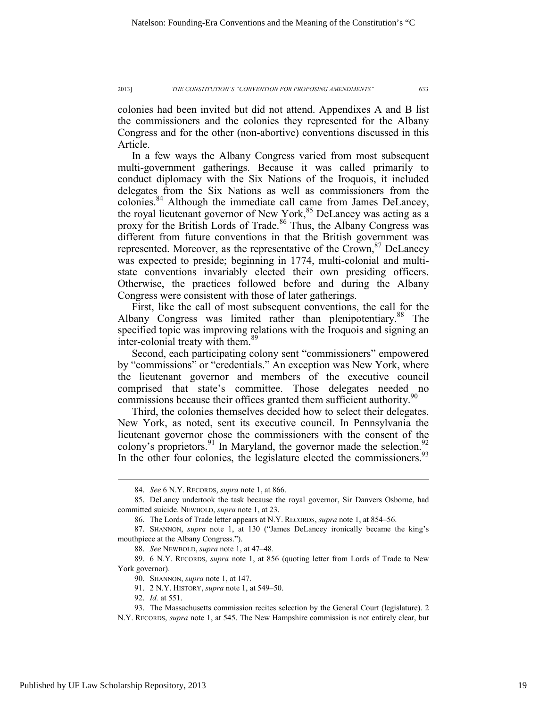colonies had been invited but did not attend. Appendixes A and B list the commissioners and the colonies they represented for the Albany Congress and for the other (non-abortive) conventions discussed in this Article.

In a few ways the Albany Congress varied from most subsequent multi-government gatherings. Because it was called primarily to conduct diplomacy with the Six Nations of the Iroquois, it included delegates from the Six Nations as well as commissioners from the colonies.84 Although the immediate call came from James DeLancey, the royal lieutenant governor of New York,<sup>85</sup> DeLancey was acting as a proxy for the British Lords of Trade.<sup>86</sup> Thus, the Albany Congress was different from future conventions in that the British government was represented. Moreover, as the representative of the Crown, <sup>87</sup> DeLancey was expected to preside; beginning in 1774, multi-colonial and multistate conventions invariably elected their own presiding officers. Otherwise, the practices followed before and during the Albany Congress were consistent with those of later gatherings.

First, like the call of most subsequent conventions, the call for the Albany Congress was limited rather than plenipotentiary.<sup>88</sup> The specified topic was improving relations with the Iroquois and signing an inter-colonial treaty with them.<sup>89</sup>

Second, each participating colony sent "commissioners" empowered by "commissions" or "credentials." An exception was New York, where the lieutenant governor and members of the executive council comprised that state's committee. Those delegates needed no commissions because their offices granted them sufficient authority.<sup>90</sup>

Third, the colonies themselves decided how to select their delegates. New York, as noted, sent its executive council. In Pennsylvania the lieutenant governor chose the commissioners with the consent of the colony's proprietors. <sup>91</sup> In Maryland, the governor made the selection. <sup>92</sup> In the other four colonies, the legislature elected the commissioners.<sup>93</sup>

 <sup>84.</sup> *See* 6 N.Y. RECORDS, *supra* note 1, at 866.

 <sup>85.</sup> DeLancy undertook the task because the royal governor, Sir Danvers Osborne, had committed suicide. NEWBOLD, *supra* note 1, at 23.

 <sup>86.</sup> The Lords of Trade letter appears at N.Y. RECORDS, *supra* note 1, at 854–56.

 <sup>87.</sup> SHANNON, *supra* note 1, at 130 ("James DeLancey ironically became the king's mouthpiece at the Albany Congress.").

 <sup>88.</sup> *See* NEWBOLD, *supra* note 1, at 47–48.

 <sup>89. 6</sup> N.Y. RECORDS, *supra* note 1, at 856 (quoting letter from Lords of Trade to New York governor).

 <sup>90.</sup> SHANNON, *supra* note 1, at 147.

 <sup>91. 2</sup> N.Y. HISTORY, *supra* note 1, at 549–50.

 <sup>92.</sup> *Id.* at 551.

 <sup>93.</sup> The Massachusetts commission recites selection by the General Court (legislature). 2 N.Y. RECORDS, *supra* note 1, at 545. The New Hampshire commission is not entirely clear, but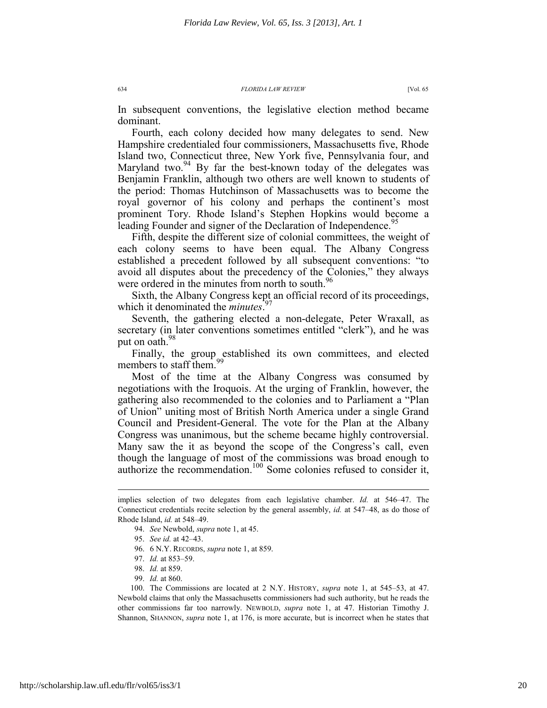In subsequent conventions, the legislative election method became dominant.

Fourth, each colony decided how many delegates to send. New Hampshire credentialed four commissioners, Massachusetts five, Rhode Island two, Connecticut three, New York five, Pennsylvania four, and Maryland two. $94$  By far the best-known today of the delegates was Benjamin Franklin, although two others are well known to students of the period: Thomas Hutchinson of Massachusetts was to become the royal governor of his colony and perhaps the continent's most prominent Tory. Rhode Island's Stephen Hopkins would become a leading Founder and signer of the Declaration of Independence.<sup>95</sup>

Fifth, despite the different size of colonial committees, the weight of each colony seems to have been equal. The Albany Congress established a precedent followed by all subsequent conventions: "to avoid all disputes about the precedency of the Colonies," they always were ordered in the minutes from north to south.<sup>96</sup>

Sixth, the Albany Congress kept an official record of its proceedings, which it denominated the *minutes*. 97

Seventh, the gathering elected a non-delegate, Peter Wraxall, as secretary (in later conventions sometimes entitled "clerk"), and he was put on oath.<sup>98</sup>

Finally, the group established its own committees, and elected members to staff them.<sup>9</sup>

Most of the time at the Albany Congress was consumed by negotiations with the Iroquois. At the urging of Franklin, however, the gathering also recommended to the colonies and to Parliament a "Plan of Union" uniting most of British North America under a single Grand Council and President-General. The vote for the Plan at the Albany Congress was unanimous, but the scheme became highly controversial. Many saw the it as beyond the scope of the Congress's call, even though the language of most of the commissions was broad enough to authorize the recommendation.<sup>100</sup> Some colonies refused to consider it,

 $\overline{a}$ 

99. *Id.* at 860.

implies selection of two delegates from each legislative chamber. *Id.* at 546–47. The Connecticut credentials recite selection by the general assembly, *id.* at 547–48, as do those of Rhode Island, *id.* at 548–49.

 <sup>94.</sup> *See* Newbold, *supra* note 1, at 45.

 <sup>95.</sup> *See id.* at 42–43.

 <sup>96. 6</sup> N.Y. RECORDS, *supra* note 1, at 859.

 <sup>97.</sup> *Id.* at 853–59.

 <sup>98.</sup> *Id.* at 859.

 <sup>100.</sup> The Commissions are located at 2 N.Y. HISTORY, *supra* note 1, at 545–53, at 47. Newbold claims that only the Massachusetts commissioners had such authority, but he reads the other commissions far too narrowly. NEWBOLD, *supra* note 1, at 47. Historian Timothy J. Shannon, SHANNON, *supra* note 1, at 176, is more accurate, but is incorrect when he states that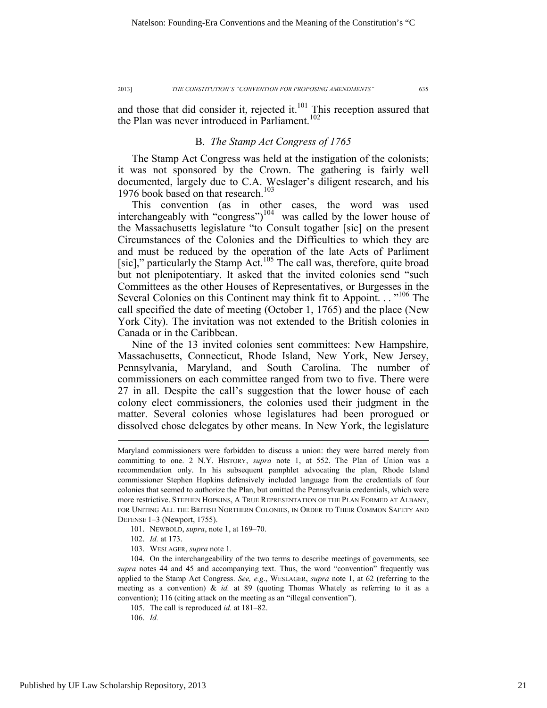and those that did consider it, rejected it. $101$  This reception assured that the Plan was never introduced in Parliament.<sup>102</sup>

### B. *The Stamp Act Congress of 1765*

The Stamp Act Congress was held at the instigation of the colonists; it was not sponsored by the Crown. The gathering is fairly well documented, largely due to C.A. Weslager's diligent research, and his 1976 book based on that research.<sup>103</sup>

This convention (as in other cases, the word was used interchangeably with "congress")104 was called by the lower house of the Massachusetts legislature "to Consult togather [sic] on the present Circumstances of the Colonies and the Difficulties to which they are and must be reduced by the operation of the late Acts of Parliment [sic]," particularly the Stamp Act.<sup>105</sup> The call was, therefore, quite broad but not plenipotentiary. It asked that the invited colonies send "such Committees as the other Houses of Representatives, or Burgesses in the Several Colonies on this Continent may think fit to Appoint. . . "<sup>106</sup> The call specified the date of meeting (October 1, 1765) and the place (New York City). The invitation was not extended to the British colonies in Canada or in the Caribbean.

Nine of the 13 invited colonies sent committees: New Hampshire, Massachusetts, Connecticut, Rhode Island, New York, New Jersey, Pennsylvania, Maryland, and South Carolina. The number of commissioners on each committee ranged from two to five. There were 27 in all. Despite the call's suggestion that the lower house of each colony elect commissioners, the colonies used their judgment in the matter. Several colonies whose legislatures had been prorogued or dissolved chose delegates by other means. In New York, the legislature

- 101. NEWBOLD, *supra*, note 1, at 169–70.
- 102. *Id.* at 173.
- 103. WESLAGER, *supra* note 1.

 104. On the interchangeability of the two terms to describe meetings of governments, see *supra* notes 44 and 45 and accompanying text. Thus, the word "convention" frequently was applied to the Stamp Act Congress. *See, e.g*., WESLAGER, *supra* note 1, at 62 (referring to the meeting as a convention) & *id.* at 89 (quoting Thomas Whately as referring to it as a convention); 116 (citing attack on the meeting as an "illegal convention").

105. The call is reproduced *id.* at 181–82.

106. *Id.*

Maryland commissioners were forbidden to discuss a union: they were barred merely from committing to one. 2 N.Y. HISTORY, *supra* note 1, at 552. The Plan of Union was a recommendation only. In his subsequent pamphlet advocating the plan, Rhode Island commissioner Stephen Hopkins defensively included language from the credentials of four colonies that seemed to authorize the Plan, but omitted the Pennsylvania credentials, which were more restrictive. STEPHEN HOPKINS, A TRUE REPRESENTATION OF THE PLAN FORMED AT ALBANY, FOR UNITING ALL THE BRITISH NORTHERN COLONIES, IN ORDER TO THEIR COMMON SAFETY AND DEFENSE 1–3 (Newport, 1755).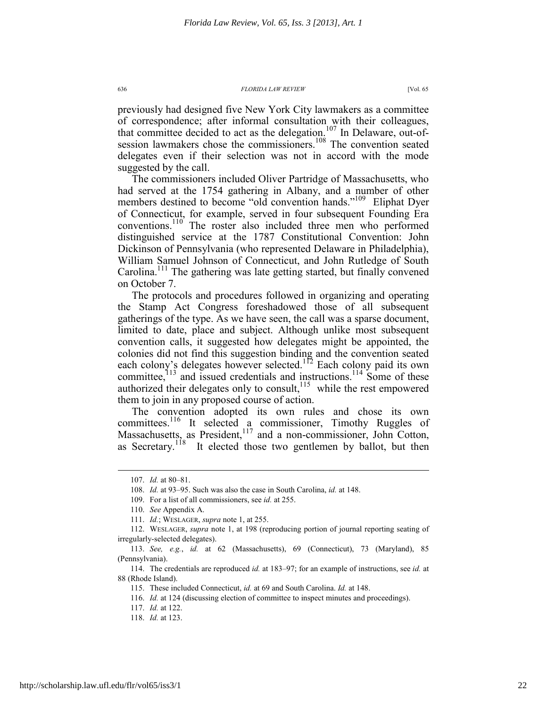previously had designed five New York City lawmakers as a committee of correspondence; after informal consultation with their colleagues, that committee decided to act as the delegation.<sup>107</sup> In Delaware, out-ofsession lawmakers chose the commissioners.<sup>108</sup> The convention seated delegates even if their selection was not in accord with the mode suggested by the call.

The commissioners included Oliver Partridge of Massachusetts, who had served at the 1754 gathering in Albany, and a number of other members destined to become "old convention hands."<sup>109</sup> Eliphat Dyer of Connecticut, for example, served in four subsequent Founding Era conventions.110 The roster also included three men who performed distinguished service at the 1787 Constitutional Convention: John Dickinson of Pennsylvania (who represented Delaware in Philadelphia), William Samuel Johnson of Connecticut, and John Rutledge of South Carolina.<sup>111</sup> The gathering was late getting started, but finally convened on October 7.

The protocols and procedures followed in organizing and operating the Stamp Act Congress foreshadowed those of all subsequent gatherings of the type. As we have seen, the call was a sparse document, limited to date, place and subject. Although unlike most subsequent convention calls, it suggested how delegates might be appointed, the colonies did not find this suggestion binding and the convention seated each colony's delegates however selected.<sup>112</sup> Each colony paid its own committee,<sup>113</sup> and issued credentials and instructions.<sup>114</sup> Some of these authorized their delegates only to consult,  $115$  while the rest empowered them to join in any proposed course of action.

The convention adopted its own rules and chose its own committees.<sup>116</sup> It selected a commissioner, Timothy Ruggles of Massachusetts, as President,<sup>117</sup> and a non-commissioner, John Cotton, as Secretary.<sup>118</sup> It elected those two gentlemen by ballot, but then

 <sup>107.</sup> *Id.* at 80–81.

 <sup>108.</sup> *Id.* at 93–95. Such was also the case in South Carolina, *id.* at 148.

 <sup>109.</sup> For a list of all commissioners, see *id.* at 255.

 <sup>110.</sup> *See* Appendix A.

 <sup>111.</sup> *Id.*; WESLAGER, *supra* note 1, at 255.

 <sup>112.</sup> WESLAGER, *supra* note 1, at 198 (reproducing portion of journal reporting seating of irregularly-selected delegates).

 <sup>113.</sup> *See, e.g.*, *id.* at 62 (Massachusetts), 69 (Connecticut), 73 (Maryland), 85 (Pennsylvania).

 <sup>114.</sup> The credentials are reproduced *id.* at 183–97; for an example of instructions, see *id.* at 88 (Rhode Island).

 <sup>115.</sup> These included Connecticut, *id.* at 69 and South Carolina. *Id.* at 148.

 <sup>116.</sup> *Id.* at 124 (discussing election of committee to inspect minutes and proceedings).

 <sup>117.</sup> *Id.* at 122.

 <sup>118.</sup> *Id.* at 123.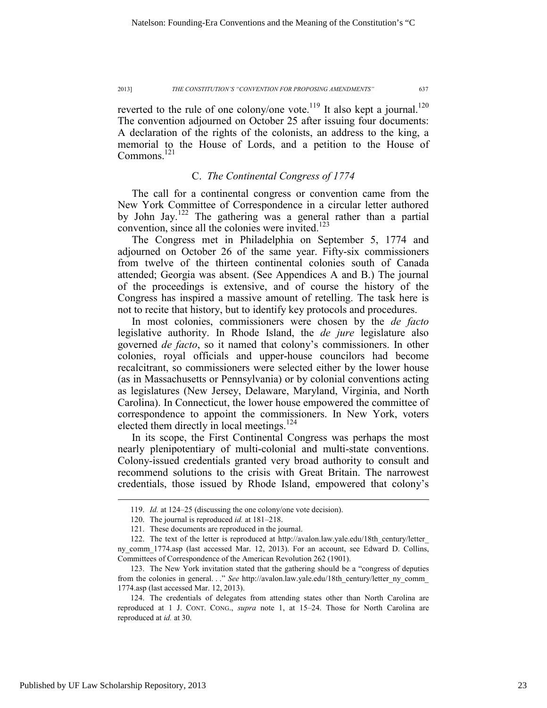reverted to the rule of one colony/one vote.<sup>119</sup> It also kept a journal.<sup>120</sup> The convention adjourned on October 25 after issuing four documents: A declaration of the rights of the colonists, an address to the king, a memorial to the House of Lords, and a petition to the House of Commons.<sup>121</sup>

### C. *The Continental Congress of 1774*

The call for a continental congress or convention came from the New York Committee of Correspondence in a circular letter authored by John Jay.<sup>122</sup> The gathering was a general rather than a partial convention, since all the colonies were invited.<sup>123</sup>

The Congress met in Philadelphia on September 5, 1774 and adjourned on October 26 of the same year. Fifty-six commissioners from twelve of the thirteen continental colonies south of Canada attended; Georgia was absent. (See Appendices A and B.) The journal of the proceedings is extensive, and of course the history of the Congress has inspired a massive amount of retelling. The task here is not to recite that history, but to identify key protocols and procedures.

In most colonies, commissioners were chosen by the *de facto* legislative authority. In Rhode Island, the *de jure* legislature also governed *de facto*, so it named that colony's commissioners. In other colonies, royal officials and upper-house councilors had become recalcitrant, so commissioners were selected either by the lower house (as in Massachusetts or Pennsylvania) or by colonial conventions acting as legislatures (New Jersey, Delaware, Maryland, Virginia, and North Carolina). In Connecticut, the lower house empowered the committee of correspondence to appoint the commissioners. In New York, voters elected them directly in local meetings.<sup>124</sup>

In its scope, the First Continental Congress was perhaps the most nearly plenipotentiary of multi-colonial and multi-state conventions. Colony-issued credentials granted very broad authority to consult and recommend solutions to the crisis with Great Britain. The narrowest credentials, those issued by Rhode Island, empowered that colony's

 <sup>119.</sup> *Id.* at 124–25 (discussing the one colony/one vote decision).

 <sup>120.</sup> The journal is reproduced *id.* at 181–218.

 <sup>121.</sup> These documents are reproduced in the journal.

 <sup>122.</sup> The text of the letter is reproduced at http://avalon.law.yale.edu/18th\_century/letter\_

ny comm 1774.asp (last accessed Mar. 12, 2013). For an account, see Edward D. Collins, Committees of Correspondence of the American Revolution 262 (1901).

 <sup>123.</sup> The New York invitation stated that the gathering should be a "congress of deputies from the colonies in general. . ." *See* http://avalon.law.yale.edu/18th century/letter ny comm 1774.asp (last accessed Mar. 12, 2013).

 <sup>124.</sup> The credentials of delegates from attending states other than North Carolina are reproduced at 1 J. CONT. CONG., *supra* note 1, at 15–24. Those for North Carolina are reproduced at *id.* at 30.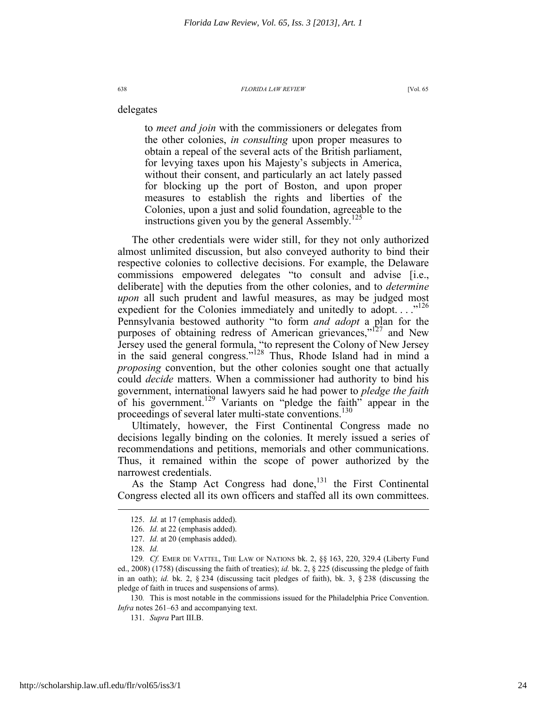to *meet and join* with the commissioners or delegates from the other colonies, *in consulting* upon proper measures to obtain a repeal of the several acts of the British parliament, for levying taxes upon his Majesty's subjects in America, without their consent, and particularly an act lately passed for blocking up the port of Boston, and upon proper measures to establish the rights and liberties of the Colonies, upon a just and solid foundation, agreeable to the instructions given you by the general Assembly.<sup>125</sup>

The other credentials were wider still, for they not only authorized almost unlimited discussion, but also conveyed authority to bind their respective colonies to collective decisions. For example, the Delaware commissions empowered delegates "to consult and advise [i.e., deliberate] with the deputies from the other colonies, and to *determine upon* all such prudent and lawful measures, as may be judged most expedient for the Colonies immediately and unitedly to adopt.  $\ldots$ <sup>126</sup> Pennsylvania bestowed authority "to form *and adopt* a plan for the purposes of obtaining redress of American grievances,"<sup>127</sup> and New Jersey used the general formula, "to represent the Colony of New Jersey in the said general congress."<sup>128</sup> Thus, Rhode Island had in mind a *proposing* convention, but the other colonies sought one that actually could *decide* matters. When a commissioner had authority to bind his government, international lawyers said he had power to *pledge the faith* of his government.129 Variants on "pledge the faith" appear in the proceedings of several later multi-state conventions.<sup>130</sup>

Ultimately, however, the First Continental Congress made no decisions legally binding on the colonies. It merely issued a series of recommendations and petitions, memorials and other communications. Thus, it remained within the scope of power authorized by the narrowest credentials.

As the Stamp Act Congress had done,  $131$  the First Continental Congress elected all its own officers and staffed all its own committees.

 $\overline{a}$ 

delegates

 <sup>125.</sup> *Id.* at 17 (emphasis added).

 <sup>126.</sup> *Id.* at 22 (emphasis added).

 <sup>127.</sup> *Id.* at 20 (emphasis added).

 <sup>128.</sup> *Id.*

<sup>129</sup>*. Cf.* EMER DE VATTEL, THE LAW OF NATIONS bk. 2, §§ 163, 220, 329.4 (Liberty Fund ed., 2008) (1758) (discussing the faith of treaties); *id.* bk. 2, § 225 (discussing the pledge of faith in an oath); *id.* bk. 2, § 234 (discussing tacit pledges of faith), bk. 3, § 238 (discussing the pledge of faith in truces and suspensions of arms).

<sup>130</sup>*.* This is most notable in the commissions issued for the Philadelphia Price Convention. *Infra* notes 261–63 and accompanying text.

 <sup>131.</sup> *Supra* Part III.B.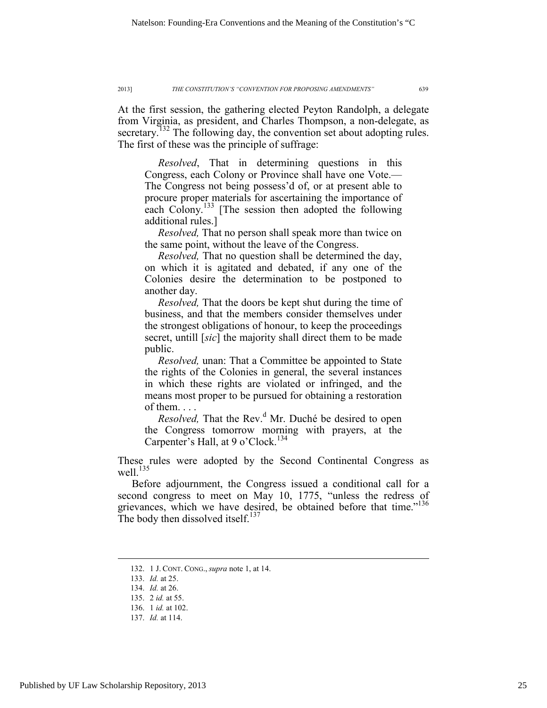At the first session, the gathering elected Peyton Randolph, a delegate from Virginia, as president, and Charles Thompson, a non-delegate, as secretary.<sup>132</sup> The following day, the convention set about adopting rules. The first of these was the principle of suffrage:

 *Resolved*, That in determining questions in this Congress, each Colony or Province shall have one Vote.— The Congress not being possess'd of, or at present able to procure proper materials for ascertaining the importance of each Colony.<sup>133</sup> [The session then adopted the following additional rules.]

 *Resolved,* That no person shall speak more than twice on the same point, without the leave of the Congress.

 *Resolved,* That no question shall be determined the day, on which it is agitated and debated, if any one of the Colonies desire the determination to be postponed to another day.

 *Resolved,* That the doors be kept shut during the time of business, and that the members consider themselves under the strongest obligations of honour, to keep the proceedings secret, untill [*sic*] the majority shall direct them to be made public.

 *Resolved,* unan: That a Committee be appointed to State the rights of the Colonies in general, the several instances in which these rights are violated or infringed, and the means most proper to be pursued for obtaining a restoration of them. . . .

*Resolved*, That the Rev.<sup>d</sup> Mr. Duché be desired to open the Congress tomorrow morning with prayers, at the Carpenter's Hall, at 9 o'Clock.<sup>134</sup>

These rules were adopted by the Second Continental Congress as well. $^{135}$ 

Before adjournment, the Congress issued a conditional call for a second congress to meet on May 10, 1775, "unless the redress of grievances, which we have desired, be obtained before that time."<sup>136</sup> The body then dissolved itself.<sup>137</sup>

 <sup>132. 1</sup> J. CONT. CONG., *supra* note 1, at 14.

 <sup>133.</sup> *Id.* at 25.

 <sup>134.</sup> *Id.* at 26.

 <sup>135. 2</sup> *id.* at 55.

 <sup>136. 1</sup> *id.* at 102.

 <sup>137.</sup> *Id.* at 114.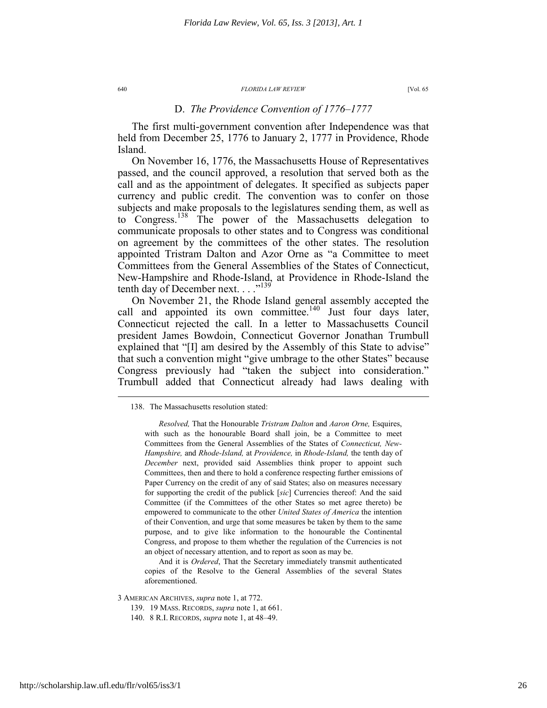### D. *The Providence Convention of 1776–1777*

The first multi-government convention after Independence was that held from December 25, 1776 to January 2, 1777 in Providence, Rhode Island.

On November 16, 1776, the Massachusetts House of Representatives passed, and the council approved, a resolution that served both as the call and as the appointment of delegates. It specified as subjects paper currency and public credit. The convention was to confer on those subjects and make proposals to the legislatures sending them, as well as to Congress.138 The power of the Massachusetts delegation to communicate proposals to other states and to Congress was conditional on agreement by the committees of the other states. The resolution appointed Tristram Dalton and Azor Orne as "a Committee to meet Committees from the General Assemblies of the States of Connecticut, New-Hampshire and Rhode-Island, at Providence in Rhode-Island the tenth day of December next.  $\ldots$ <sup>139</sup>

On November 21, the Rhode Island general assembly accepted the call and appointed its own committee.<sup>140</sup> Just four days later, Connecticut rejected the call. In a letter to Massachusetts Council president James Bowdoin, Connecticut Governor Jonathan Trumbull explained that "[I] am desired by the Assembly of this State to advise" that such a convention might "give umbrage to the other States" because Congress previously had "taken the subject into consideration." Trumbull added that Connecticut already had laws dealing with

And it is *Ordered*, That the Secretary immediately transmit authenticated copies of the Resolve to the General Assemblies of the several States aforementioned.

3 AMERICAN ARCHIVES, *supra* note 1, at 772.

- 139. 19 MASS. RECORDS, *supra* note 1, at 661.
- 140. 8 R.I. RECORDS, *supra* note 1, at 48–49.

 <sup>138.</sup> The Massachusetts resolution stated:

*Resolved,* That the Honourable *Tristram Dalton* and *Aaron Orne,* Esquires, with such as the honourable Board shall join, be a Committee to meet Committees from the General Assemblies of the States of *Connecticut, New-Hampshire,* and *Rhode-Island,* at *Providence,* in *Rhode-Island,* the tenth day of *December* next, provided said Assemblies think proper to appoint such Committees, then and there to hold a conference respecting further emissions of Paper Currency on the credit of any of said States; also on measures necessary for supporting the credit of the publick [*sic*] Currencies thereof: And the said Committee (if the Committees of the other States so met agree thereto) be empowered to communicate to the other *United States of America* the intention of their Convention, and urge that some measures be taken by them to the same purpose, and to give like information to the honourable the Continental Congress, and propose to them whether the regulation of the Currencies is not an object of necessary attention, and to report as soon as may be.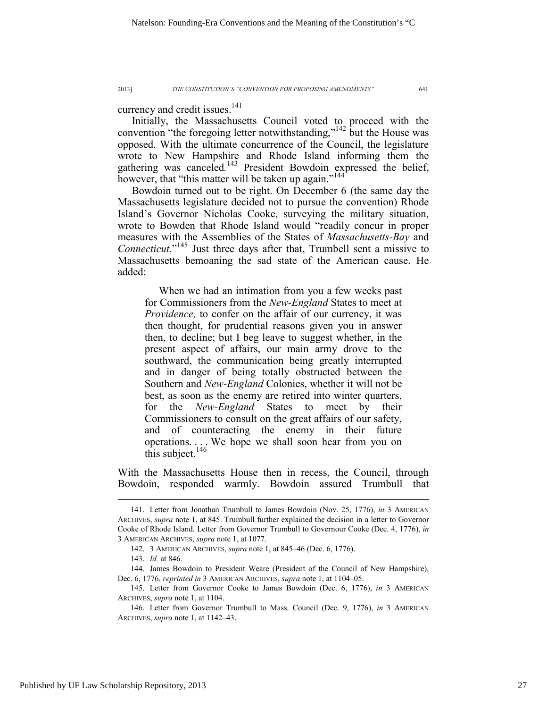currency and credit issues.<sup>141</sup>

Initially, the Massachusetts Council voted to proceed with the convention "the foregoing letter notwithstanding,"<sup>142</sup> but the House was opposed. With the ultimate concurrence of the Council, the legislature wrote to New Hampshire and Rhode Island informing them the gathering was canceled.<sup>143</sup> President Bowdoin expressed the belief, however, that "this matter will be taken up again."<sup>144</sup>

Bowdoin turned out to be right. On December 6 (the same day the Massachusetts legislature decided not to pursue the convention) Rhode Island's Governor Nicholas Cooke, surveying the military situation, wrote to Bowden that Rhode Island would "readily concur in proper measures with the Assemblies of the States of *Massachusetts-Bay* and *Connecticut*."145 Just three days after that, Trumbell sent a missive to Massachusetts bemoaning the sad state of the American cause. He added:

When we had an intimation from you a few weeks past for Commissioners from the *New-England* States to meet at *Providence*, to confer on the affair of our currency, it was then thought, for prudential reasons given you in answer then, to decline; but I beg leave to suggest whether, in the present aspect of affairs, our main army drove to the southward, the communication being greatly interrupted and in danger of being totally obstructed between the Southern and *New-England* Colonies, whether it will not be best, as soon as the enemy are retired into winter quarters, for the *New-England* States to meet by their Commissioners to consult on the great affairs of our safety, and of counteracting the enemy in their future operations. . . . We hope we shall soon hear from you on this subject. $146$ 

With the Massachusetts House then in recess, the Council, through Bowdoin, responded warmly. Bowdoin assured Trumbull that

 <sup>141.</sup> Letter from Jonathan Trumbull to James Bowdoin (Nov. 25, 1776), *in* 3 AMERICAN ARCHIVES, *supra* note 1, at 845. Trumbull further explained the decision in a letter to Governor Cooke of Rhode Island. Letter from Governor Trumbull to Governour Cooke (Dec. 4, 1776), *in* 3 AMERICAN ARCHIVES, *supra* note 1, at 1077.

 <sup>142. 3</sup> AMERICAN ARCHIVES, *supra* note 1, at 845–46 (Dec. 6, 1776).

 <sup>143.</sup> *Id.* at 846.

 <sup>144.</sup> James Bowdoin to President Weare (President of the Council of New Hampshire), Dec. 6, 1776, *reprinted in* 3 AMERICAN ARCHIVES, *supra* note 1, at 1104–05.

 <sup>145.</sup> Letter from Governor Cooke to James Bowdoin (Dec. 6, 1776), *in* 3 AMERICAN ARCHIVES, *supra* note 1, at 1104.

 <sup>146.</sup> Letter from Governor Trumbull to Mass. Council (Dec. 9, 1776), *in* 3 AMERICAN ARCHIVES, *supra* note 1, at 1142–43.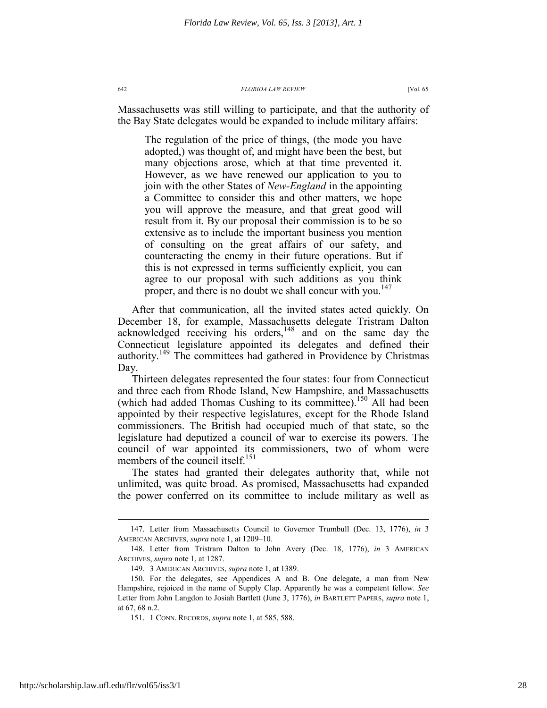Massachusetts was still willing to participate, and that the authority of the Bay State delegates would be expanded to include military affairs:

The regulation of the price of things, (the mode you have adopted,) was thought of, and might have been the best, but many objections arose, which at that time prevented it. However, as we have renewed our application to you to join with the other States of *New-England* in the appointing a Committee to consider this and other matters, we hope you will approve the measure, and that great good will result from it. By our proposal their commission is to be so extensive as to include the important business you mention of consulting on the great affairs of our safety, and counteracting the enemy in their future operations. But if this is not expressed in terms sufficiently explicit, you can agree to our proposal with such additions as you think proper, and there is no doubt we shall concur with you.<sup>147</sup>

After that communication, all the invited states acted quickly. On December 18, for example, Massachusetts delegate Tristram Dalton acknowledged receiving his orders,<sup>148</sup> and on the same day the Connecticut legislature appointed its delegates and defined their authority.<sup>149</sup> The committees had gathered in Providence by Christmas Day.

Thirteen delegates represented the four states: four from Connecticut and three each from Rhode Island, New Hampshire, and Massachusetts (which had added Thomas Cushing to its committee).<sup>150</sup> All had been appointed by their respective legislatures, except for the Rhode Island commissioners. The British had occupied much of that state, so the legislature had deputized a council of war to exercise its powers. The council of war appointed its commissioners, two of whom were members of the council itself.<sup>151</sup>

The states had granted their delegates authority that, while not unlimited, was quite broad. As promised, Massachusetts had expanded the power conferred on its committee to include military as well as

 <sup>147.</sup> Letter from Massachusetts Council to Governor Trumbull (Dec. 13, 1776), *in* 3 AMERICAN ARCHIVES, *supra* note 1, at 1209–10.

 <sup>148.</sup> Letter from Tristram Dalton to John Avery (Dec. 18, 1776), *in* 3 AMERICAN ARCHIVES, *supra* note 1, at 1287.

 <sup>149. 3</sup> AMERICAN ARCHIVES, *supra* note 1, at 1389.

 <sup>150.</sup> For the delegates, see Appendices A and B. One delegate, a man from New Hampshire, rejoiced in the name of Supply Clap. Apparently he was a competent fellow. *See*  Letter from John Langdon to Josiah Bartlett (June 3, 1776), *in* BARTLETT PAPERS, *supra* note 1, at 67, 68 n.2.

 <sup>151. 1</sup> CONN. RECORDS, *supra* note 1, at 585, 588.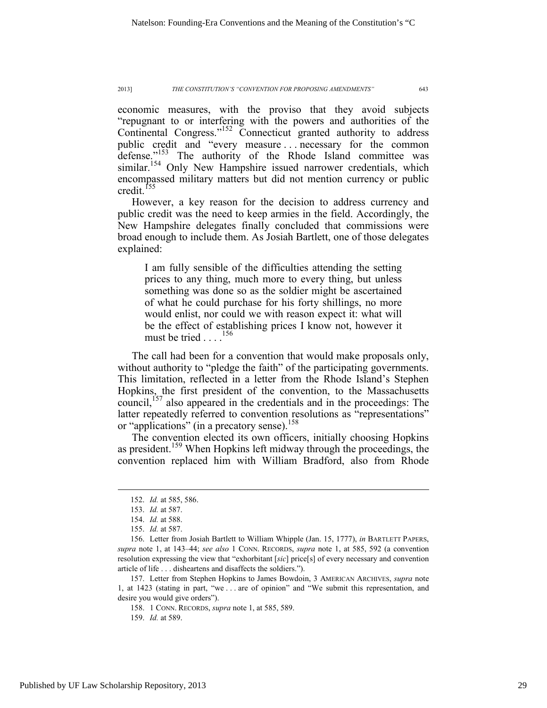economic measures, with the proviso that they avoid subjects "repugnant to or interfering with the powers and authorities of the Continental Congress."152 Connecticut granted authority to address public credit and "every measure . . . necessary for the common defense."<sup>153</sup> The authority of the Rhode Island committee was similar.<sup>154</sup> Only New Hampshire issued narrower credentials, which encompassed military matters but did not mention currency or public credit.<sup>155</sup>

However, a key reason for the decision to address currency and public credit was the need to keep armies in the field. Accordingly, the New Hampshire delegates finally concluded that commissions were broad enough to include them. As Josiah Bartlett, one of those delegates explained:

I am fully sensible of the difficulties attending the setting prices to any thing, much more to every thing, but unless something was done so as the soldier might be ascertained of what he could purchase for his forty shillings, no more would enlist, nor could we with reason expect it: what will be the effect of establishing prices I know not, however it must be tried . . . .<sup>156</sup>

The call had been for a convention that would make proposals only, without authority to "pledge the faith" of the participating governments. This limitation, reflected in a letter from the Rhode Island's Stephen Hopkins, the first president of the convention, to the Massachusetts council,<sup> $157$ </sup> also appeared in the credentials and in the proceedings: The latter repeatedly referred to convention resolutions as "representations" or "applications" (in a precatory sense).<sup>158</sup>

The convention elected its own officers, initially choosing Hopkins as president.<sup>159</sup> When Hopkins left midway through the proceedings, the convention replaced him with William Bradford, also from Rhode

158. 1 CONN. RECORDS, *supra* note 1, at 585, 589.

159. *Id.* at 589.

 <sup>152.</sup> *Id.* at 585, 586.

 <sup>153.</sup> *Id.* at 587.

 <sup>154.</sup> *Id.* at 588.

 <sup>155.</sup> *Id.* at 587.

 <sup>156.</sup> Letter from Josiah Bartlett to William Whipple (Jan. 15, 1777), *in* BARTLETT PAPERS, *supra* note 1, at 143–44; *see also* 1 CONN. RECORDS, *supra* note 1, at 585, 592 (a convention resolution expressing the view that "exhorbitant [*sic*] price[s] of every necessary and convention article of life . . . disheartens and disaffects the soldiers.").

 <sup>157.</sup> Letter from Stephen Hopkins to James Bowdoin, 3 AMERICAN ARCHIVES, *supra* note 1, at 1423 (stating in part, "we . . . are of opinion" and "We submit this representation, and desire you would give orders").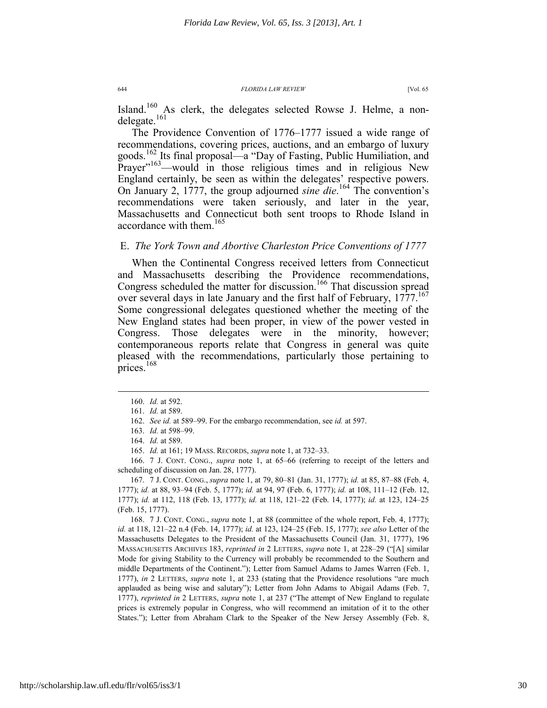Island.<sup>160</sup> As clerk, the delegates selected Rowse J. Helme, a nondelegate.<sup>161</sup>

The Providence Convention of 1776–1777 issued a wide range of recommendations, covering prices, auctions, and an embargo of luxury goods.162 Its final proposal—a "Day of Fasting, Public Humiliation, and Prayer"<sup>163</sup>—would in those religious times and in religious New England certainly, be seen as within the delegates' respective powers. On January 2, 1777, the group adjourned *sine die*. 164 The convention's recommendations were taken seriously, and later in the year, Massachusetts and Connecticut both sent troops to Rhode Island in accordance with them.165

### E. *The York Town and Abortive Charleston Price Conventions of 1777*

When the Continental Congress received letters from Connecticut and Massachusetts describing the Providence recommendations, Congress scheduled the matter for discussion.<sup>166</sup> That discussion spread over several days in late January and the first half of February, 1777.<sup>167</sup> Some congressional delegates questioned whether the meeting of the New England states had been proper, in view of the power vested in Congress. Those delegates were in the minority, however; contemporaneous reports relate that Congress in general was quite pleased with the recommendations, particularly those pertaining to prices.<sup>168</sup>

 $\overline{a}$ 

165. *Id.* at 161; 19 MASS. RECORDS, *supra* note 1, at 732–33.

 166. 7 J. CONT. CONG., *supra* note 1, at 65–66 (referring to receipt of the letters and scheduling of discussion on Jan. 28, 1777).

 167. 7 J. CONT. CONG., *supra* note 1, at 79, 80–81 (Jan. 31, 1777); *id.* at 85, 87–88 (Feb. 4, 1777); *id.* at 88, 93–94 (Feb. 5, 1777); *id.* at 94, 97 (Feb. 6, 1777); *id.* at 108, 111–12 (Feb. 12, 1777); *id.* at 112, 118 (Feb. 13, 1777); *id.* at 118, 121–22 (Feb. 14, 1777); *id.* at 123, 124–25 (Feb. 15, 1777).

 168. 7 J. CONT. CONG., *supra* note 1, at 88 (committee of the whole report, Feb. 4, 1777); *id.* at 118, 121–22 n.4 (Feb. 14, 1777); *id.* at 123, 124–25 (Feb. 15, 1777); *see also* Letter of the Massachusetts Delegates to the President of the Massachusetts Council (Jan. 31, 1777), 196 MASSACHUSETTS ARCHIVES 183, *reprinted in* 2 LETTERS, *supra* note 1, at 228–29 ("[A] similar Mode for giving Stability to the Currency will probably be recommended to the Southern and middle Departments of the Continent."); Letter from Samuel Adams to James Warren (Feb. 1, 1777), *in* 2 LETTERS, *supra* note 1, at 233 (stating that the Providence resolutions "are much applauded as being wise and salutary"); Letter from John Adams to Abigail Adams (Feb. 7, 1777), *reprinted in* 2 LETTERS, *supra* note 1, at 237 ("The attempt of New England to regulate prices is extremely popular in Congress, who will recommend an imitation of it to the other States."); Letter from Abraham Clark to the Speaker of the New Jersey Assembly (Feb. 8,

 <sup>160.</sup> *Id.* at 592.

 <sup>161.</sup> *Id.* at 589.

 <sup>162.</sup> *See id.* at 589–99. For the embargo recommendation, see *id.* at 597.

 <sup>163.</sup> *Id.* at 598–99.

 <sup>164.</sup> *Id.* at 589.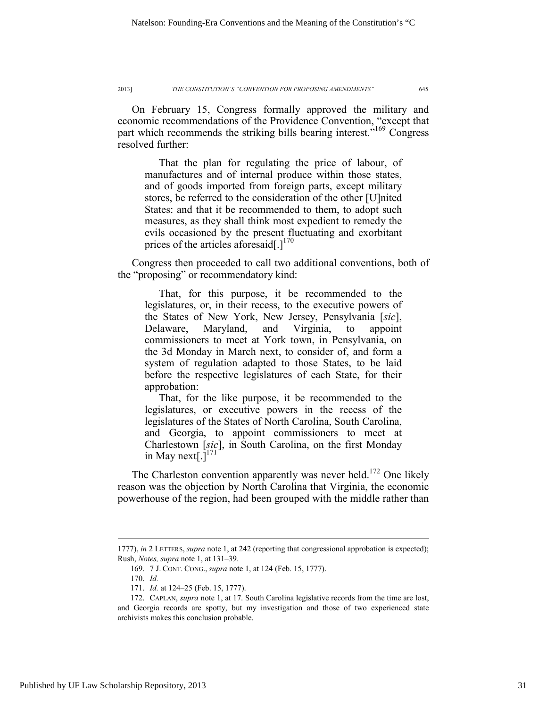On February 15, Congress formally approved the military and economic recommendations of the Providence Convention, "except that part which recommends the striking bills bearing interest.<sup>"169</sup> Congress resolved further:

That the plan for regulating the price of labour, of manufactures and of internal produce within those states, and of goods imported from foreign parts, except military stores, be referred to the consideration of the other [U]nited States: and that it be recommended to them, to adopt such measures, as they shall think most expedient to remedy the evils occasioned by the present fluctuating and exorbitant prices of the articles aforesaid[.] $170$ 

Congress then proceeded to call two additional conventions, both of the "proposing" or recommendatory kind:

That, for this purpose, it be recommended to the legislatures, or, in their recess, to the executive powers of the States of New York, New Jersey, Pensylvania [*sic*], Delaware, Maryland, and Virginia, to appoint commissioners to meet at York town, in Pensylvania, on the 3d Monday in March next, to consider of, and form a system of regulation adapted to those States, to be laid before the respective legislatures of each State, for their approbation:

That, for the like purpose, it be recommended to the legislatures, or executive powers in the recess of the legislatures of the States of North Carolina, South Carolina, and Georgia, to appoint commissioners to meet at Charlestown [*sic*], in South Carolina, on the first Monday in May next[.] $171$ 

The Charleston convention apparently was never held.<sup>172</sup> One likely reason was the objection by North Carolina that Virginia, the economic powerhouse of the region, had been grouped with the middle rather than

<sup>1777),</sup> *in* 2 LETTERS, *supra* note 1, at 242 (reporting that congressional approbation is expected); Rush, *Notes, supra* note 1, at 131–39.

 <sup>169. 7</sup> J. CONT. CONG., *supra* note 1, at 124 (Feb. 15, 1777).

 <sup>170.</sup> *Id.*

 <sup>171.</sup> *Id.* at 124–25 (Feb. 15, 1777).

 <sup>172.</sup> CAPLAN, *supra* note 1, at 17. South Carolina legislative records from the time are lost, and Georgia records are spotty, but my investigation and those of two experienced state archivists makes this conclusion probable.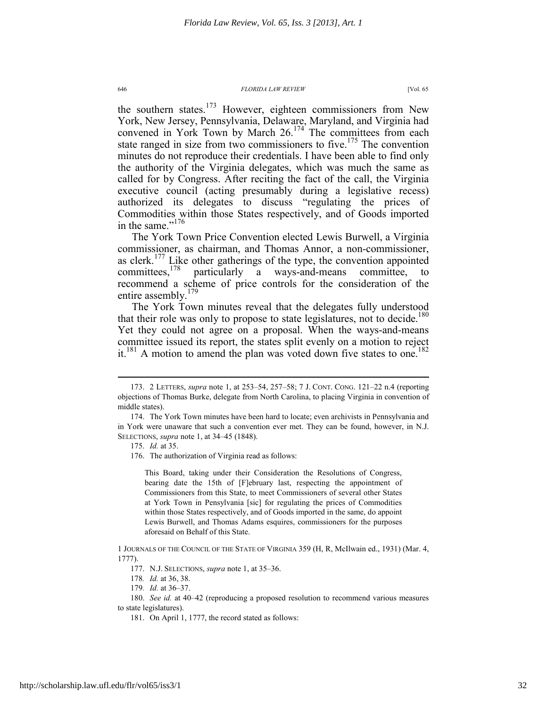the southern states.<sup>173</sup> However, eighteen commissioners from New York, New Jersey, Pennsylvania, Delaware, Maryland, and Virginia had convened in York Town by March 26.<sup>174</sup> The committees from each state ranged in size from two commissioners to five.<sup>175</sup> The convention minutes do not reproduce their credentials. I have been able to find only the authority of the Virginia delegates, which was much the same as called for by Congress. After reciting the fact of the call, the Virginia executive council (acting presumably during a legislative recess) authorized its delegates to discuss "regulating the prices of Commodities within those States respectively, and of Goods imported in the same."<sup>176</sup>

The York Town Price Convention elected Lewis Burwell, a Virginia commissioner, as chairman, and Thomas Annor, a non-commissioner, as clerk.<sup>177</sup> Like other gatherings of the type, the convention appointed committees.<sup>178</sup> particularly a wavs-and-means committee. to particularly a ways-and-means committee, to recommend a scheme of price controls for the consideration of the entire assembly.<sup>179</sup>

The York Town minutes reveal that the delegates fully understood that their role was only to propose to state legislatures, not to decide.<sup>180</sup> Yet they could not agree on a proposal. When the ways-and-means committee issued its report, the states split evenly on a motion to reject it.<sup>181</sup> A motion to amend the plan was voted down five states to one.<sup>182</sup>

 $\overline{a}$ 

This Board, taking under their Consideration the Resolutions of Congress, bearing date the 15th of [F]ebruary last, respecting the appointment of Commissioners from this State, to meet Commissioners of several other States at York Town in Pensylvania [sic] for regulating the prices of Commodities within those States respectively, and of Goods imported in the same, do appoint Lewis Burwell, and Thomas Adams esquires, commissioners for the purposes aforesaid on Behalf of this State.

 <sup>173. 2</sup> LETTERS, *supra* note 1, at 253–54, 257–58; 7 J. CONT. CONG. 121–22 n.4 (reporting objections of Thomas Burke, delegate from North Carolina, to placing Virginia in convention of middle states).

 <sup>174.</sup> The York Town minutes have been hard to locate; even archivists in Pennsylvania and in York were unaware that such a convention ever met. They can be found, however, in N.J. SELECTIONS, *supra* note 1, at 34–45 (1848).

 <sup>175.</sup> *Id.* at 35.

 <sup>176.</sup> The authorization of Virginia read as follows:

<sup>1</sup> JOURNALS OF THE COUNCIL OF THE STATE OF VIRGINIA 359 (H, R, McIlwain ed., 1931) (Mar. 4, 1777).

 <sup>177.</sup> N.J. SELECTIONS, *supra* note 1, at 35–36.

<sup>178</sup>*. Id.* at 36, 38.

<sup>179</sup>*. Id.* at 36–37.

 <sup>180.</sup> *See id.* at 40–42 (reproducing a proposed resolution to recommend various measures to state legislatures).

 <sup>181.</sup> On April 1, 1777, the record stated as follows: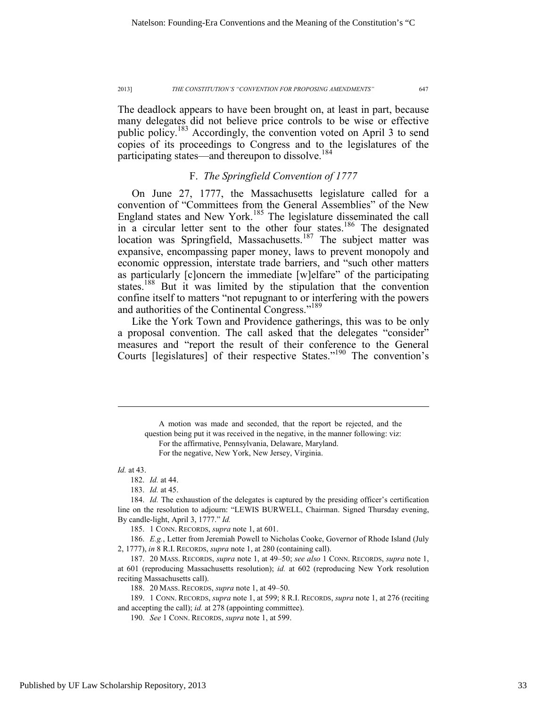The deadlock appears to have been brought on, at least in part, because many delegates did not believe price controls to be wise or effective public policy.183 Accordingly, the convention voted on April 3 to send copies of its proceedings to Congress and to the legislatures of the participating states—and thereupon to dissolve.<sup>184</sup>

### F. *The Springfield Convention of 1777*

On June 27, 1777, the Massachusetts legislature called for a convention of "Committees from the General Assemblies" of the New England states and New York.<sup>185</sup> The legislature disseminated the call in a circular letter sent to the other four states.<sup>186</sup> The designated location was Springfield, Massachusetts.<sup>187</sup> The subject matter was expansive, encompassing paper money, laws to prevent monopoly and economic oppression, interstate trade barriers, and "such other matters as particularly [c]oncern the immediate [w]elfare" of the participating states.<sup>188</sup> But it was limited by the stipulation that the convention confine itself to matters "not repugnant to or interfering with the powers and authorities of the Continental Congress."<sup>189</sup>

Like the York Town and Providence gatherings, this was to be only a proposal convention. The call asked that the delegates "consider" measures and "report the result of their conference to the General Courts [legislatures] of their respective States."190 The convention's

*Id.* at 43.

 $\overline{a}$ 

182. *Id.* at 44.

183. *Id.* at 45.

 184. *Id.* The exhaustion of the delegates is captured by the presiding officer's certification line on the resolution to adjourn: "LEWIS BURWELL, Chairman. Signed Thursday evening, By candle-light, April 3, 1777." *Id.*

185. 1 CONN. RECORDS, *supra* note 1, at 601.

 186. *E.g.*, Letter from Jeremiah Powell to Nicholas Cooke, Governor of Rhode Island (July 2, 1777), *in* 8 R.I. RECORDS, *supra* note 1, at 280 (containing call).

 187. 20 MASS. RECORDS, *supra* note 1, at 49–50; *see also* 1 CONN. RECORDS, *supra* note 1, at 601 (reproducing Massachusetts resolution); *id.* at 602 (reproducing New York resolution reciting Massachusetts call).

188. 20 MASS. RECORDS, *supra* note 1, at 49–50.

 189. 1 CONN. RECORDS, *supra* note 1, at 599; 8 R.I. RECORDS, *supra* note 1, at 276 (reciting and accepting the call); *id.* at 278 (appointing committee).

190. *See* 1 CONN. RECORDS, *supra* note 1, at 599.

A motion was made and seconded, that the report be rejected, and the question being put it was received in the negative, in the manner following: viz: For the affirmative, Pennsylvania, Delaware, Maryland. For the negative, New York, New Jersey, Virginia.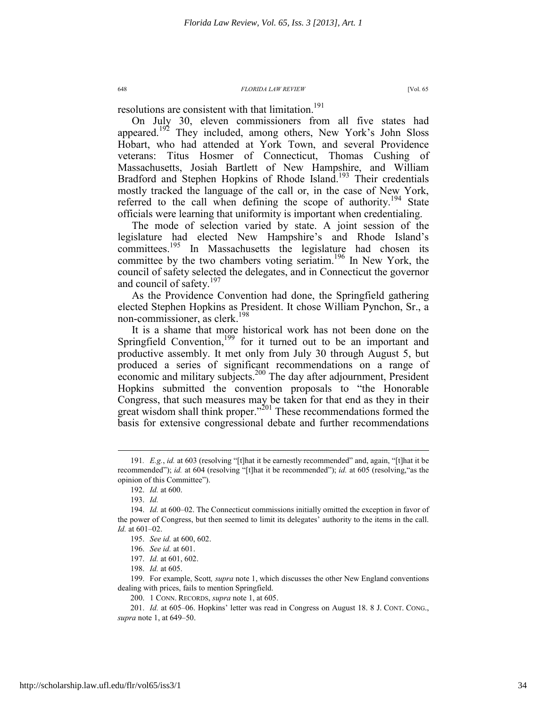resolutions are consistent with that limitation.<sup>191</sup>

On July 30, eleven commissioners from all five states had appeared.<sup>192</sup> They included, among others, New York's John Sloss Hobart, who had attended at York Town, and several Providence veterans: Titus Hosmer of Connecticut, Thomas Cushing of Massachusetts, Josiah Bartlett of New Hampshire, and William Bradford and Stephen Hopkins of Rhode Island.<sup>193</sup> Their credentials mostly tracked the language of the call or, in the case of New York, referred to the call when defining the scope of authority.<sup>194</sup> State officials were learning that uniformity is important when credentialing.

The mode of selection varied by state. A joint session of the legislature had elected New Hampshire's and Rhode Island's committees.<sup>195</sup> In Massachusetts the legislature had chosen its committee by the two chambers voting seriatim.<sup>196</sup> In New York, the council of safety selected the delegates, and in Connecticut the governor and council of safety.<sup>197</sup>

As the Providence Convention had done, the Springfield gathering elected Stephen Hopkins as President. It chose William Pynchon, Sr., a non-commissioner, as clerk.198

It is a shame that more historical work has not been done on the Springfield Convention,<sup>199</sup> for it turned out to be an important and productive assembly. It met only from July 30 through August 5, but produced a series of significant recommendations on a range of economic and military subjects.<sup>200</sup> The day after adjournment, President Hopkins submitted the convention proposals to "the Honorable Congress, that such measures may be taken for that end as they in their great wisdom shall think proper."<sup>201</sup> These recommendations formed the basis for extensive congressional debate and further recommendations

 <sup>191</sup>*. E.g.*, *id.* at 603 (resolving "[t]hat it be earnestly recommended" and, again, "[t]hat it be recommended"); *id.* at 604 (resolving "[t]hat it be recommended"); *id.* at 605 (resolving,"as the opinion of this Committee").

 <sup>192.</sup> *Id.* at 600.

 <sup>193.</sup> *Id.* 

 <sup>194.</sup> *Id.* at 600–02. The Connecticut commissions initially omitted the exception in favor of the power of Congress, but then seemed to limit its delegates' authority to the items in the call. *Id.* at 601–02.

 <sup>195.</sup> *See id.* at 600, 602.

 <sup>196.</sup> *See id.* at 601.

 <sup>197.</sup> *Id.* at 601, 602.

 <sup>198.</sup> *Id.* at 605.

 <sup>199.</sup> For example, Scott*, supra* note 1, which discusses the other New England conventions dealing with prices, fails to mention Springfield.

 <sup>200. 1</sup> CONN. RECORDS, *supra* note 1, at 605.

 <sup>201.</sup> *Id.* at 605–06. Hopkins' letter was read in Congress on August 18. 8 J. CONT. CONG., *supra* note 1, at 649–50.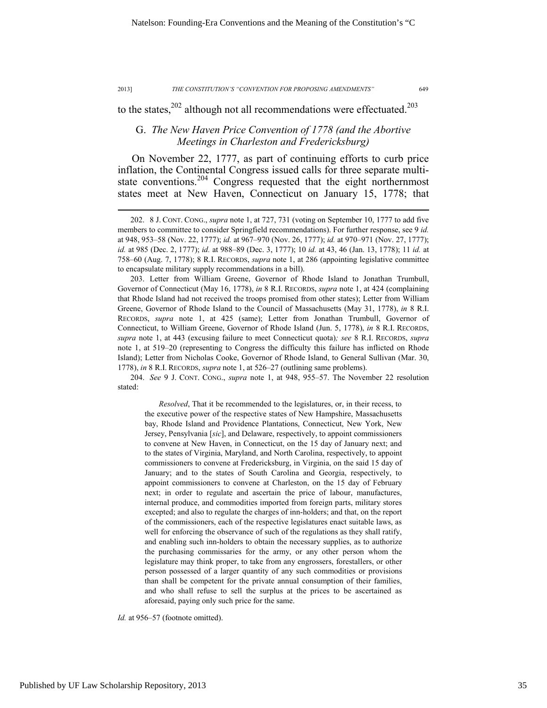$\overline{a}$ 

#### 2013] *THE CONSTITUTION'S "CONVENTION FOR PROPOSING AMENDMENTS"* 649

to the states,  $202$  although not all recommendations were effectuated.<sup>203</sup>

### G. *The New Haven Price Convention of 1778 (and the Abortive Meetings in Charleston and Fredericksburg)*

On November 22, 1777, as part of continuing efforts to curb price inflation, the Continental Congress issued calls for three separate multistate conventions.<sup>204</sup> Congress requested that the eight northernmost states meet at New Haven, Connecticut on January 15, 1778; that

 203. Letter from William Greene, Governor of Rhode Island to Jonathan Trumbull, Governor of Connecticut (May 16, 1778), *in* 8 R.I. RECORDS, *supra* note 1, at 424 (complaining that Rhode Island had not received the troops promised from other states); Letter from William Greene, Governor of Rhode Island to the Council of Massachusetts (May 31, 1778), *in* 8 R.I. RECORDS, *supra* note 1, at 425 (same); Letter from Jonathan Trumbull, Governor of Connecticut, to William Greene, Governor of Rhode Island (Jun. 5, 1778), *in* 8 R.I. RECORDS, *supra* note 1, at 443 (excusing failure to meet Connecticut quota)*; see* 8 R.I. RECORDS, *supra* note 1, at 519–20 (representing to Congress the difficulty this failure has inflicted on Rhode Island); Letter from Nicholas Cooke, Governor of Rhode Island, to General Sullivan (Mar. 30, 1778), *in* 8 R.I. RECORDS, *supra* note 1, at 526–27 (outlining same problems).

 204. *See* 9 J. CONT. CONG., *supra* note 1, at 948, 955–57. The November 22 resolution stated:

*Resolved*, That it be recommended to the legislatures, or, in their recess, to the executive power of the respective states of New Hampshire, Massachusetts bay, Rhode Island and Providence Plantations, Connecticut, New York, New Jersey, Pensylvania [*sic*], and Delaware, respectively, to appoint commissioners to convene at New Haven, in Connecticut, on the 15 day of January next; and to the states of Virginia, Maryland, and North Carolina, respectively, to appoint commissioners to convene at Fredericksburg, in Virginia, on the said 15 day of January; and to the states of South Carolina and Georgia, respectively, to appoint commissioners to convene at Charleston, on the 15 day of February next; in order to regulate and ascertain the price of labour, manufactures, internal produce, and commodities imported from foreign parts, military stores excepted; and also to regulate the charges of inn-holders; and that, on the report of the commissioners, each of the respective legislatures enact suitable laws, as well for enforcing the observance of such of the regulations as they shall ratify, and enabling such inn-holders to obtain the necessary supplies, as to authorize the purchasing commissaries for the army, or any other person whom the legislature may think proper, to take from any engrossers, forestallers, or other person possessed of a larger quantity of any such commodities or provisions than shall be competent for the private annual consumption of their families, and who shall refuse to sell the surplus at the prices to be ascertained as aforesaid, paying only such price for the same.

Id. at 956–57 (footnote omitted).

 <sup>202. 8</sup> J. CONT. CONG., *supra* note 1, at 727, 731 (voting on September 10, 1777 to add five members to committee to consider Springfield recommendations). For further response, see 9 *id.* at 948, 953–58 (Nov. 22, 1777); *id.* at 967–970 (Nov. 26, 1777); *id.* at 970–971 (Nov. 27, 1777); *id.* at 985 (Dec. 2, 1777); *id.* at 988–89 (Dec. 3, 1777); 10 *id.* at 43, 46 (Jan. 13, 1778); 11 *id.* at 758–60 (Aug. 7, 1778); 8 R.I. RECORDS, *supra* note 1, at 286 (appointing legislative committee to encapsulate military supply recommendations in a bill).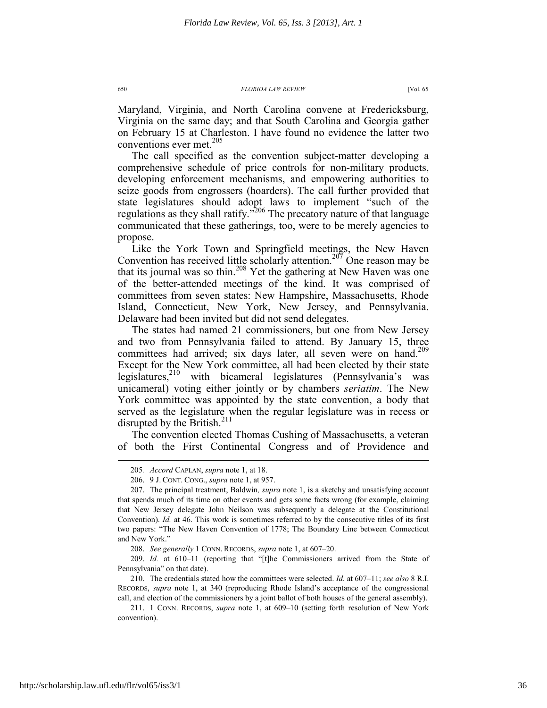Maryland, Virginia, and North Carolina convene at Fredericksburg, Virginia on the same day; and that South Carolina and Georgia gather on February 15 at Charleston. I have found no evidence the latter two conventions ever met.<sup>205</sup>

The call specified as the convention subject-matter developing a comprehensive schedule of price controls for non-military products, developing enforcement mechanisms, and empowering authorities to seize goods from engrossers (hoarders). The call further provided that state legislatures should adopt laws to implement "such of the regulations as they shall ratify."<sup>206</sup> The precatory nature of that language communicated that these gatherings, too, were to be merely agencies to propose.

Like the York Town and Springfield meetings, the New Haven Convention has received little scholarly attention.<sup>207</sup> One reason may be that its journal was so thin.208 Yet the gathering at New Haven was one of the better-attended meetings of the kind. It was comprised of committees from seven states: New Hampshire, Massachusetts, Rhode Island, Connecticut, New York, New Jersey, and Pennsylvania. Delaware had been invited but did not send delegates.

The states had named 21 commissioners, but one from New Jersey and two from Pennsylvania failed to attend. By January 15, three committees had arrived; six days later, all seven were on hand.<sup>209</sup> Except for the New York committee, all had been elected by their state legislatures, $210$  with bicameral legislatures (Pennsylvania's was unicameral) voting either jointly or by chambers *seriatim*. The New York committee was appointed by the state convention, a body that served as the legislature when the regular legislature was in recess or disrupted by the British.<sup>211</sup>

The convention elected Thomas Cushing of Massachusetts, a veteran of both the First Continental Congress and of Providence and

 <sup>205</sup>*. Accord* CAPLAN, *supra* note 1, at 18.

 <sup>206. 9</sup> J. CONT. CONG., *supra* note 1, at 957.

 <sup>207.</sup> The principal treatment, Baldwin*, supra* note 1, is a sketchy and unsatisfying account that spends much of its time on other events and gets some facts wrong (for example, claiming that New Jersey delegate John Neilson was subsequently a delegate at the Constitutional Convention). *Id.* at 46. This work is sometimes referred to by the consecutive titles of its first two papers: "The New Haven Convention of 1778; The Boundary Line between Connecticut and New York."

 <sup>208.</sup> *See generally* 1 CONN. RECORDS, *supra* note 1, at 607–20.

 <sup>209.</sup> *Id.* at 610–11 (reporting that "[t]he Commissioners arrived from the State of Pennsylvania" on that date).

 <sup>210.</sup> The credentials stated how the committees were selected. *Id.* at 607–11; *see also* 8 R.I. RECORDS, *supra* note 1, at 340 (reproducing Rhode Island's acceptance of the congressional call, and election of the commissioners by a joint ballot of both houses of the general assembly).

 <sup>211. 1</sup> CONN. RECORDS, *supra* note 1, at 609–10 (setting forth resolution of New York convention).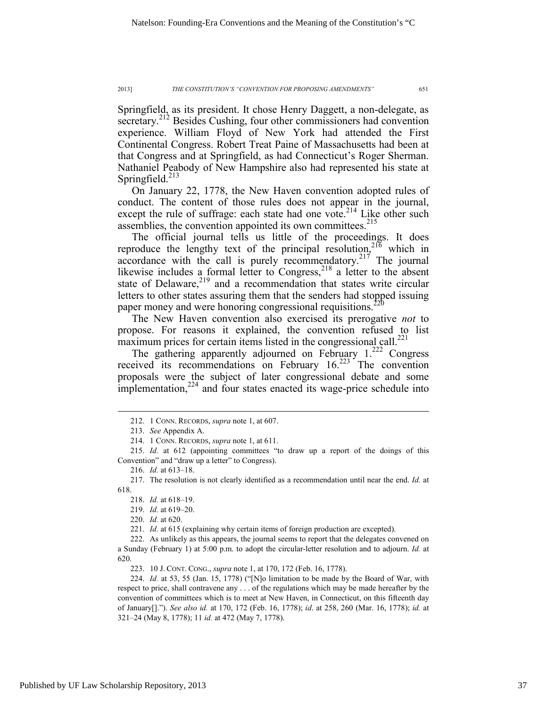Springfield, as its president. It chose Henry Daggett, a non-delegate, as secretary.<sup>212</sup> Besides Cushing, four other commissioners had convention experience. William Floyd of New York had attended the First Continental Congress. Robert Treat Paine of Massachusetts had been at that Congress and at Springfield, as had Connecticut's Roger Sherman. Nathaniel Peabody of New Hampshire also had represented his state at Springfield. $^{213}$ 

On January 22, 1778, the New Haven convention adopted rules of conduct. The content of those rules does not appear in the journal, except the rule of suffrage: each state had one vote.<sup>214</sup> Like other such assemblies, the convention appointed its own committees.<sup>215</sup>

The official journal tells us little of the proceedings. It does reproduce the lengthy text of the principal resolution,<sup>216</sup> which in accordance with the call is purely recommendatory.<sup>217</sup> The journal likewise includes a formal letter to Congress,<sup>218</sup> a letter to the absent state of Delaware, $2^{19}$  and a recommendation that states write circular letters to other states assuring them that the senders had stopped issuing paper money and were honoring congressional requisitions.<sup>220</sup>

The New Haven convention also exercised its prerogative *not* to propose. For reasons it explained, the convention refused to list maximum prices for certain items listed in the congressional call.<sup>221</sup>

The gathering apparently adjourned on February  $1.^{222}$  Congress received its recommendations on February 16.<sup>223</sup> The convention proposals were the subject of later congressional debate and some implementation, $2^{24}$  and four states enacted its wage-price schedule into

 $\overline{a}$ 

221. *Id.* at 615 (explaining why certain items of foreign production are excepted).

223. 10 J. CONT. CONG., *supra* note 1, at 170, 172 (Feb. 16, 1778).

 224. *Id.* at 53, 55 (Jan. 15, 1778) ("[N]o limitation to be made by the Board of War, with respect to price, shall contravene any . . . of the regulations which may be made hereafter by the convention of committees which is to meet at New Haven, in Connecticut, on this fifteenth day of January[]."). *See also id.* at 170, 172 (Feb. 16, 1778); *id*. at 258, 260 (Mar. 16, 1778); *id.* at 321–24 (May 8, 1778); 11 *id.* at 472 (May 7, 1778).

 <sup>212. 1</sup> CONN. RECORDS, *supra* note 1, at 607.

 <sup>213.</sup> *See* Appendix A.

 <sup>214. 1</sup> CONN. RECORDS, *supra* note 1, at 611.

 <sup>215.</sup> *Id.* at 612 (appointing committees "to draw up a report of the doings of this Convention" and "draw up a letter" to Congress).

 <sup>216.</sup> *Id.* at 613–18.

 <sup>217.</sup> The resolution is not clearly identified as a recommendation until near the end. *Id.* at 618.

 <sup>218.</sup> *Id.* at 618–19.

 <sup>219.</sup> *Id.* at 619–20.

 <sup>220.</sup> *Id.* at 620.

 <sup>222.</sup> As unlikely as this appears, the journal seems to report that the delegates convened on a Sunday (February 1) at 5:00 p.m. to adopt the circular-letter resolution and to adjourn. *Id.* at 620.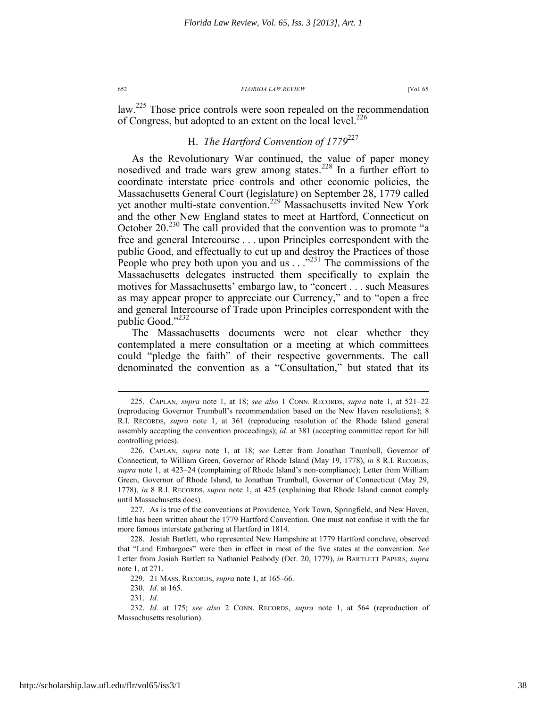law.<sup>225</sup> Those price controls were soon repealed on the recommendation of Congress, but adopted to an extent on the local level.<sup>226</sup>

# H. *The Hartford Convention of 1779*<sup>227</sup>

As the Revolutionary War continued, the value of paper money nosedived and trade wars grew among states.<sup>228</sup> In a further effort to coordinate interstate price controls and other economic policies, the Massachusetts General Court (legislature) on September 28, 1779 called yet another multi-state convention.<sup>229</sup> Massachusetts invited New York and the other New England states to meet at Hartford, Connecticut on October 20.<sup>230</sup> The call provided that the convention was to promote "a free and general Intercourse . . . upon Principles correspondent with the public Good, and effectually to cut up and destroy the Practices of those People who prey both upon you and us . . .<sup>2231</sup> The commissions of the Massachusetts delegates instructed them specifically to explain the motives for Massachusetts' embargo law, to "concert . . . such Measures as may appear proper to appreciate our Currency," and to "open a free and general Intercourse of Trade upon Principles correspondent with the public Good."<sup>232</sup>

The Massachusetts documents were not clear whether they contemplated a mere consultation or a meeting at which committees could "pledge the faith" of their respective governments. The call denominated the convention as a "Consultation," but stated that its

 <sup>225.</sup> CAPLAN, *supra* note 1, at 18; *see also* 1 CONN. RECORDS, *supra* note 1, at 521–22 (reproducing Governor Trumbull's recommendation based on the New Haven resolutions); 8 R.I. RECORDS, *supra* note 1, at 361 (reproducing resolution of the Rhode Island general assembly accepting the convention proceedings); *id.* at 381 (accepting committee report for bill controlling prices).

 <sup>226.</sup> CAPLAN, *supra* note 1, at 18; *see* Letter from Jonathan Trumbull, Governor of Connecticut, to William Green, Governor of Rhode Island (May 19, 1778), *in* 8 R.I. RECORDS, *supra* note 1, at 423–24 (complaining of Rhode Island's non-compliance); Letter from William Green, Governor of Rhode Island, to Jonathan Trumbull, Governor of Connecticut (May 29, 1778), *in* 8 R.I. RECORDS, *supra* note 1, at 425 (explaining that Rhode Island cannot comply until Massachusetts does).

 <sup>227.</sup> As is true of the conventions at Providence, York Town, Springfield, and New Haven, little has been written about the 1779 Hartford Convention. One must not confuse it with the far more famous interstate gathering at Hartford in 1814.

 <sup>228.</sup> Josiah Bartlett, who represented New Hampshire at 1779 Hartford conclave, observed that "Land Embargoes" were then in effect in most of the five states at the convention. *See* Letter from Josiah Bartlett to Nathaniel Peabody (Oct. 20, 1779), *in* BARTLETT PAPERS, *supra*  note 1, at 271.

 <sup>229. 21</sup> MASS. RECORDS, *supra* note 1, at 165–66.

 <sup>230.</sup> *Id.* at 165.

 <sup>231.</sup> *Id.*

 <sup>232.</sup> *Id.* at 175; *see also* 2 CONN. RECORDS, *supra* note 1, at 564 (reproduction of Massachusetts resolution).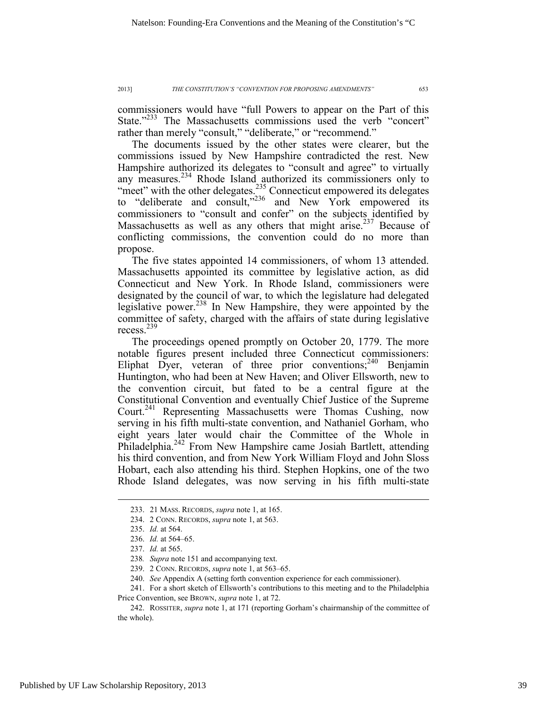commissioners would have "full Powers to appear on the Part of this State."<sup>233</sup> The Massachusetts commissions used the verb "concert" rather than merely "consult," "deliberate," or "recommend."

The documents issued by the other states were clearer, but the commissions issued by New Hampshire contradicted the rest. New Hampshire authorized its delegates to "consult and agree" to virtually any measures.<sup>234</sup> Rhode Island authorized its commissioners only to "meet" with the other delegates.<sup>235</sup> Connecticut empowered its delegates to "deliberate and consult,"<sup>236</sup> and New York empowered its commissioners to "consult and confer" on the subjects identified by Massachusetts as well as any others that might arise.<sup>237</sup> Because of conflicting commissions, the convention could do no more than propose.

The five states appointed 14 commissioners, of whom 13 attended. Massachusetts appointed its committee by legislative action, as did Connecticut and New York. In Rhode Island, commissioners were designated by the council of war, to which the legislature had delegated legislative power.238 In New Hampshire, they were appointed by the committee of safety, charged with the affairs of state during legislative recess.<sup>239</sup>

The proceedings opened promptly on October 20, 1779. The more notable figures present included three Connecticut commissioners: Eliphat Dyer, veteran of three prior conventions;<sup>240</sup> Benjamin Huntington, who had been at New Haven; and Oliver Ellsworth, new to the convention circuit, but fated to be a central figure at the Constitutional Convention and eventually Chief Justice of the Supreme Court.<sup>241</sup> Representing Massachusetts were Thomas Cushing, now serving in his fifth multi-state convention, and Nathaniel Gorham, who eight years later would chair the Committee of the Whole in Philadelphia.<sup>242</sup> From New Hampshire came Josiah Bartlett, attending his third convention, and from New York William Floyd and John Sloss Hobart, each also attending his third. Stephen Hopkins, one of the two Rhode Island delegates, was now serving in his fifth multi-state

 <sup>233. 21</sup> MASS. RECORDS, *supra* note 1, at 165.

 <sup>234. 2</sup> CONN. RECORDS, *supra* note 1, at 563.

 <sup>235.</sup> *Id.* at 564.

 <sup>236.</sup> *Id.* at 564–65.

 <sup>237.</sup> *Id.* at 565.

<sup>238</sup>*. Supra* note 151 and accompanying text.

 <sup>239. 2</sup> CONN. RECORDS, *supra* note 1, at 563–65.

 <sup>240.</sup> *See* Appendix A (setting forth convention experience for each commissioner).

 <sup>241.</sup> For a short sketch of Ellsworth's contributions to this meeting and to the Philadelphia Price Convention, see BROWN, *supra* note 1, at 72.

 <sup>242.</sup> ROSSITER, *supra* note 1, at 171 (reporting Gorham's chairmanship of the committee of the whole).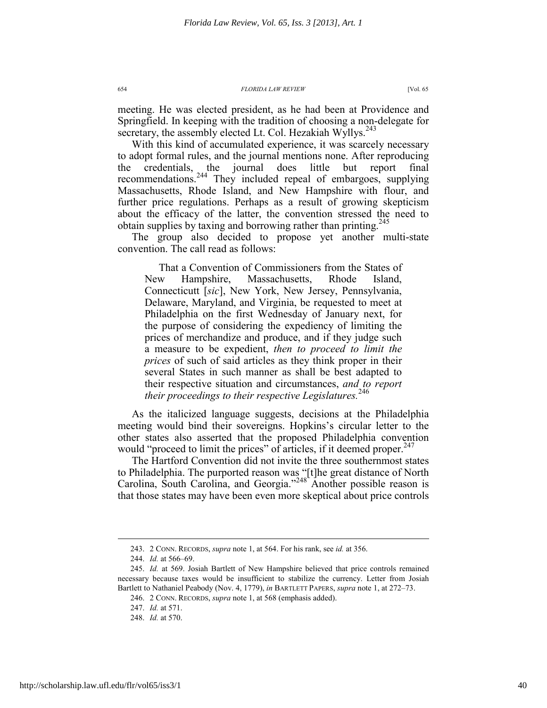meeting. He was elected president, as he had been at Providence and Springfield. In keeping with the tradition of choosing a non-delegate for secretary, the assembly elected Lt. Col. Hezakiah Wyllys.<sup>243</sup>

With this kind of accumulated experience, it was scarcely necessary to adopt formal rules, and the journal mentions none. After reproducing the credentials, the journal does little but report final recommendations.244 They included repeal of embargoes, supplying Massachusetts, Rhode Island, and New Hampshire with flour, and further price regulations. Perhaps as a result of growing skepticism about the efficacy of the latter, the convention stressed the need to obtain supplies by taxing and borrowing rather than printing.<sup>245</sup>

The group also decided to propose yet another multi-state convention. The call read as follows:

That a Convention of Commissioners from the States of New Hampshire, Massachusetts, Rhode Island, Connecticutt [*sic*], New York, New Jersey, Pennsylvania, Delaware, Maryland, and Virginia, be requested to meet at Philadelphia on the first Wednesday of January next, for the purpose of considering the expediency of limiting the prices of merchandize and produce, and if they judge such a measure to be expedient, *then to proceed to limit the prices* of such of said articles as they think proper in their several States in such manner as shall be best adapted to their respective situation and circumstances, *and to report their proceedings to their respective Legislatures.*<sup>246</sup>

As the italicized language suggests, decisions at the Philadelphia meeting would bind their sovereigns. Hopkins's circular letter to the other states also asserted that the proposed Philadelphia convention would "proceed to limit the prices" of articles, if it deemed proper.  $247$ 

The Hartford Convention did not invite the three southernmost states to Philadelphia. The purported reason was "[t]he great distance of North Carolina, South Carolina, and Georgia."<sup>248</sup> Another possible reason is that those states may have been even more skeptical about price controls

 <sup>243. 2</sup> CONN. RECORDS, *supra* note 1, at 564. For his rank, see *id.* at 356.

 <sup>244.</sup> *Id.* at 566–69.

 <sup>245.</sup> *Id.* at 569. Josiah Bartlett of New Hampshire believed that price controls remained necessary because taxes would be insufficient to stabilize the currency. Letter from Josiah Bartlett to Nathaniel Peabody (Nov. 4, 1779), *in* BARTLETT PAPERS, *supra* note 1, at 272–73.

 <sup>246. 2</sup> CONN. RECORDS, *supra* note 1, at 568 (emphasis added).

 <sup>247.</sup> *Id.* at 571.

 <sup>248.</sup> *Id.* at 570.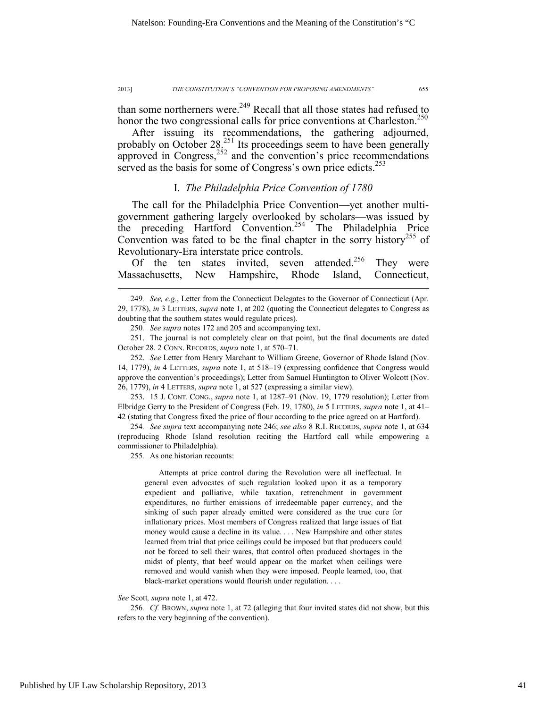than some northerners were.<sup>249</sup> Recall that all those states had refused to honor the two congressional calls for price conventions at Charleston.<sup>250</sup>

After issuing its recommendations, the gathering adjourned, probably on October  $28^{251}$  Its proceedings seem to have been generally  $\frac{252}{252}$  and the convention's price recommendations served as the basis for some of Congress's own price edicts.<sup>253</sup>

# I. *The Philadelphia Price Convention of 1780*

The call for the Philadelphia Price Convention—yet another multigovernment gathering largely overlooked by scholars—was issued by the preceding Hartford Convention.<sup>254</sup> The Philadelphia Price Convention was fated to be the final chapter in the sorry history<sup>255</sup> of Revolutionary-Era interstate price controls.

Of the ten states invited, seven attended.<sup>256</sup> They were Massachusetts, New Hampshire, Rhode Island, Connecticut,

 253. 15 J. CONT. CONG., *supra* note 1, at 1287–91 (Nov. 19, 1779 resolution); Letter from Elbridge Gerry to the President of Congress (Feb. 19, 1780), *in* 5 LETTERS, *supra* note 1, at 41– 42 (stating that Congress fixed the price of flour according to the price agreed on at Hartford).

254*. See supra* text accompanying note 246; *see also* 8 R.I. RECORDS, *supra* note 1, at 634 (reproducing Rhode Island resolution reciting the Hartford call while empowering a commissioner to Philadelphia).

255*.* As one historian recounts:

Attempts at price control during the Revolution were all ineffectual. In general even advocates of such regulation looked upon it as a temporary expedient and palliative, while taxation, retrenchment in government expenditures, no further emissions of irredeemable paper currency, and the sinking of such paper already emitted were considered as the true cure for inflationary prices. Most members of Congress realized that large issues of fiat money would cause a decline in its value. . . . New Hampshire and other states learned from trial that price ceilings could be imposed but that producers could not be forced to sell their wares, that control often produced shortages in the midst of plenty, that beef would appear on the market when ceilings were removed and would vanish when they were imposed. People learned, too, that black-market operations would flourish under regulation. . . .

### *See* Scott*, supra* note 1, at 472.

256*. Cf.* BROWN, *supra* note 1, at 72 (alleging that four invited states did not show, but this refers to the very beginning of the convention).

 <sup>249</sup>*. See, e.g.*, Letter from the Connecticut Delegates to the Governor of Connecticut (Apr. 29, 1778), *in* 3 LETTERS, *supra* note 1, at 202 (quoting the Connecticut delegates to Congress as doubting that the southern states would regulate prices).

<sup>250</sup>*. See supra* notes 172 and 205 and accompanying text.

 <sup>251.</sup> The journal is not completely clear on that point, but the final documents are dated October 28. 2 CONN. RECORDS, *supra* note 1, at 570–71.

 <sup>252.</sup> *See* Letter from Henry Marchant to William Greene, Governor of Rhode Island (Nov. 14, 1779), *in* 4 LETTERS, *supra* note 1, at 518–19 (expressing confidence that Congress would approve the convention's proceedings); Letter from Samuel Huntington to Oliver Wolcott (Nov. 26, 1779), *in* 4 LETTERS, *supra* note 1, at 527 (expressing a similar view).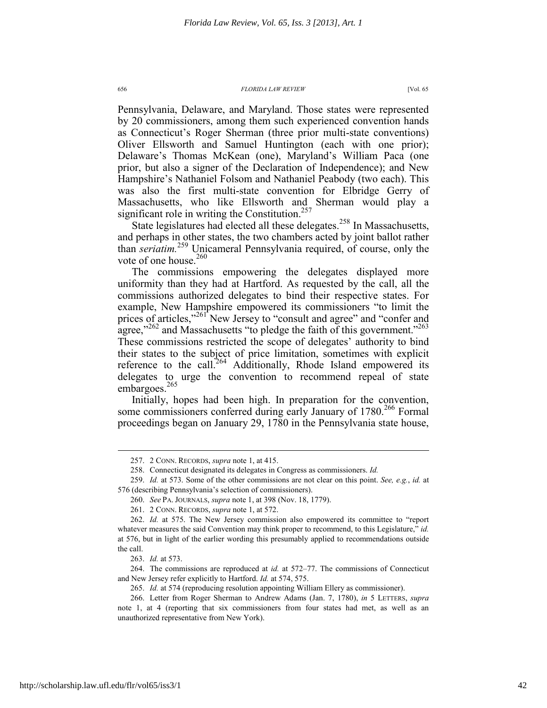Pennsylvania, Delaware, and Maryland. Those states were represented by 20 commissioners, among them such experienced convention hands as Connecticut's Roger Sherman (three prior multi-state conventions) Oliver Ellsworth and Samuel Huntington (each with one prior); Delaware's Thomas McKean (one), Maryland's William Paca (one prior, but also a signer of the Declaration of Independence); and New Hampshire's Nathaniel Folsom and Nathaniel Peabody (two each). This was also the first multi-state convention for Elbridge Gerry of Massachusetts, who like Ellsworth and Sherman would play a significant role in writing the Constitution.<sup>257</sup>

State legislatures had elected all these delegates.<sup>258</sup> In Massachusetts, and perhaps in other states, the two chambers acted by joint ballot rather than *seriatim.*259 Unicameral Pennsylvania required, of course, only the vote of one house. $260$ 

The commissions empowering the delegates displayed more uniformity than they had at Hartford. As requested by the call, all the commissions authorized delegates to bind their respective states. For example, New Hampshire empowered its commissioners "to limit the prices of articles,"<sup>261</sup> New Jersey to "consult and agree" and "confer and agree,"<sup>262</sup> and Massachusetts "to pledge the faith of this government."<sup>263</sup> These commissions restricted the scope of delegates' authority to bind their states to the subject of price limitation, sometimes with explicit reference to the call.<sup>264</sup> Additionally, Rhode Island empowered its delegates to urge the convention to recommend repeal of state embargoes.<sup>265</sup>

Initially, hopes had been high. In preparation for the convention, some commissioners conferred during early January of 1780.<sup>266</sup> Formal proceedings began on January 29, 1780 in the Pennsylvania state house,

263. *Id.* at 573.

 $\overline{a}$ 

 264. The commissions are reproduced at *id.* at 572–77. The commissions of Connecticut and New Jersey refer explicitly to Hartford. *Id.* at 574, 575.

 <sup>257. 2</sup> CONN. RECORDS, *supra* note 1, at 415.

 <sup>258.</sup> Connecticut designated its delegates in Congress as commissioners. *Id.*

 <sup>259.</sup> *Id.* at 573. Some of the other commissions are not clear on this point. *See, e.g.*, *id.* at 576 (describing Pennsylvania's selection of commissioners).

 <sup>260.</sup> *See* PA. JOURNALS, *supra* note 1, at 398 (Nov. 18, 1779).

 <sup>261. 2</sup> CONN. RECORDS, *supra* note 1, at 572.

 <sup>262.</sup> *Id.* at 575. The New Jersey commission also empowered its committee to "report whatever measures the said Convention may think proper to recommend, to this Legislature," *id.* at 576, but in light of the earlier wording this presumably applied to recommendations outside the call.

 <sup>265.</sup> *Id.* at 574 (reproducing resolution appointing William Ellery as commissioner).

 <sup>266.</sup> Letter from Roger Sherman to Andrew Adams (Jan. 7, 1780), *in* 5 LETTERS, *supra* note 1, at 4 (reporting that six commissioners from four states had met, as well as an unauthorized representative from New York).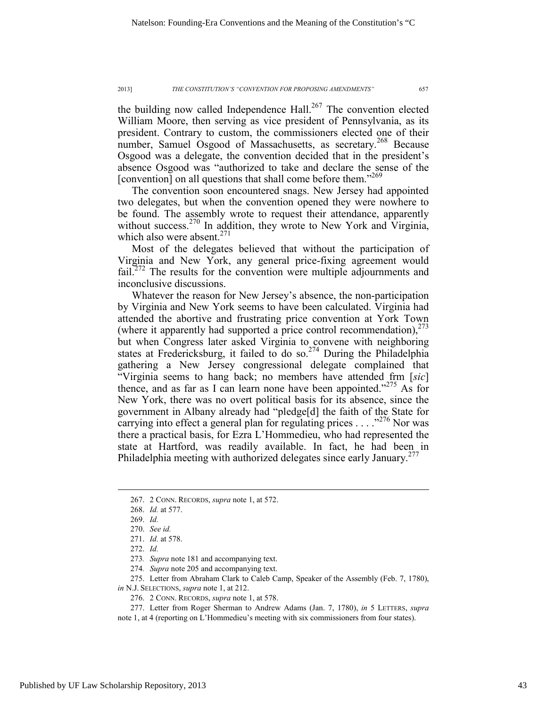the building now called Independence Hall. $267$  The convention elected William Moore, then serving as vice president of Pennsylvania, as its president. Contrary to custom, the commissioners elected one of their number, Samuel Osgood of Massachusetts, as secretary.<sup>268</sup> Because Osgood was a delegate, the convention decided that in the president's absence Osgood was "authorized to take and declare the sense of the [convention] on all questions that shall come before them."<sup>269</sup>

The convention soon encountered snags. New Jersey had appointed two delegates, but when the convention opened they were nowhere to be found. The assembly wrote to request their attendance, apparently without success.<sup>270</sup> In addition, they wrote to New York and Virginia, which also were absent.<sup>271</sup>

Most of the delegates believed that without the participation of Virginia and New York, any general price-fixing agreement would fail.<sup>272</sup> The results for the convention were multiple adjournments and inconclusive discussions.

Whatever the reason for New Jersey's absence, the non-participation by Virginia and New York seems to have been calculated. Virginia had attended the abortive and frustrating price convention at York Town (where it apparently had supported a price control recommendation), $^{273}$ but when Congress later asked Virginia to convene with neighboring states at Fredericksburg, it failed to do so.<sup>274</sup> During the Philadelphia gathering a New Jersey congressional delegate complained that "Virginia seems to hang back; no members have attended frm [*sic*] thence, and as far as I can learn none have been appointed."<sup>275</sup> As for New York, there was no overt political basis for its absence, since the government in Albany already had "pledge[d] the faith of the State for carrying into effect a general plan for regulating prices  $\ldots$  ...  $276$  Nor was there a practical basis, for Ezra L'Hommedieu, who had represented the state at Hartford, was readily available. In fact, he had been in Philadelphia meeting with authorized delegates since early January.<sup>277</sup>

 $\overline{a}$ 

274*. Supra* note 205 and accompanying text.

 275. Letter from Abraham Clark to Caleb Camp, Speaker of the Assembly (Feb. 7, 1780), *in* N.J. SELECTIONS, *supra* note 1, at 212.

276. 2 CONN. RECORDS, *supra* note 1, at 578.

 277. Letter from Roger Sherman to Andrew Adams (Jan. 7, 1780), *in* 5 LETTERS, *supra* note 1, at 4 (reporting on L'Hommedieu's meeting with six commissioners from four states).

 <sup>267. 2</sup> CONN. RECORDS, *supra* note 1, at 572.

 <sup>268.</sup> *Id.* at 577.

 <sup>269.</sup> *Id.*

 <sup>270.</sup> *See id.*

 <sup>271.</sup> *Id.* at 578.

 <sup>272.</sup> *Id.*

<sup>273</sup>*. Supra* note 181 and accompanying text.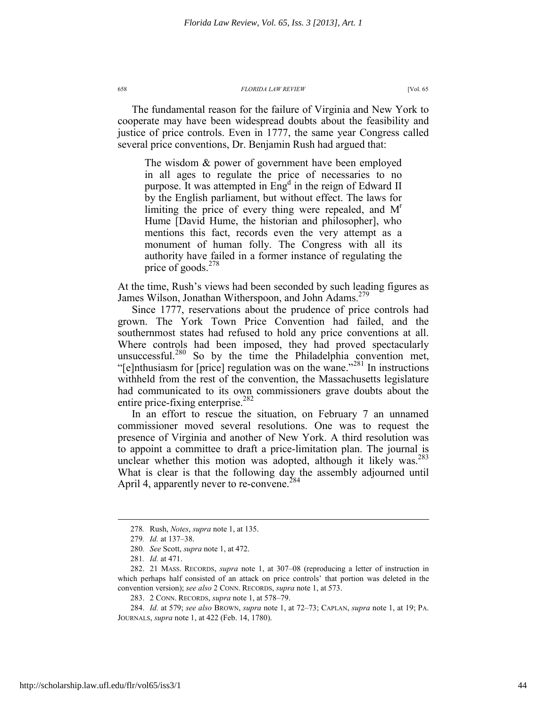The fundamental reason for the failure of Virginia and New York to cooperate may have been widespread doubts about the feasibility and justice of price controls. Even in 1777, the same year Congress called several price conventions, Dr. Benjamin Rush had argued that:

The wisdom & power of government have been employed in all ages to regulate the price of necessaries to no purpose. It was attempted in  $Eng<sup>d</sup>$  in the reign of Edward II by the English parliament, but without effect. The laws for limiting the price of every thing were repealed, and  $M<sup>r</sup>$ Hume [David Hume, the historian and philosopher], who mentions this fact, records even the very attempt as a monument of human folly. The Congress with all its authority have failed in a former instance of regulating the price of goods.<sup>278</sup>

At the time, Rush's views had been seconded by such leading figures as James Wilson, Jonathan Witherspoon, and John Adams.<sup>279</sup>

Since 1777, reservations about the prudence of price controls had grown. The York Town Price Convention had failed, and the southernmost states had refused to hold any price conventions at all. Where controls had been imposed, they had proved spectacularly unsuccessful.<sup>280</sup> So by the time the Philadelphia convention met, "[e]nthusiasm for [price] regulation was on the wane."<sup>281</sup> In instructions withheld from the rest of the convention, the Massachusetts legislature had communicated to its own commissioners grave doubts about the entire price-fixing enterprise.<sup>282</sup>

In an effort to rescue the situation, on February 7 an unnamed commissioner moved several resolutions. One was to request the presence of Virginia and another of New York. A third resolution was to appoint a committee to draft a price-limitation plan. The journal is unclear whether this motion was adopted, although it likely was.<sup>283</sup> What is clear is that the following day the assembly adjourned until April 4, apparently never to re-convene.<sup>284</sup>

 <sup>278</sup>*.* Rush, *Notes*, *supra* note 1, at 135.

<sup>279</sup>*. Id.* at 137–38.

<sup>280</sup>*. See* Scott, *supra* note 1, at 472.

<sup>281</sup>*. Id.* at 471.

 <sup>282. 21</sup> MASS. RECORDS, *supra* note 1, at 307–08 (reproducing a letter of instruction in which perhaps half consisted of an attack on price controls' that portion was deleted in the convention version); *see also* 2 CONN. RECORDS, *supra* note 1, at 573.

 <sup>283. 2</sup> CONN. RECORDS, *supra* note 1, at 578–79.

 <sup>284.</sup> *Id.* at 579; *see also* BROWN, *supra* note 1, at 72–73; CAPLAN, *supra* note 1, at 19; PA. JOURNALS, *supra* note 1, at 422 (Feb. 14, 1780).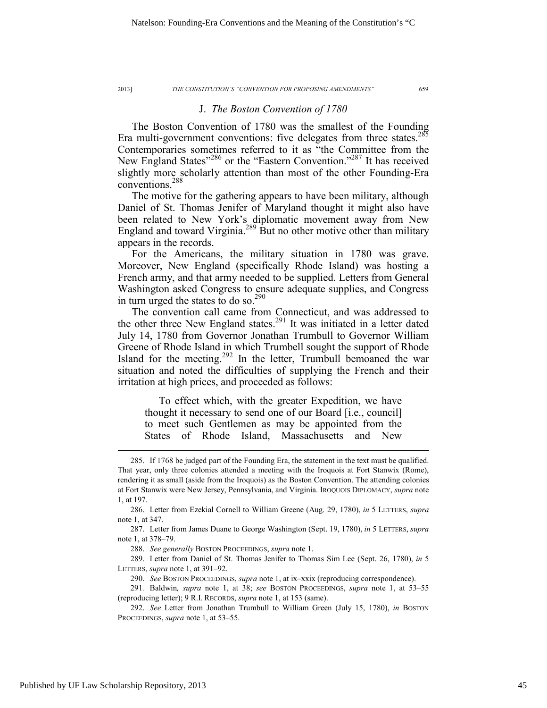## J. *The Boston Convention of 1780*

The Boston Convention of 1780 was the smallest of the Founding Era multi-government conventions: five delegates from three states.<sup>285</sup> Contemporaries sometimes referred to it as "the Committee from the New England States"<sup>286</sup> or the "Eastern Convention."<sup>287</sup> It has received slightly more scholarly attention than most of the other Founding-Era conventions.288

The motive for the gathering appears to have been military, although Daniel of St. Thomas Jenifer of Maryland thought it might also have been related to New York's diplomatic movement away from New England and toward Virginia.289 But no other motive other than military appears in the records.

For the Americans, the military situation in 1780 was grave. Moreover, New England (specifically Rhode Island) was hosting a French army, and that army needed to be supplied. Letters from General Washington asked Congress to ensure adequate supplies, and Congress in turn urged the states to do so.<sup>290</sup>

The convention call came from Connecticut, and was addressed to the other three New England states.<sup>291</sup> It was initiated in a letter dated July 14, 1780 from Governor Jonathan Trumbull to Governor William Greene of Rhode Island in which Trumbell sought the support of Rhode Island for the meeting. $292$  In the letter, Trumbull bemoaned the war situation and noted the difficulties of supplying the French and their irritation at high prices, and proceeded as follows:

To effect which, with the greater Expedition, we have thought it necessary to send one of our Board [i.e., council] to meet such Gentlemen as may be appointed from the States of Rhode Island, Massachusetts and New

288. *See generally* BOSTON PROCEEDINGS, *supra* note 1.

 <sup>285.</sup> If 1768 be judged part of the Founding Era, the statement in the text must be qualified. That year, only three colonies attended a meeting with the Iroquois at Fort Stanwix (Rome), rendering it as small (aside from the Iroquois) as the Boston Convention. The attending colonies at Fort Stanwix were New Jersey, Pennsylvania, and Virginia. IROQUOIS DIPLOMACY, *supra* note 1, at 197.

 <sup>286.</sup> Letter from Ezekial Cornell to William Greene (Aug. 29, 1780), *in* 5 LETTERS, *supra* note 1, at 347.

 <sup>287.</sup> Letter from James Duane to George Washington (Sept. 19, 1780), *in* 5 LETTERS, *supra* note 1, at 378–79.

 <sup>289.</sup> Letter from Daniel of St. Thomas Jenifer to Thomas Sim Lee (Sept. 26, 1780), *in* 5 LETTERS, *supra* note 1, at 391–92.

 <sup>290.</sup> *See* BOSTON PROCEEDINGS, *supra* note 1, at ix–xxix (reproducing correspondence).

<sup>291</sup>*.* Baldwin*, supra* note 1, at 38; *see* BOSTON PROCEEDINGS, *supra* note 1, at 53–55 (reproducing letter); 9 R.I. RECORDS, *supra* note 1, at 153 (same).

 <sup>292.</sup> *See* Letter from Jonathan Trumbull to William Green (July 15, 1780), *in* BOSTON PROCEEDINGS, *supra* note 1, at 53–55.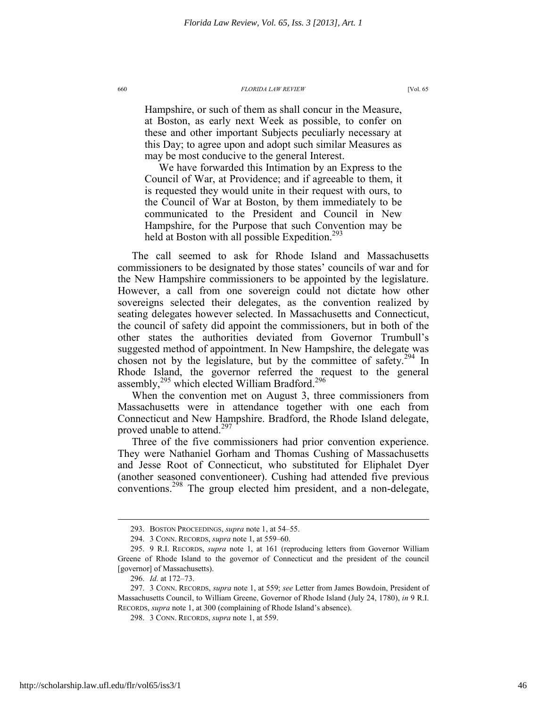Hampshire, or such of them as shall concur in the Measure, at Boston, as early next Week as possible, to confer on these and other important Subjects peculiarly necessary at this Day; to agree upon and adopt such similar Measures as may be most conducive to the general Interest.

We have forwarded this Intimation by an Express to the Council of War, at Providence; and if agreeable to them, it is requested they would unite in their request with ours, to the Council of War at Boston, by them immediately to be communicated to the President and Council in New Hampshire, for the Purpose that such Convention may be held at Boston with all possible Expedition.<sup>293</sup>

The call seemed to ask for Rhode Island and Massachusetts commissioners to be designated by those states' councils of war and for the New Hampshire commissioners to be appointed by the legislature. However, a call from one sovereign could not dictate how other sovereigns selected their delegates, as the convention realized by seating delegates however selected. In Massachusetts and Connecticut, the council of safety did appoint the commissioners, but in both of the other states the authorities deviated from Governor Trumbull's suggested method of appointment. In New Hampshire, the delegate was chosen not by the legislature, but by the committee of safety.<sup>294</sup> In Rhode Island, the governor referred the request to the general assembly,<sup>295</sup> which elected William Bradford.<sup>296</sup>

When the convention met on August 3, three commissioners from Massachusetts were in attendance together with one each from Connecticut and New Hampshire. Bradford, the Rhode Island delegate, proved unable to attend.<sup>297</sup>

Three of the five commissioners had prior convention experience. They were Nathaniel Gorham and Thomas Cushing of Massachusetts and Jesse Root of Connecticut, who substituted for Eliphalet Dyer (another seasoned conventioneer). Cushing had attended five previous conventions.<sup>298</sup> The group elected him president, and a non-delegate,

 <sup>293.</sup> BOSTON PROCEEDINGS, *supra* note 1, at 54–55.

 <sup>294. 3</sup> CONN. RECORDS, *supra* note 1, at 559–60.

 <sup>295. 9</sup> R.I. RECORDS, *supra* note 1, at 161 (reproducing letters from Governor William Greene of Rhode Island to the governor of Connecticut and the president of the council [governor] of Massachusetts).

 <sup>296.</sup> *Id.* at 172–73.

 <sup>297. 3</sup> CONN. RECORDS, *supra* note 1, at 559; *see* Letter from James Bowdoin, President of Massachusetts Council, to William Greene, Governor of Rhode Island (July 24, 1780), *in* 9 R.I. RECORDS, *supra* note 1, at 300 (complaining of Rhode Island's absence).

 <sup>298. 3</sup> CONN. RECORDS, *supra* note 1, at 559.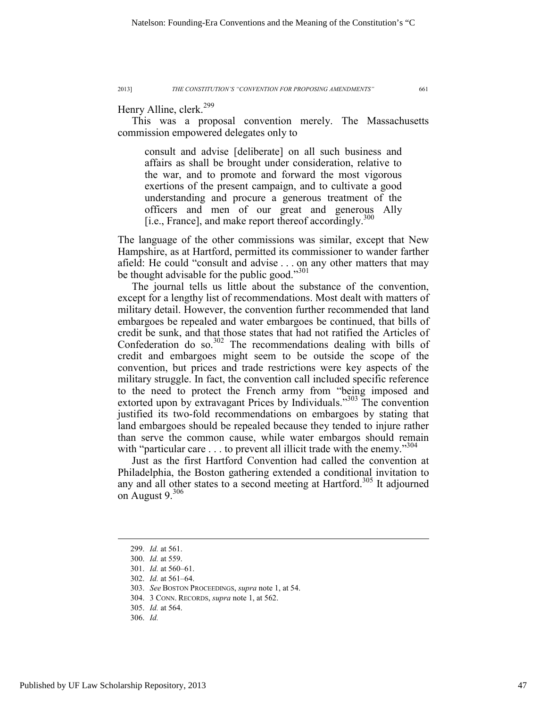Henry Alline, clerk.<sup>299</sup>

This was a proposal convention merely. The Massachusetts commission empowered delegates only to

consult and advise [deliberate] on all such business and affairs as shall be brought under consideration, relative to the war, and to promote and forward the most vigorous exertions of the present campaign, and to cultivate a good understanding and procure a generous treatment of the officers and men of our great and generous Ally [i.e., France], and make report thereof accordingly. $300$ 

The language of the other commissions was similar, except that New Hampshire, as at Hartford, permitted its commissioner to wander farther afield: He could "consult and advise . . . on any other matters that may be thought advisable for the public good."<sup>301</sup>

The journal tells us little about the substance of the convention, except for a lengthy list of recommendations. Most dealt with matters of military detail. However, the convention further recommended that land embargoes be repealed and water embargoes be continued, that bills of credit be sunk, and that those states that had not ratified the Articles of Confederation do so. $302$  The recommendations dealing with bills of credit and embargoes might seem to be outside the scope of the convention, but prices and trade restrictions were key aspects of the military struggle. In fact, the convention call included specific reference to the need to protect the French army from "being imposed and extorted upon by extravagant Prices by Individuals."303 The convention justified its two-fold recommendations on embargoes by stating that land embargoes should be repealed because they tended to injure rather than serve the common cause, while water embargos should remain with "particular care  $\dots$  to prevent all illicit trade with the enemy."<sup>304</sup>

Just as the first Hartford Convention had called the convention at Philadelphia, the Boston gathering extended a conditional invitation to any and all other states to a second meeting at Hartford.<sup>305</sup> It adjourned on August  $9.306$ 

 <sup>299.</sup> *Id.* at 561.

 <sup>300.</sup> *Id.* at 559.

 <sup>301.</sup> *Id.* at 560–61.

 <sup>302.</sup> *Id.* at 561–64.

 <sup>303.</sup> *See* BOSTON PROCEEDINGS, *supra* note 1, at 54.

 <sup>304. 3</sup> CONN. RECORDS, *supra* note 1, at 562.

 <sup>305.</sup> *Id.* at 564.

 <sup>306.</sup> *Id.*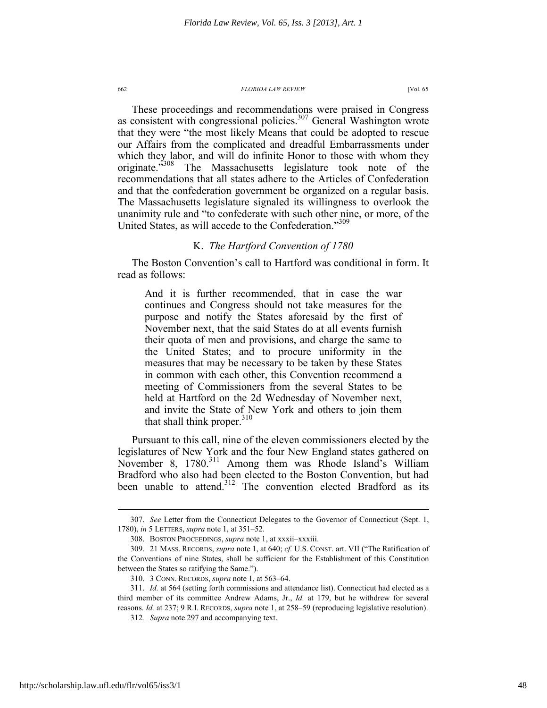These proceedings and recommendations were praised in Congress as consistent with congressional policies.<sup>307</sup> General Washington wrote that they were "the most likely Means that could be adopted to rescue our Affairs from the complicated and dreadful Embarrassments under which they labor, and will do infinite Honor to those with whom they originate."<sup>308</sup> The Massachusetts legislature took note of the recommendations that all states adhere to the Articles of Confederation and that the confederation government be organized on a regular basis. The Massachusetts legislature signaled its willingness to overlook the unanimity rule and "to confederate with such other nine, or more, of the United States, as will accede to the Confederation."309

# K. *The Hartford Convention of 1780*

The Boston Convention's call to Hartford was conditional in form. It read as follows:

And it is further recommended, that in case the war continues and Congress should not take measures for the purpose and notify the States aforesaid by the first of November next, that the said States do at all events furnish their quota of men and provisions, and charge the same to the United States; and to procure uniformity in the measures that may be necessary to be taken by these States in common with each other, this Convention recommend a meeting of Commissioners from the several States to be held at Hartford on the 2d Wednesday of November next, and invite the State of New York and others to join them that shall think proper.<sup>310</sup>

Pursuant to this call, nine of the eleven commissioners elected by the legislatures of New York and the four New England states gathered on November 8, 1780.<sup>311</sup> Among them was Rhode Island's William Bradford who also had been elected to the Boston Convention, but had been unable to attend.<sup>312</sup> The convention elected Bradford as its

 <sup>307.</sup> *See* Letter from the Connecticut Delegates to the Governor of Connecticut (Sept. 1, 1780), *in* 5 LETTERS, *supra* note 1, at 351–52.

 <sup>308.</sup> BOSTON PROCEEDINGS, *supra* note 1, at xxxii–xxxiii.

 <sup>309. 21</sup> MASS. RECORDS, *supra* note 1, at 640; *cf.* U.S. CONST. art. VII ("The Ratification of the Conventions of nine States, shall be sufficient for the Establishment of this Constitution between the States so ratifying the Same.").

 <sup>310. 3</sup> CONN. RECORDS, *supra* note 1, at 563–64.

 <sup>311.</sup> *Id.* at 564 (setting forth commissions and attendance list). Connecticut had elected as a third member of its committee Andrew Adams, Jr., *Id.* at 179, but he withdrew for several reasons. *Id.* at 237; 9 R.I. RECORDS, *supra* note 1, at 258–59 (reproducing legislative resolution).

<sup>312</sup>*. Supra* note 297 and accompanying text.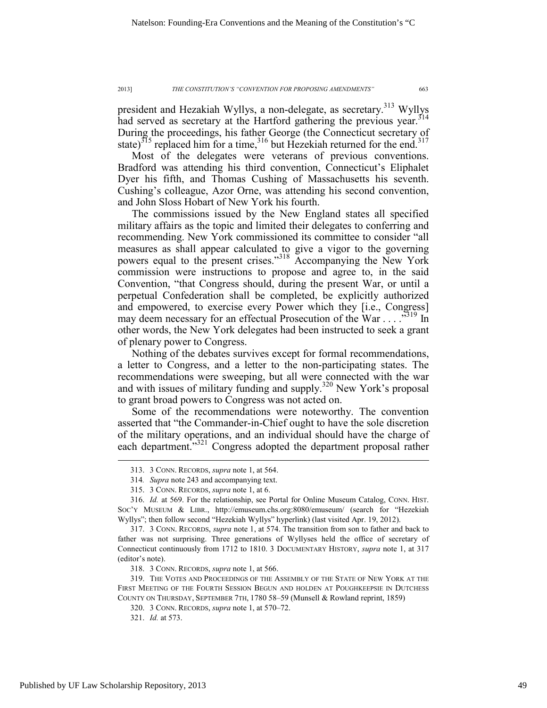president and Hezakiah Wyllys, a non-delegate, as secretary.<sup>313</sup> Wyllys had served as secretary at the Hartford gathering the previous year.<sup>314</sup> During the proceedings, his father George (the Connecticut secretary of state)<sup>315</sup> replaced him for a time,<sup>316</sup> but Hezekiah returned for the end.<sup>317</sup>

Most of the delegates were veterans of previous conventions. Bradford was attending his third convention, Connecticut's Eliphalet Dyer his fifth, and Thomas Cushing of Massachusetts his seventh. Cushing's colleague, Azor Orne, was attending his second convention, and John Sloss Hobart of New York his fourth.

The commissions issued by the New England states all specified military affairs as the topic and limited their delegates to conferring and recommending. New York commissioned its committee to consider "all measures as shall appear calculated to give a vigor to the governing powers equal to the present crises."<sup>318</sup> Accompanying the New York commission were instructions to propose and agree to, in the said Convention, "that Congress should, during the present War, or until a perpetual Confederation shall be completed, be explicitly authorized and empowered, to exercise every Power which they [i.e., Congress] may deem necessary for an effectual Prosecution of the War . . . . .<sup>319</sup> In other words, the New York delegates had been instructed to seek a grant of plenary power to Congress.

Nothing of the debates survives except for formal recommendations, a letter to Congress, and a letter to the non-participating states. The recommendations were sweeping, but all were connected with the war and with issues of military funding and supply.<sup>320</sup> New York's proposal to grant broad powers to Congress was not acted on.

Some of the recommendations were noteworthy. The convention asserted that "the Commander-in-Chief ought to have the sole discretion of the military operations, and an individual should have the charge of each department."<sup>321</sup> Congress adopted the department proposal rather

318. 3 CONN. RECORDS, *supra* note 1, at 566.

 <sup>313. 3</sup> CONN. RECORDS, *supra* note 1, at 564.

<sup>314</sup>*. Supra* note 243 and accompanying text.

 <sup>315. 3</sup> CONN. RECORDS, *supra* note 1, at 6.

 <sup>316.</sup> *Id.* at 569. For the relationship, see Portal for Online Museum Catalog, CONN. HIST. SOC'Y MUSEUM & LIBR., http://emuseum.chs.org:8080/emuseum/ (search for "Hezekiah Wyllys"; then follow second "Hezekiah Wyllys" hyperlink) (last visited Apr. 19, 2012).

 <sup>317. 3</sup> CONN. RECORDS, *supra* note 1, at 574. The transition from son to father and back to father was not surprising. Three generations of Wyllyses held the office of secretary of Connecticut continuously from 1712 to 1810. 3 DOCUMENTARY HISTORY, *supra* note 1, at 317 (editor's note).

 <sup>319.</sup> THE VOTES AND PROCEEDINGS OF THE ASSEMBLY OF THE STATE OF NEW YORK AT THE FIRST MEETING OF THE FOURTH SESSION BEGUN AND HOLDEN AT POUGHKEEPSIE IN DUTCHESS COUNTY ON THURSDAY, SEPTEMBER 7TH, 1780 58–59 (Munsell & Rowland reprint, 1859)

 <sup>320. 3</sup> CONN. RECORDS, *supra* note 1, at 570–72.

 <sup>321.</sup> *Id.* at 573.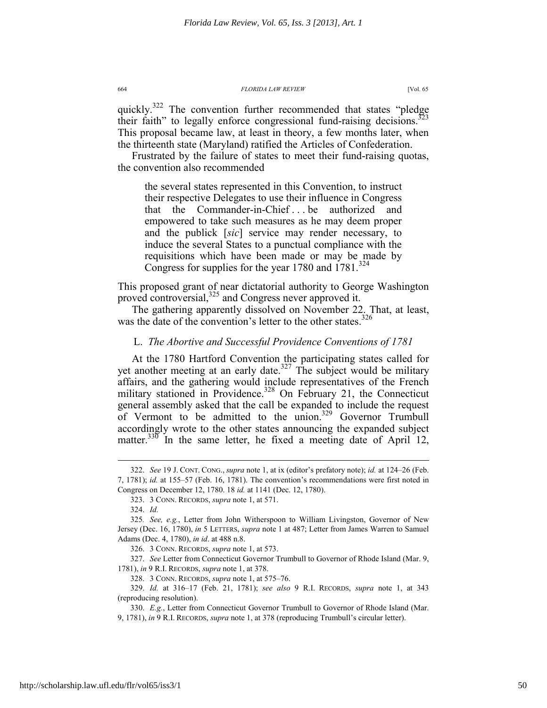quickly.<sup>322</sup> The convention further recommended that states "pledge" their faith" to legally enforce congressional fund-raising decisions.<sup>323</sup> This proposal became law, at least in theory, a few months later, when the thirteenth state (Maryland) ratified the Articles of Confederation.

Frustrated by the failure of states to meet their fund-raising quotas, the convention also recommended

the several states represented in this Convention, to instruct their respective Delegates to use their influence in Congress that the Commander-in-Chief . . . be authorized and empowered to take such measures as he may deem proper and the publick [*sic*] service may render necessary, to induce the several States to a punctual compliance with the requisitions which have been made or may be made by Congress for supplies for the year 1780 and 1781.<sup>324</sup>

This proposed grant of near dictatorial authority to George Washington proved controversial,<sup>325</sup> and Congress never approved it.

The gathering apparently dissolved on November 22. That, at least, was the date of the convention's letter to the other states.<sup>326</sup>

### L. *The Abortive and Successful Providence Conventions of 1781*

At the 1780 Hartford Convention the participating states called for yet another meeting at an early date.<sup>327</sup> The subject would be military affairs, and the gathering would include representatives of the French military stationed in Providence.<sup>328</sup> On February 21, the Connecticut general assembly asked that the call be expanded to include the request of Vermont to be admitted to the union.<sup>329</sup> Governor Trumbull accordingly wrote to the other states announcing the expanded subject matter.<sup>330</sup> In the same letter, he fixed a meeting date of April 12,

 <sup>322.</sup> *See* 19 J. CONT. CONG., *supra* note 1, at ix (editor's prefatory note); *id.* at 124–26 (Feb. 7, 1781); *id.* at 155–57 (Feb. 16, 1781). The convention's recommendations were first noted in Congress on December 12, 1780. 18 *id.* at 1141 (Dec. 12, 1780).

 <sup>323. 3</sup> CONN. RECORDS, *supra* note 1, at 571.

 <sup>324.</sup> *Id.*

<sup>325</sup>*. See, e.g.*, Letter from John Witherspoon to William Livingston, Governor of New Jersey (Dec. 16, 1780), *in* 5 LETTERS, *supra* note 1 at 487; Letter from James Warren to Samuel Adams (Dec. 4, 1780), *in id*. at 488 n.8.

 <sup>326. 3</sup> CONN. RECORDS, *supra* note 1, at 573.

 <sup>327.</sup> *See* Letter from Connecticut Governor Trumbull to Governor of Rhode Island (Mar. 9, 1781), *in* 9 R.I. RECORDS, *supra* note 1, at 378.

 <sup>328. 3</sup> CONN. RECORDS, *supra* note 1, at 575–76.

 <sup>329.</sup> *Id.* at 316–17 (Feb. 21, 1781); *see also* 9 R.I. RECORDS, *supra* note 1, at 343 (reproducing resolution).

 <sup>330.</sup> *E.g.*, Letter from Connecticut Governor Trumbull to Governor of Rhode Island (Mar. 9, 1781), *in* 9 R.I. RECORDS, *supra* note 1, at 378 (reproducing Trumbull's circular letter).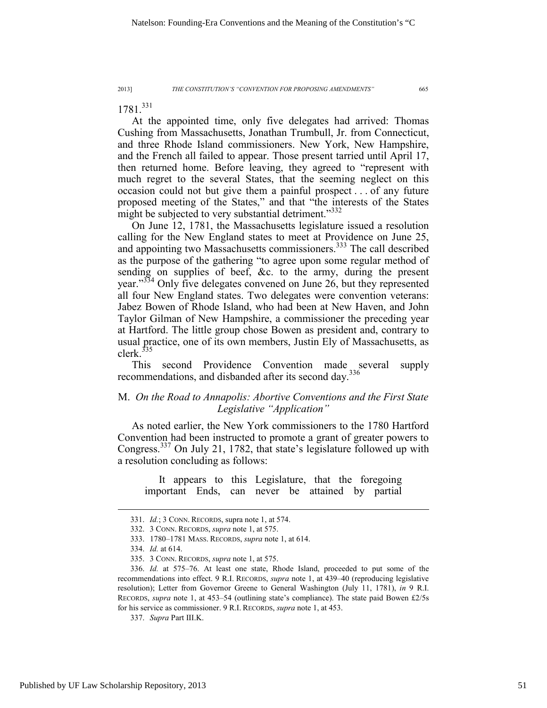1781<sup>331</sup>

At the appointed time, only five delegates had arrived: Thomas Cushing from Massachusetts, Jonathan Trumbull, Jr. from Connecticut, and three Rhode Island commissioners. New York, New Hampshire, and the French all failed to appear. Those present tarried until April 17, then returned home. Before leaving, they agreed to "represent with much regret to the several States, that the seeming neglect on this occasion could not but give them a painful prospect . . . of any future proposed meeting of the States," and that "the interests of the States might be subjected to very substantial detriment."<sup>332</sup>

On June 12, 1781, the Massachusetts legislature issued a resolution calling for the New England states to meet at Providence on June 25, and appointing two Massachusetts commissioners.<sup>333</sup> The call described as the purpose of the gathering "to agree upon some regular method of sending on supplies of beef, &c. to the army, during the present year."<sup>334</sup> Only five delegates convened on June 26, but they represented all four New England states. Two delegates were convention veterans: Jabez Bowen of Rhode Island, who had been at New Haven, and John Taylor Gilman of New Hampshire, a commissioner the preceding year at Hartford. The little group chose Bowen as president and, contrary to usual practice, one of its own members, Justin Ely of Massachusetts, as clerk. $335$ 

This second Providence Convention made several supply recommendations, and disbanded after its second day.<sup>336</sup>

# M. *On the Road to Annapolis: Abortive Conventions and the First State Legislative "Application"*

As noted earlier, the New York commissioners to the 1780 Hartford Convention had been instructed to promote a grant of greater powers to Congress.337 On July 21, 1782, that state's legislature followed up with a resolution concluding as follows:

It appears to this Legislature, that the foregoing important Ends, can never be attained by partial

 <sup>331.</sup> *Id.*; 3 CONN. RECORDS, supra note 1, at 574.

 <sup>332. 3</sup> CONN. RECORDS, *supra* note 1, at 575.

 <sup>333. 1780–1781</sup> MASS. RECORDS, *supra* note 1, at 614.

 <sup>334.</sup> *Id.* at 614.

 <sup>335. 3</sup> CONN. RECORDS, *supra* note 1, at 575.

 <sup>336.</sup> *Id.* at 575–76. At least one state, Rhode Island, proceeded to put some of the recommendations into effect. 9 R.I. RECORDS, *supra* note 1, at 439–40 (reproducing legislative resolution); Letter from Governor Greene to General Washington (July 11, 1781), *in* 9 R.I. RECORDS, *supra* note 1, at 453–54 (outlining state's compliance). The state paid Bowen £2/5s for his service as commissioner. 9 R.I. RECORDS, *supra* note 1, at 453.

 <sup>337.</sup> *Supra* Part III.K.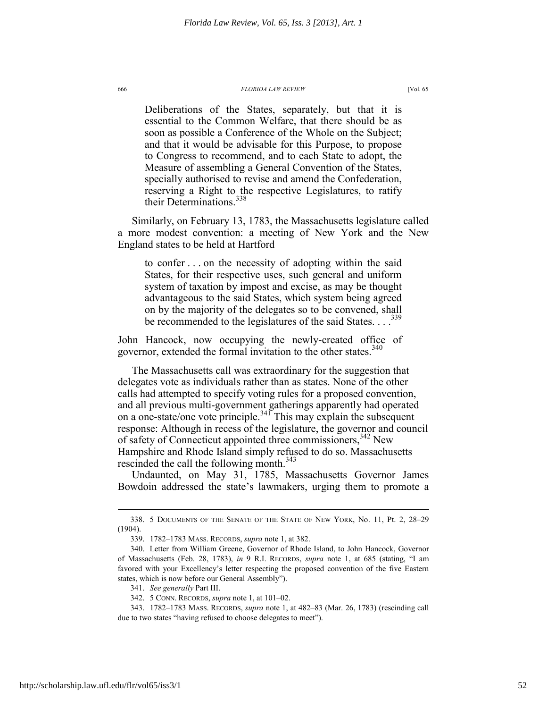Deliberations of the States, separately, but that it is essential to the Common Welfare, that there should be as soon as possible a Conference of the Whole on the Subject; and that it would be advisable for this Purpose, to propose to Congress to recommend, and to each State to adopt, the Measure of assembling a General Convention of the States, specially authorised to revise and amend the Confederation, reserving a Right to the respective Legislatures, to ratify their Determinations.<sup>338</sup>

Similarly, on February 13, 1783, the Massachusetts legislature called a more modest convention: a meeting of New York and the New England states to be held at Hartford

to confer . . . on the necessity of adopting within the said States, for their respective uses, such general and uniform system of taxation by impost and excise, as may be thought advantageous to the said States, which system being agreed on by the majority of the delegates so to be convened, shall be recommended to the legislatures of the said States. . . .<sup>339</sup>

John Hancock, now occupying the newly-created office of governor, extended the formal invitation to the other states.<sup>340</sup>

The Massachusetts call was extraordinary for the suggestion that delegates vote as individuals rather than as states. None of the other calls had attempted to specify voting rules for a proposed convention, and all previous multi-government gatherings apparently had operated on a one-state/one vote principle.<sup>341</sup> This may explain the subsequent response: Although in recess of the legislature, the governor and council of safety of Connecticut appointed three commissioners,<sup>342</sup> New Hampshire and Rhode Island simply refused to do so. Massachusetts rescinded the call the following month.<sup>343</sup>

Undaunted, on May 31, 1785, Massachusetts Governor James Bowdoin addressed the state's lawmakers, urging them to promote a

 <sup>338. 5</sup> DOCUMENTS OF THE SENATE OF THE STATE OF NEW YORK, No. 11, Pt. 2, 28–29 (1904).

 <sup>339. 1782–1783</sup> MASS. RECORDS, *supra* note 1, at 382.

 <sup>340.</sup> Letter from William Greene, Governor of Rhode Island, to John Hancock, Governor of Massachusetts (Feb. 28, 1783), *in* 9 R.I. RECORDS, *supra* note 1, at 685 (stating, "I am favored with your Excellency's letter respecting the proposed convention of the five Eastern states, which is now before our General Assembly").

 <sup>341.</sup> *See generally* Part III.

 <sup>342. 5</sup> CONN. RECORDS, *supra* note 1, at 101–02.

 <sup>343. 1782–1783</sup> MASS. RECORDS, *supra* note 1, at 482–83 (Mar. 26, 1783) (rescinding call due to two states "having refused to choose delegates to meet").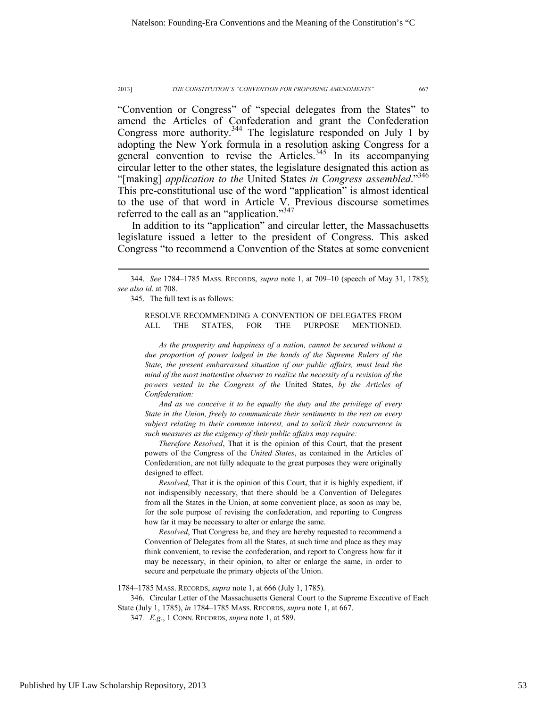"Convention or Congress" of "special delegates from the States" to amend the Articles of Confederation and grant the Confederation Congress more authority.<sup>344</sup> The legislature responded on July 1 by adopting the New York formula in a resolution asking Congress for a general convention to revise the Articles.<sup>345</sup> In its accompanying circular letter to the other states, the legislature designated this action as "[making] *application to the* United States *in Congress assembled*."346 This pre-constitutional use of the word "application" is almost identical to the use of that word in Article V. Previous discourse sometimes referred to the call as an "application."<sup>347</sup>

In addition to its "application" and circular letter, the Massachusetts legislature issued a letter to the president of Congress. This asked Congress "to recommend a Convention of the States at some convenient

345. The full text is as follows:

 $\overline{a}$ 

RESOLVE RECOMMENDING A CONVENTION OF DELEGATES FROM ALL THE STATES, FOR THE PURPOSE MENTIONED.

*As the prosperity and happiness of a nation, cannot be secured without a due proportion of power lodged in the hands of the Supreme Rulers of the State, the present embarrassed situation of our public affairs, must lead the mind of the most inattentive observer to realize the necessity of a revision of the powers vested in the Congress of the* United States, *by the Articles of Confederation:* 

*And as we conceive it to be equally the duty and the privilege of every State in the Union, freely to communicate their sentiments to the rest on every subject relating to their common interest, and to solicit their concurrence in such measures as the exigency of their public affairs may require:* 

*Therefore Resolved*, That it is the opinion of this Court, that the present powers of the Congress of the *United States*, as contained in the Articles of Confederation, are not fully adequate to the great purposes they were originally designed to effect.

*Resolved*, That it is the opinion of this Court, that it is highly expedient, if not indispensibly necessary, that there should be a Convention of Delegates from all the States in the Union, at some convenient place, as soon as may be, for the sole purpose of revising the confederation, and reporting to Congress how far it may be necessary to alter or enlarge the same.

*Resolved*, That Congress be, and they are hereby requested to recommend a Convention of Delegates from all the States, at such time and place as they may think convenient, to revise the confederation, and report to Congress how far it may be necessary, in their opinion, to alter or enlarge the same, in order to secure and perpetuate the primary objects of the Union.

1784–1785 MASS. RECORDS, *supra* note 1, at 666 (July 1, 1785).

 346. Circular Letter of the Massachusetts General Court to the Supreme Executive of Each State (July 1, 1785), *in* 1784–1785 MASS. RECORDS, *supra* note 1, at 667.

347*. E.g*., 1 CONN. RECORDS, *supra* note 1, at 589.

 <sup>344.</sup> *See* 1784–1785 MASS. RECORDS, *supra* note 1, at 709–10 (speech of May 31, 1785); *see also id*. at 708.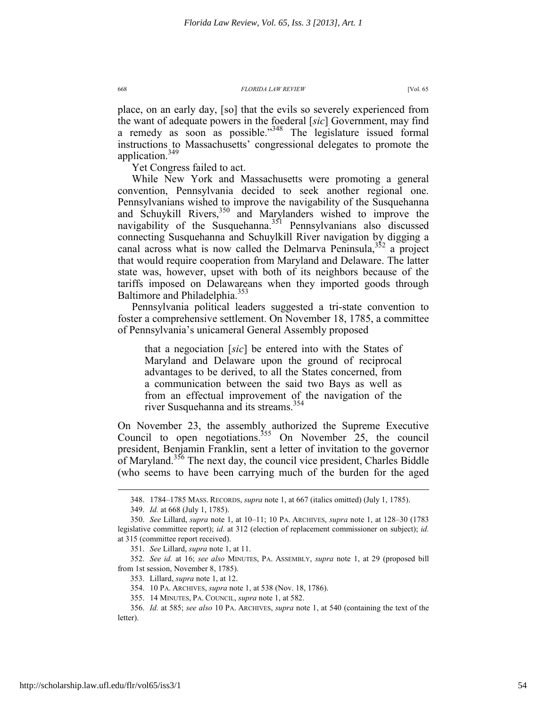place, on an early day, [so] that the evils so severely experienced from the want of adequate powers in the foederal [*sic*] Government, may find a remedy as soon as possible."<sup>348</sup> The legislature issued formal instructions to Massachusetts' congressional delegates to promote the application.349

Yet Congress failed to act.

While New York and Massachusetts were promoting a general convention, Pennsylvania decided to seek another regional one. Pennsylvanians wished to improve the navigability of the Susquehanna and Schuykill Rivers,<sup>350</sup> and Marylanders wished to improve the navigability of the Susquehanna.<sup>351</sup> Pennsylvanians also discussed connecting Susquehanna and Schuylkill River navigation by digging a canal across what is now called the Delmarva Peninsula,  $352$  a project that would require cooperation from Maryland and Delaware. The latter state was, however, upset with both of its neighbors because of the tariffs imposed on Delawareans when they imported goods through Baltimore and Philadelphia.<sup>353</sup>

Pennsylvania political leaders suggested a tri-state convention to foster a comprehensive settlement. On November 18, 1785, a committee of Pennsylvania's unicameral General Assembly proposed

that a negociation [*sic*] be entered into with the States of Maryland and Delaware upon the ground of reciprocal advantages to be derived, to all the States concerned, from a communication between the said two Bays as well as from an effectual improvement of the navigation of the river Susquehanna and its streams.<sup>354</sup>

On November 23, the assembly authorized the Supreme Executive Council to open negotiations.<sup>355</sup> On November  $25$ , the council president, Benjamin Franklin, sent a letter of invitation to the governor of Maryland.<sup>356</sup> The next day, the council vice president, Charles Biddle (who seems to have been carrying much of the burden for the aged

 <sup>348. 1784–1785</sup> MASS. RECORDS, *supra* note 1, at 667 (italics omitted) (July 1, 1785).

 <sup>349.</sup> *Id.* at 668 (July 1, 1785).

 <sup>350.</sup> *See* Lillard, *supra* note 1, at 10–11; 10 PA. ARCHIVES, *supra* note 1, at 128–30 (1783 legislative committee report); *id*. at 312 (election of replacement commissioner on subject); *id.* at 315 (committee report received).

 <sup>351.</sup> *See* Lillard, *supra* note 1, at 11.

 <sup>352.</sup> *See id.* at 16; *see also* MINUTES, PA. ASSEMBLY, *supra* note 1, at 29 (proposed bill from 1st session, November 8, 1785).

 <sup>353.</sup> Lillard, *supra* note 1, at 12.

 <sup>354. 10</sup> PA. ARCHIVES, *supra* note 1, at 538 (Nov. 18, 1786).

 <sup>355. 14</sup> MINUTES, PA. COUNCIL, *supra* note 1, at 582.

 <sup>356.</sup> *Id.* at 585; *see also* 10 PA. ARCHIVES, *supra* note 1, at 540 (containing the text of the letter).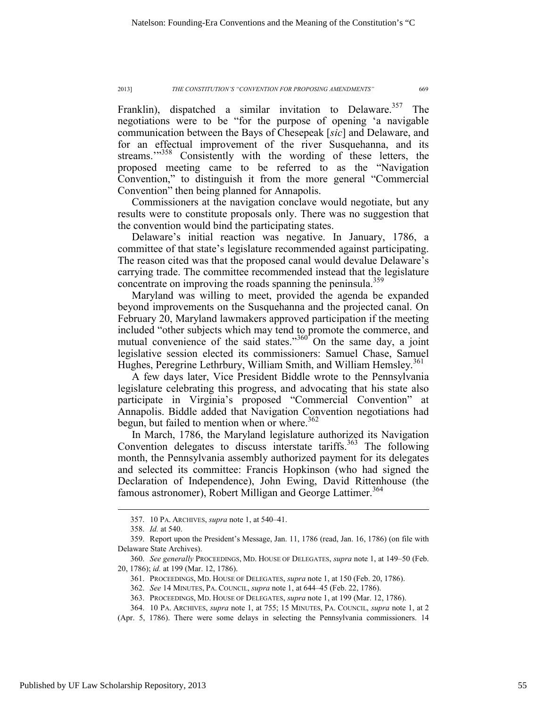Franklin), dispatched a similar invitation to Delaware.<sup>357</sup> The negotiations were to be "for the purpose of opening 'a navigable communication between the Bays of Chesepeak [*sic*] and Delaware, and for an effectual improvement of the river Susquehanna, and its streams."<sup>358</sup> Consistently with the wording of these letters, the proposed meeting came to be referred to as the "Navigation Convention," to distinguish it from the more general "Commercial Convention" then being planned for Annapolis.

Commissioners at the navigation conclave would negotiate, but any results were to constitute proposals only. There was no suggestion that the convention would bind the participating states.

Delaware's initial reaction was negative. In January, 1786, a committee of that state's legislature recommended against participating. The reason cited was that the proposed canal would devalue Delaware's carrying trade. The committee recommended instead that the legislature concentrate on improving the roads spanning the peninsula.<sup>359</sup>

Maryland was willing to meet, provided the agenda be expanded beyond improvements on the Susquehanna and the projected canal. On February 20, Maryland lawmakers approved participation if the meeting included "other subjects which may tend to promote the commerce, and mutual convenience of the said states."<sup>360</sup> On the same day, a joint legislative session elected its commissioners: Samuel Chase, Samuel Hughes, Peregrine Lethrbury, William Smith, and William Hemsley.<sup>361</sup>

A few days later, Vice President Biddle wrote to the Pennsylvania legislature celebrating this progress, and advocating that his state also participate in Virginia's proposed "Commercial Convention" at Annapolis. Biddle added that Navigation Convention negotiations had begun, but failed to mention when or where. $362$ 

In March, 1786, the Maryland legislature authorized its Navigation Convention delegates to discuss interstate tariffs.<sup>363</sup> The following month, the Pennsylvania assembly authorized payment for its delegates and selected its committee: Francis Hopkinson (who had signed the Declaration of Independence), John Ewing, David Rittenhouse (the famous astronomer), Robert Milligan and George Lattimer.<sup>364</sup>

 <sup>357. 10</sup> PA. ARCHIVES, *supra* note 1, at 540–41.

 <sup>358.</sup> *Id.* at 540.

 <sup>359.</sup> Report upon the President's Message, Jan. 11, 1786 (read, Jan. 16, 1786) (on file with Delaware State Archives).

 <sup>360.</sup> *See generally* PROCEEDINGS, MD. HOUSE OF DELEGATES, *supra* note 1, at 149–50 (Feb. 20, 1786); *id.* at 199 (Mar. 12, 1786).

 <sup>361.</sup> PROCEEDINGS, MD. HOUSE OF DELEGATES, *supra* note 1, at 150 (Feb. 20, 1786).

 <sup>362.</sup> *See* 14 MINUTES, PA. COUNCIL, *supra* note 1, at 644–45 (Feb. 22, 1786).

 <sup>363.</sup> PROCEEDINGS, MD. HOUSE OF DELEGATES, *supra* note 1, at 199 (Mar. 12, 1786).

 <sup>364. 10</sup> PA. ARCHIVES, *supra* note 1, at 755; 15 MINUTES, PA. COUNCIL, *supra* note 1, at 2

<sup>(</sup>Apr. 5, 1786). There were some delays in selecting the Pennsylvania commissioners. 14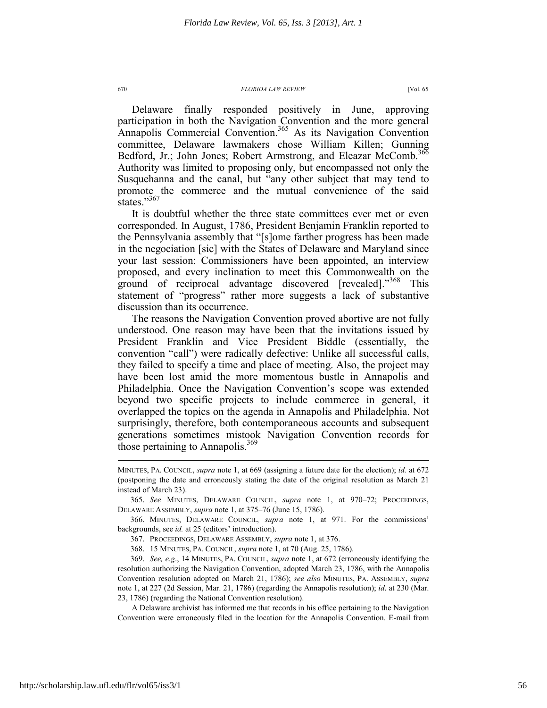Delaware finally responded positively in June, approving participation in both the Navigation Convention and the more general Annapolis Commercial Convention.<sup>365</sup> As its Navigation Convention committee, Delaware lawmakers chose William Killen; Gunning Bedford, Jr.; John Jones; Robert Armstrong, and Eleazar McComb.<sup>366</sup> Authority was limited to proposing only, but encompassed not only the Susquehanna and the canal, but "any other subject that may tend to promote the commerce and the mutual convenience of the said states."367

It is doubtful whether the three state committees ever met or even corresponded. In August, 1786, President Benjamin Franklin reported to the Pennsylvania assembly that "[s]ome farther progress has been made in the negociation [sic] with the States of Delaware and Maryland since your last session: Commissioners have been appointed, an interview proposed, and every inclination to meet this Commonwealth on the ground of reciprocal advantage discovered [revealed]."<sup>368</sup> This statement of "progress" rather more suggests a lack of substantive discussion than its occurrence.

The reasons the Navigation Convention proved abortive are not fully understood. One reason may have been that the invitations issued by President Franklin and Vice President Biddle (essentially, the convention "call") were radically defective: Unlike all successful calls, they failed to specify a time and place of meeting. Also, the project may have been lost amid the more momentous bustle in Annapolis and Philadelphia. Once the Navigation Convention's scope was extended beyond two specific projects to include commerce in general, it overlapped the topics on the agenda in Annapolis and Philadelphia. Not surprisingly, therefore, both contemporaneous accounts and subsequent generations sometimes mistook Navigation Convention records for those pertaining to Annapolis.<sup>369</sup>

 369. *See, e.g*., 14 MINUTES, PA. COUNCIL, *supra* note 1, at 672 (erroneously identifying the resolution authorizing the Navigation Convention, adopted March 23, 1786, with the Annapolis Convention resolution adopted on March 21, 1786); *see also* MINUTES, PA. ASSEMBLY, *supra* note 1, at 227 (2d Session, Mar. 21, 1786) (regarding the Annapolis resolution); *id*. at 230 (Mar. 23, 1786) (regarding the National Convention resolution).

A Delaware archivist has informed me that records in his office pertaining to the Navigation Convention were erroneously filed in the location for the Annapolis Convention. E-mail from

MINUTES, PA. COUNCIL, *supra* note 1, at 669 (assigning a future date for the election); *id.* at 672 (postponing the date and erroneously stating the date of the original resolution as March 21 instead of March 23).

 <sup>365.</sup> *See* MINUTES, DELAWARE COUNCIL, *supra* note 1, at 970–72; PROCEEDINGS, DELAWARE ASSEMBLY, *supra* note 1, at 375–76 (June 15, 1786).

 <sup>366.</sup> MINUTES, DELAWARE COUNCIL, *supra* note 1, at 971. For the commissions' backgrounds, see *id.* at 25 (editors' introduction).

 <sup>367.</sup> PROCEEDINGS, DELAWARE ASSEMBLY, *supra* note 1, at 376.

 <sup>368. 15</sup> MINUTES, PA. COUNCIL, *supra* note 1, at 70 (Aug. 25, 1786).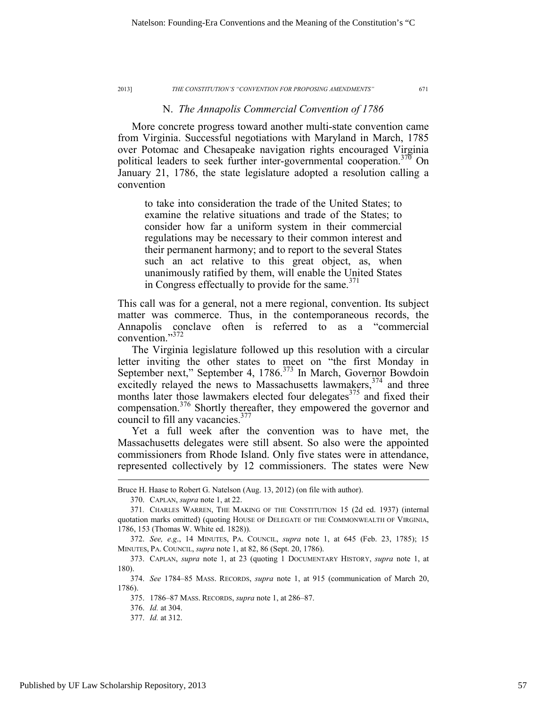## N. *The Annapolis Commercial Convention of 1786*

More concrete progress toward another multi-state convention came from Virginia. Successful negotiations with Maryland in March, 1785 over Potomac and Chesapeake navigation rights encouraged Virginia political leaders to seek further inter-governmental cooperation.<sup>370</sup> On January 21, 1786, the state legislature adopted a resolution calling a convention

to take into consideration the trade of the United States; to examine the relative situations and trade of the States; to consider how far a uniform system in their commercial regulations may be necessary to their common interest and their permanent harmony; and to report to the several States such an act relative to this great object, as, when unanimously ratified by them, will enable the United States in Congress effectually to provide for the same. $371$ 

This call was for a general, not a mere regional, convention. Its subject matter was commerce. Thus, in the contemporaneous records, the Annapolis conclave often is referred to as a "commercial convention."372

The Virginia legislature followed up this resolution with a circular letter inviting the other states to meet on "the first Monday in September next," September 4, 1786.<sup>373</sup> In March, Governor Bowdoin excitedly relayed the news to Massachusetts lawmakers,<sup>374</sup> and three months later those lawmakers elected four delegates<sup>375</sup> and fixed their compensation.376 Shortly thereafter, they empowered the governor and council to fill any vacancies. $377$ 

Yet a full week after the convention was to have met, the Massachusetts delegates were still absent. So also were the appointed commissioners from Rhode Island. Only five states were in attendance, represented collectively by 12 commissioners. The states were New

Bruce H. Haase to Robert G. Natelson (Aug. 13, 2012) (on file with author).

 <sup>370.</sup> CAPLAN, *supra* note 1, at 22.

<sup>371</sup>*.* CHARLES WARREN, THE MAKING OF THE CONSTITUTION 15 (2d ed. 1937) (internal quotation marks omitted) (quoting HOUSE OF DELEGATE OF THE COMMONWEALTH OF VIRGINIA, 1786, 153 (Thomas W. White ed. 1828)).

 <sup>372.</sup> *See, e.g*., 14 MINUTES, PA. COUNCIL, *supra* note 1, at 645 (Feb. 23, 1785); 15 MINUTES, PA. COUNCIL, *supra* note 1, at 82, 86 (Sept. 20, 1786).

 <sup>373.</sup> CAPLAN, *supra* note 1, at 23 (quoting 1 DOCUMENTARY HISTORY, *supra* note 1, at 180).

 <sup>374.</sup> *See* 1784–85 MASS. RECORDS, *supra* note 1, at 915 (communication of March 20, 1786).

 <sup>375. 1786–87</sup> MASS. RECORDS, *supra* note 1, at 286–87.

 <sup>376.</sup> *Id.* at 304.

 <sup>377.</sup> *Id.* at 312.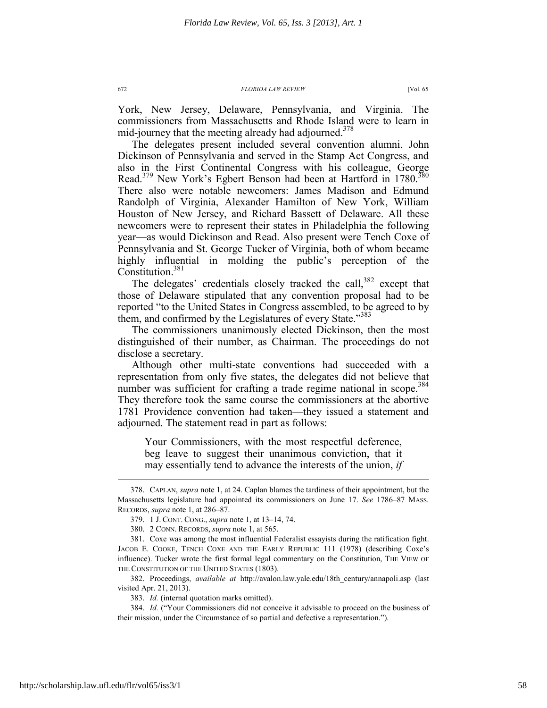York, New Jersey, Delaware, Pennsylvania, and Virginia. The commissioners from Massachusetts and Rhode Island were to learn in mid-journey that the meeting already had adjourned. $378$ 

The delegates present included several convention alumni. John Dickinson of Pennsylvania and served in the Stamp Act Congress, and also in the First Continental Congress with his colleague, George Read.<sup>379</sup> New York's Egbert Benson had been at Hartford in 1780.<sup>380</sup> There also were notable newcomers: James Madison and Edmund Randolph of Virginia, Alexander Hamilton of New York, William Houston of New Jersey, and Richard Bassett of Delaware. All these newcomers were to represent their states in Philadelphia the following year—as would Dickinson and Read. Also present were Tench Coxe of Pennsylvania and St. George Tucker of Virginia, both of whom became highly influential in molding the public's perception of the Constitution.<sup>381</sup>

The delegates' credentials closely tracked the call,<sup>382</sup> except that those of Delaware stipulated that any convention proposal had to be reported "to the United States in Congress assembled, to be agreed to by them, and confirmed by the Legislatures of every State."<sup>383</sup>

The commissioners unanimously elected Dickinson, then the most distinguished of their number, as Chairman. The proceedings do not disclose a secretary.

Although other multi-state conventions had succeeded with a representation from only five states, the delegates did not believe that number was sufficient for crafting a trade regime national in scope.<sup>384</sup> They therefore took the same course the commissioners at the abortive 1781 Providence convention had taken—they issued a statement and adjourned. The statement read in part as follows:

Your Commissioners, with the most respectful deference, beg leave to suggest their unanimous conviction, that it may essentially tend to advance the interests of the union, *if* 

 382. Proceedings, *available at* http://avalon.law.yale.edu/18th\_century/annapoli.asp (last visited Apr. 21, 2013).

383. *Id.* (internal quotation marks omitted).

 384. *Id.* ("Your Commissioners did not conceive it advisable to proceed on the business of their mission, under the Circumstance of so partial and defective a representation.").

 <sup>378.</sup> CAPLAN, *supra* note 1, at 24. Caplan blames the tardiness of their appointment, but the Massachusetts legislature had appointed its commissioners on June 17. *See* 1786–87 MASS. RECORDS, *supra* note 1, at 286–87.

 <sup>379. 1</sup> J. CONT. CONG., *supra* note 1, at 13–14, 74.

 <sup>380. 2</sup> CONN. RECORDS, *supra* note 1, at 565.

 <sup>381.</sup> Coxe was among the most influential Federalist essayists during the ratification fight. JACOB E. COOKE, TENCH COXE AND THE EARLY REPUBLIC 111 (1978) (describing Coxe's influence). Tucker wrote the first formal legal commentary on the Constitution, THE VIEW OF THE CONSTITUTION OF THE UNITED STATES (1803).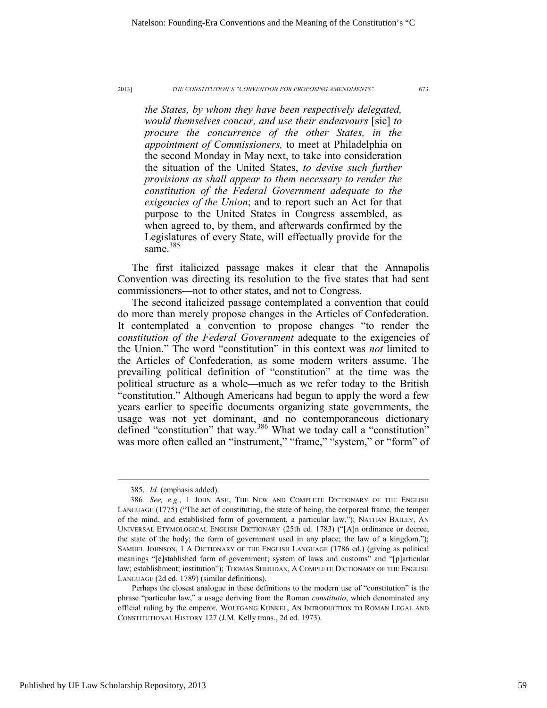*the States, by whom they have been respectively delegated, would themselves concur, and use their endeavours* [sic] *to procure the concurrence of the other States, in the appointment of Commissioners,* to meet at Philadelphia on the second Monday in May next, to take into consideration the situation of the United States, *to devise such further provisions as shall appear to them necessary to render the constitution of the Federal Government adequate to the exigencies of the Union*; and to report such an Act for that purpose to the United States in Congress assembled, as when agreed to, by them, and afterwards confirmed by the Legislatures of every State, will effectually provide for the same $^{385}$ 

The first italicized passage makes it clear that the Annapolis Convention was directing its resolution to the five states that had sent commissioners—not to other states, and not to Congress.

The second italicized passage contemplated a convention that could do more than merely propose changes in the Articles of Confederation. It contemplated a convention to propose changes "to render the *constitution of the Federal Government* adequate to the exigencies of the Union." The word "constitution" in this context was *not* limited to the Articles of Confederation, as some modern writers assume. The prevailing political definition of "constitution" at the time was the political structure as a whole—much as we refer today to the British "constitution." Although Americans had begun to apply the word a few years earlier to specific documents organizing state governments, the usage was not yet dominant, and no contemporaneous dictionary defined "constitution" that way.<sup>386</sup> What we today call a "constitution" was more often called an "instrument," "frame," "system," or "form" of

 <sup>385.</sup> *Id.* (emphasis added).

<sup>386</sup>*. See, e.g.*, 1 JOHN ASH, THE NEW AND COMPLETE DICTIONARY OF THE ENGLISH LANGUAGE (1775) ("The act of constituting, the state of being, the corporeal frame, the temper of the mind, and established form of government, a particular law."); NATHAN BAILEY, AN UNIVERSAL ETYMOLOGICAL ENGLISH DICTIONARY (25th ed. 1783) ("[A]n ordinance or decree; the state of the body; the form of government used in any place; the law of a kingdom."); SAMUEL JOHNSON, 1 A DICTIONARY OF THE ENGLISH LANGUAGE (1786 ed.) (giving as political meanings "[e]stablished form of government; system of laws and customs" and "[p]articular law; establishment; institution"); THOMAS SHERIDAN, A COMPLETE DICTIONARY OF THE ENGLISH LANGUAGE (2d ed. 1789) (similar definitions).

Perhaps the closest analogue in these definitions to the modern use of "constitution" is the phrase "particular law," a usage deriving from the Roman *constitutio*, which denominated any official ruling by the emperor. WOLFGANG KUNKEL, AN INTRODUCTION TO ROMAN LEGAL AND CONSTITUTIONAL HISTORY 127 (J.M. Kelly trans., 2d ed. 1973).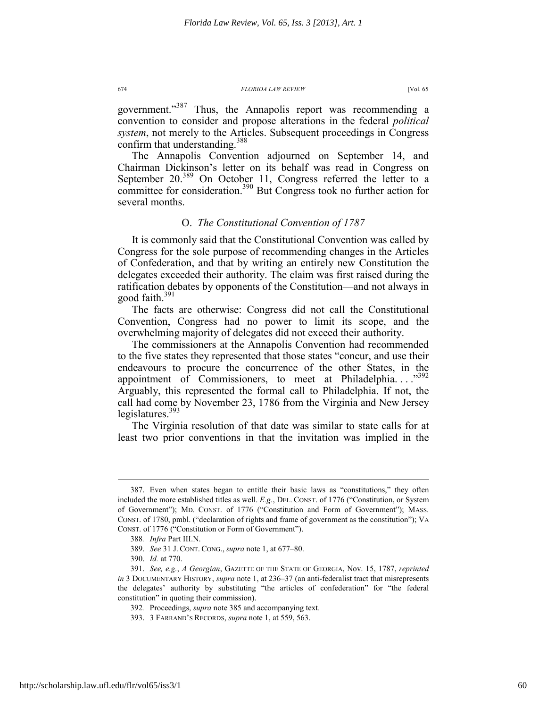government."<sup>387</sup> Thus, the Annapolis report was recommending a convention to consider and propose alterations in the federal *political system*, not merely to the Articles. Subsequent proceedings in Congress confirm that understanding.<sup>388</sup>

The Annapolis Convention adjourned on September 14, and Chairman Dickinson's letter on its behalf was read in Congress on September  $20^{389}$  On October 11, Congress referred the letter to a committee for consideration.<sup>390</sup> But Congress took no further action for several months.

# O. *The Constitutional Convention of 1787*

It is commonly said that the Constitutional Convention was called by Congress for the sole purpose of recommending changes in the Articles of Confederation, and that by writing an entirely new Constitution the delegates exceeded their authority. The claim was first raised during the ratification debates by opponents of the Constitution—and not always in good faith. $391$ 

The facts are otherwise: Congress did not call the Constitutional Convention, Congress had no power to limit its scope, and the overwhelming majority of delegates did not exceed their authority.

The commissioners at the Annapolis Convention had recommended to the five states they represented that those states "concur, and use their endeavours to procure the concurrence of the other States, in the appointment of Commissioners, to meet at Philadelphia.... $^{3392}$ Arguably, this represented the formal call to Philadelphia. If not, the call had come by November 23, 1786 from the Virginia and New Jersey legislatures. $393$ 

The Virginia resolution of that date was similar to state calls for at least two prior conventions in that the invitation was implied in the

 <sup>387.</sup> Even when states began to entitle their basic laws as "constitutions," they often included the more established titles as well. *E.g.*, DEL. CONST. of 1776 ("Constitution, or System of Government"); MD. CONST. of 1776 ("Constitution and Form of Government"); MASS. CONST. of 1780, pmbl. ("declaration of rights and frame of government as the constitution"); VA CONST. of 1776 ("Constitution or Form of Government").

<sup>388</sup>*. Infra* Part III.N.

 <sup>389.</sup> *See* 31 J. CONT. CONG., *supra* note 1, at 677–80.

 <sup>390.</sup> *Id.* at 770.

 <sup>391.</sup> *See, e.g.*, *A Georgian*, GAZETTE OF THE STATE OF GEORGIA, Nov. 15, 1787, *reprinted in* 3 DOCUMENTARY HISTORY, *supra* note 1, at 236–37 (an anti-federalist tract that misrepresents the delegates' authority by substituting "the articles of confederation" for "the federal constitution" in quoting their commission).

<sup>392</sup>*.* Proceedings, *supra* note 385 and accompanying text.

 <sup>393. 3</sup> FARRAND'S RECORDS, *supra* note 1, at 559, 563.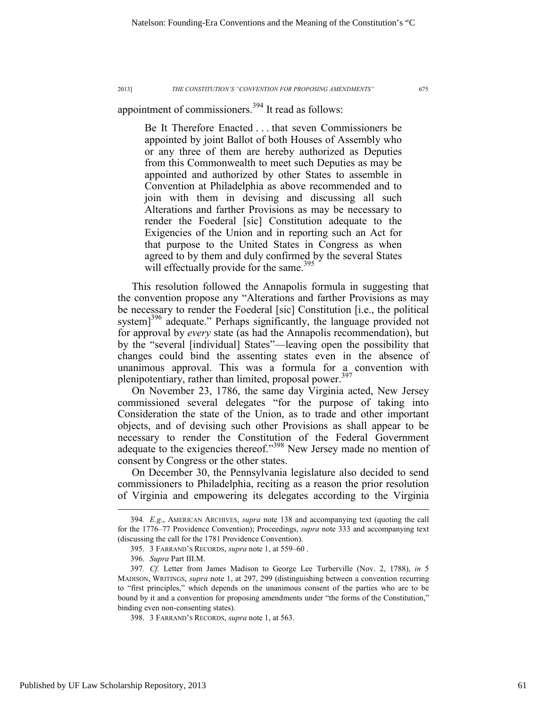appointment of commissioners.<sup>394</sup> It read as follows:

Be It Therefore Enacted . . . that seven Commissioners be appointed by joint Ballot of both Houses of Assembly who or any three of them are hereby authorized as Deputies from this Commonwealth to meet such Deputies as may be appointed and authorized by other States to assemble in Convention at Philadelphia as above recommended and to join with them in devising and discussing all such Alterations and farther Provisions as may be necessary to render the Foederal [sic] Constitution adequate to the Exigencies of the Union and in reporting such an Act for that purpose to the United States in Congress as when agreed to by them and duly confirmed by the several States will effectually provide for the same.<sup>395</sup>

This resolution followed the Annapolis formula in suggesting that the convention propose any "Alterations and farther Provisions as may be necessary to render the Foederal [sic] Constitution [i.e., the political system $]^{396}$  adequate." Perhaps significantly, the language provided not for approval by *every* state (as had the Annapolis recommendation), but by the "several [individual] States"—leaving open the possibility that changes could bind the assenting states even in the absence of unanimous approval. This was a formula for a convention with plenipotentiary, rather than limited, proposal power.<sup>397</sup>

On November 23, 1786, the same day Virginia acted, New Jersey commissioned several delegates "for the purpose of taking into Consideration the state of the Union, as to trade and other important objects, and of devising such other Provisions as shall appear to be necessary to render the Constitution of the Federal Government adequate to the exigencies thereof."<sup>398</sup> New Jersey made no mention of consent by Congress or the other states.

On December 30, the Pennsylvania legislature also decided to send commissioners to Philadelphia, reciting as a reason the prior resolution of Virginia and empowering its delegates according to the Virginia

 <sup>394</sup>*. E.g*., AMERICAN ARCHIVES, *supra* note 138 and accompanying text (quoting the call for the 1776–77 Providence Convention); Proceedings, *supra* note 333 and accompanying text (discussing the call for the 1781 Providence Convention).

 <sup>395. 3</sup> FARRAND'S RECORDS, *supra* note 1, at 559–60 .

 <sup>396.</sup> *Supra* Part III.M.

<sup>397</sup>*. Cf.* Letter from James Madison to George Lee Turberville (Nov. 2, 1788), *in* 5 MADISON, WRITINGS, *supra* note 1, at 297, 299 (distinguishing between a convention recurring to "first principles," which depends on the unanimous consent of the parties who are to be bound by it and a convention for proposing amendments under "the forms of the Constitution," binding even non-consenting states).

 <sup>398. 3</sup> FARRAND'S RECORDS, *supra* note 1, at 563.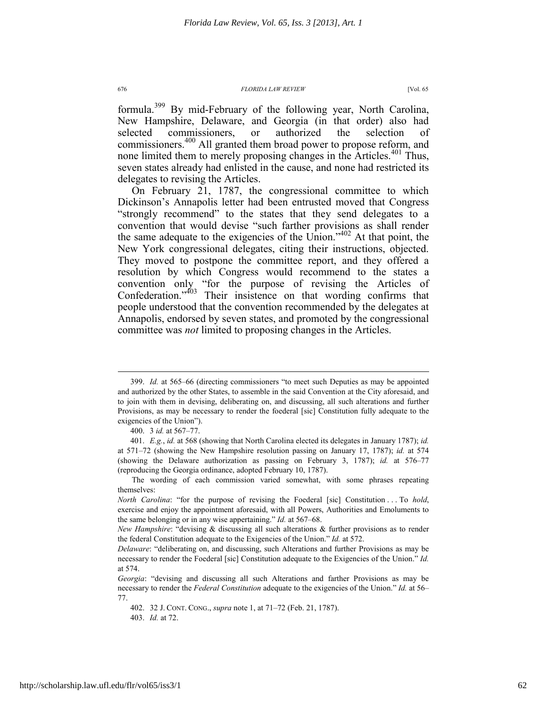formula.399 By mid-February of the following year, North Carolina, New Hampshire, Delaware, and Georgia (in that order) also had selected commissioners, or authorized the selection of commissioners.400 All granted them broad power to propose reform, and none limited them to merely proposing changes in the Articles.<sup>401</sup> Thus, seven states already had enlisted in the cause, and none had restricted its delegates to revising the Articles.

On February 21, 1787, the congressional committee to which Dickinson's Annapolis letter had been entrusted moved that Congress "strongly recommend" to the states that they send delegates to a convention that would devise "such farther provisions as shall render the same adequate to the exigencies of the Union."<sup>402</sup> At that point, the New York congressional delegates, citing their instructions, objected. They moved to postpone the committee report, and they offered a resolution by which Congress would recommend to the states a convention only "for the purpose of revising the Articles of Confederation."403 Their insistence on that wording confirms that people understood that the convention recommended by the delegates at Annapolis, endorsed by seven states, and promoted by the congressional committee was *not* limited to proposing changes in the Articles.

 <sup>399.</sup> *Id.* at 565–66 (directing commissioners "to meet such Deputies as may be appointed and authorized by the other States, to assemble in the said Convention at the City aforesaid, and to join with them in devising, deliberating on, and discussing, all such alterations and further Provisions, as may be necessary to render the foederal [sic] Constitution fully adequate to the exigencies of the Union").

 <sup>400. 3</sup> *id.* at 567–77.

 <sup>401.</sup> *E.g.*, *id.* at 568 (showing that North Carolina elected its delegates in January 1787); *id.*  at 571–72 (showing the New Hampshire resolution passing on January 17, 1787); *id.* at 574 (showing the Delaware authorization as passing on February 3, 1787); *id.* at 576–77 (reproducing the Georgia ordinance, adopted February 10, 1787).

The wording of each commission varied somewhat, with some phrases repeating themselves:

*North Carolina*: "for the purpose of revising the Foederal [sic] Constitution . . . To *hold*, exercise and enjoy the appointment aforesaid, with all Powers, Authorities and Emoluments to the same belonging or in any wise appertaining." *Id.* at 567–68.

*New Hampshire*: "devising & discussing all such alterations & further provisions as to render the federal Constitution adequate to the Exigencies of the Union." *Id.* at 572.

*Delaware*: "deliberating on, and discussing, such Alterations and further Provisions as may be necessary to render the Foederal [sic] Constitution adequate to the Exigencies of the Union." *Id.* at 574.

*Georgia*: "devising and discussing all such Alterations and farther Provisions as may be necessary to render the *Federal Constitution* adequate to the exigencies of the Union." *Id.* at 56– 77.

 <sup>402. 32</sup> J. CONT. CONG., *supra* note 1, at 71–72 (Feb. 21, 1787). 403. *Id.* at 72.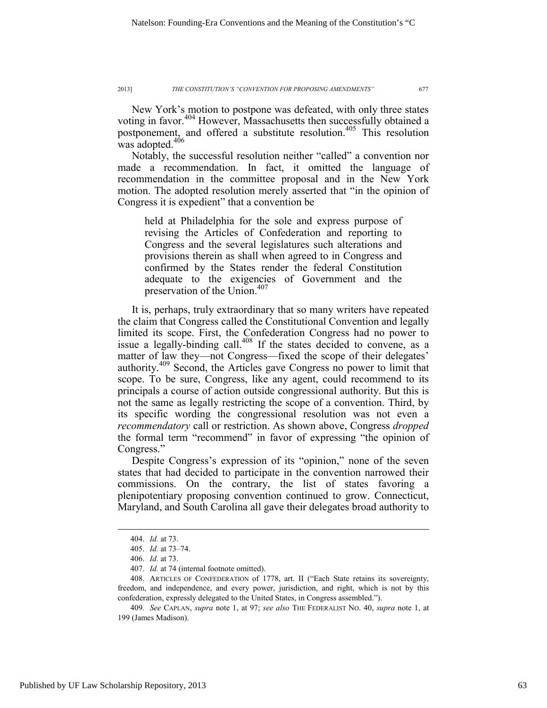New York's motion to postpone was defeated, with only three states voting in favor.<sup>404</sup> However, Massachusetts then successfully obtained a postponement, and offered a substitute resolution.<sup>405</sup> This resolution was adopted.<sup>406</sup>

Notably, the successful resolution neither "called" a convention nor made a recommendation. In fact, it omitted the language of recommendation in the committee proposal and in the New York motion. The adopted resolution merely asserted that "in the opinion of Congress it is expedient" that a convention be

held at Philadelphia for the sole and express purpose of revising the Articles of Confederation and reporting to Congress and the several legislatures such alterations and provisions therein as shall when agreed to in Congress and confirmed by the States render the federal Constitution adequate to the exigencies of Government and the preservation of the Union.<sup>407</sup>

It is, perhaps, truly extraordinary that so many writers have repeated the claim that Congress called the Constitutional Convention and legally limited its scope. First, the Confederation Congress had no power to issue a legally-binding call.<sup>408</sup> If the states decided to convene, as a matter of law they—not Congress—fixed the scope of their delegates' authority.409 Second, the Articles gave Congress no power to limit that scope. To be sure, Congress, like any agent, could recommend to its principals a course of action outside congressional authority. But this is not the same as legally restricting the scope of a convention. Third, by its specific wording the congressional resolution was not even a *recommendatory* call or restriction. As shown above, Congress *dropped* the formal term "recommend" in favor of expressing "the opinion of Congress."

Despite Congress's expression of its "opinion," none of the seven states that had decided to participate in the convention narrowed their commissions. On the contrary, the list of states favoring a plenipotentiary proposing convention continued to grow. Connecticut, Maryland, and South Carolina all gave their delegates broad authority to

 <sup>404.</sup> *Id.* at 73.

 <sup>405.</sup> *Id.* at 73–74.

 <sup>406.</sup> *Id.* at 73.

 <sup>407.</sup> *Id.* at 74 (internal footnote omitted).

 <sup>408.</sup> ARTICLES OF CONFEDERATION of 1778, art. II ("Each State retains its sovereignty, freedom, and independence, and every power, jurisdiction, and right, which is not by this confederation, expressly delegated to the United States, in Congress assembled.").

<sup>409</sup>*. See* CAPLAN, *supra* note 1, at 97; *see also* THE FEDERALIST NO. 40, *supra* note 1, at 199 (James Madison).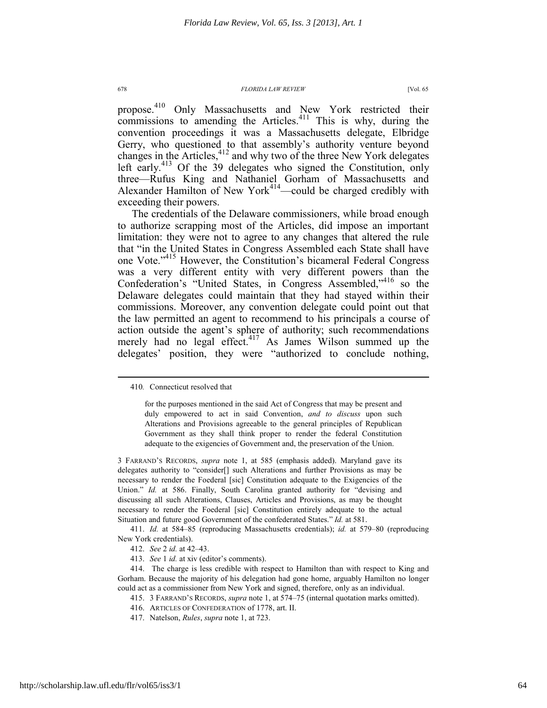propose.<sup>410</sup> Only Massachusetts and New York restricted their commissions to amending the Articles. $411$  This is why, during the convention proceedings it was a Massachusetts delegate, Elbridge Gerry, who questioned to that assembly's authority venture beyond changes in the Articles,<sup>412</sup> and why two of the three New York delegates left early.<sup>413</sup> Of the 39 delegates who signed the Constitution, only three—Rufus King and Nathaniel Gorham of Massachusetts and Alexander Hamilton of New York<sup>414</sup>—could be charged credibly with exceeding their powers.

The credentials of the Delaware commissioners, while broad enough to authorize scrapping most of the Articles, did impose an important limitation: they were not to agree to any changes that altered the rule that "in the United States in Congress Assembled each State shall have one Vote."<sup>415</sup> However, the Constitution's bicameral Federal Congress was a very different entity with very different powers than the Confederation's "United States, in Congress Assembled,"416 so the Delaware delegates could maintain that they had stayed within their commissions. Moreover, any convention delegate could point out that the law permitted an agent to recommend to his principals a course of action outside the agent's sphere of authority; such recommendations merely had no legal effect.<sup>417</sup> As James Wilson summed up the delegates' position, they were "authorized to conclude nothing,

3 FARRAND'S RECORDS, *supra* note 1, at 585 (emphasis added). Maryland gave its delegates authority to "consider[] such Alterations and further Provisions as may be necessary to render the Foederal [sic] Constitution adequate to the Exigencies of the Union." *Id.* at 586. Finally, South Carolina granted authority for "devising and discussing all such Alterations, Clauses, Articles and Provisions, as may be thought necessary to render the Foederal [sic] Constitution entirely adequate to the actual Situation and future good Government of the confederated States." *Id.* at 581.

 411. *Id.* at 584–85 (reproducing Massachusetts credentials); *id.* at 579–80 (reproducing New York credentials).

413. *See* 1 *id.* at xiv (editor's comments).

 414. The charge is less credible with respect to Hamilton than with respect to King and Gorham. Because the majority of his delegation had gone home, arguably Hamilton no longer could act as a commissioner from New York and signed, therefore, only as an individual.

415. 3 FARRAND'S RECORDS, *supra* note 1, at 574–75 (internal quotation marks omitted).

- 416. ARTICLES OF CONFEDERATION of 1778, art. II.
- 417. Natelson, *Rules*, *supra* note 1, at 723.

 <sup>410</sup>*.* Connecticut resolved that

for the purposes mentioned in the said Act of Congress that may be present and duly empowered to act in said Convention, *and to discuss* upon such Alterations and Provisions agreeable to the general principles of Republican Government as they shall think proper to render the federal Constitution adequate to the exigencies of Government and, the preservation of the Union.

 <sup>412.</sup> *See* 2 *id.* at 42–43.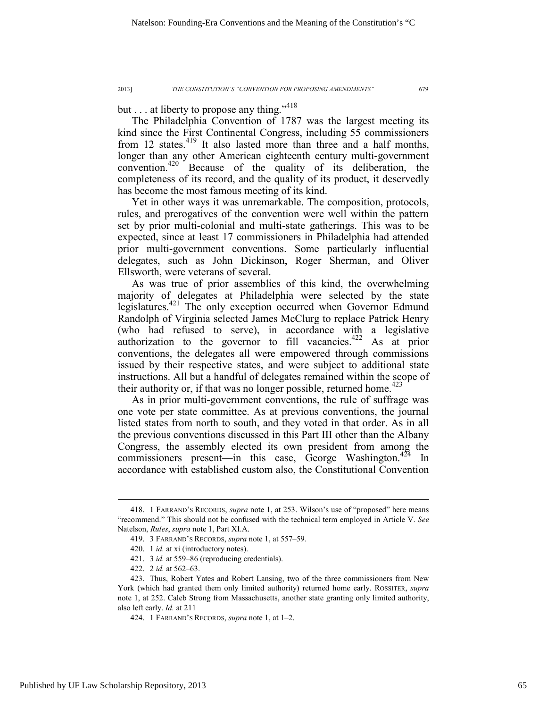but . . . at liberty to propose any thing."<sup>418</sup>

The Philadelphia Convention of 1787 was the largest meeting its kind since the First Continental Congress, including 55 commissioners from 12 states.<sup>419</sup> It also lasted more than three and a half months, longer than any other American eighteenth century multi-government convention.420 Because of the quality of its deliberation, the completeness of its record, and the quality of its product, it deservedly has become the most famous meeting of its kind.

Yet in other ways it was unremarkable. The composition, protocols, rules, and prerogatives of the convention were well within the pattern set by prior multi-colonial and multi-state gatherings. This was to be expected, since at least 17 commissioners in Philadelphia had attended prior multi-government conventions. Some particularly influential delegates, such as John Dickinson, Roger Sherman, and Oliver Ellsworth, were veterans of several.

As was true of prior assemblies of this kind, the overwhelming majority of delegates at Philadelphia were selected by the state legislatures.421 The only exception occurred when Governor Edmund Randolph of Virginia selected James McClurg to replace Patrick Henry (who had refused to serve), in accordance with a legislative authorization to the governor to fill vacancies.<sup> $422$ </sup> As at prior conventions, the delegates all were empowered through commissions issued by their respective states, and were subject to additional state instructions. All but a handful of delegates remained within the scope of their authority or, if that was no longer possible, returned home.<sup>423</sup>

As in prior multi-government conventions, the rule of suffrage was one vote per state committee. As at previous conventions, the journal listed states from north to south, and they voted in that order. As in all the previous conventions discussed in this Part III other than the Albany Congress, the assembly elected its own president from among the commissioners present—in this case, George Washington.<sup>424</sup> In accordance with established custom also, the Constitutional Convention

 <sup>418. 1</sup> FARRAND'S RECORDS, *supra* note 1, at 253. Wilson's use of "proposed" here means "recommend." This should not be confused with the technical term employed in Article V. *See* Natelson, *Rules*, *supra* note 1, Part XI.A.

 <sup>419. 3</sup> FARRAND'S RECORDS, *supra* note 1, at 557–59.

 <sup>420. 1</sup> *id.* at xi (introductory notes).

 <sup>421. 3</sup> *id.* at 559–86 (reproducing credentials).

 <sup>422. 2</sup> *id.* at 562–63.

 <sup>423.</sup> Thus, Robert Yates and Robert Lansing, two of the three commissioners from New York (which had granted them only limited authority) returned home early. ROSSITER, *supra* note 1, at 252. Caleb Strong from Massachusetts, another state granting only limited authority, also left early. *Id.* at 211

 <sup>424. 1</sup> FARRAND'S RECORDS, *supra* note 1, at 1–2.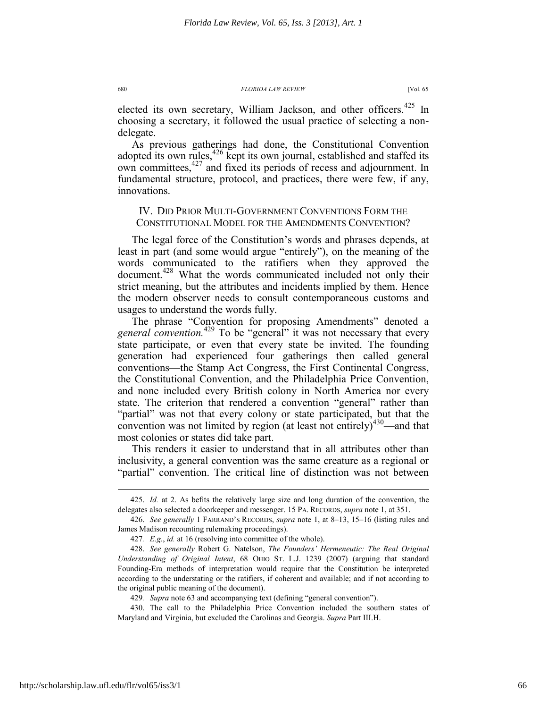elected its own secretary, William Jackson, and other officers.<sup>425</sup> In choosing a secretary, it followed the usual practice of selecting a nondelegate.

As previous gatherings had done, the Constitutional Convention adopted its own rules,<sup>426</sup> kept its own journal, established and staffed its own committees,<sup>427</sup> and fixed its periods of recess and adjournment. In fundamental structure, protocol, and practices, there were few, if any, innovations.

# IV. DID PRIOR MULTI-GOVERNMENT CONVENTIONS FORM THE CONSTITUTIONAL MODEL FOR THE AMENDMENTS CONVENTION?

The legal force of the Constitution's words and phrases depends, at least in part (and some would argue "entirely"), on the meaning of the words communicated to the ratifiers when they approved the document.<sup>428</sup> What the words communicated included not only their strict meaning, but the attributes and incidents implied by them. Hence the modern observer needs to consult contemporaneous customs and usages to understand the words fully.

The phrase "Convention for proposing Amendments" denoted a general convention.<sup>429</sup> To be "general" it was not necessary that every state participate, or even that every state be invited. The founding generation had experienced four gatherings then called general conventions—the Stamp Act Congress, the First Continental Congress, the Constitutional Convention, and the Philadelphia Price Convention, and none included every British colony in North America nor every state. The criterion that rendered a convention "general" rather than "partial" was not that every colony or state participated, but that the convention was not limited by region (at least not entirely) $430$ —and that most colonies or states did take part.

This renders it easier to understand that in all attributes other than inclusivity, a general convention was the same creature as a regional or "partial" convention. The critical line of distinction was not between

 <sup>425.</sup> *Id.* at 2. As befits the relatively large size and long duration of the convention, the delegates also selected a doorkeeper and messenger. 15 PA. RECORDS, *supra* note 1, at 351.

 <sup>426.</sup> *See generally* 1 FARRAND'S RECORDS, *supra* note 1, at 8–13, 15–16 (listing rules and James Madison recounting rulemaking proceedings).

<sup>427</sup>*. E.g.*, *id.* at 16 (resolving into committee of the whole).

 <sup>428.</sup> *See generally* Robert G. Natelson, *The Founders' Hermeneutic: The Real Original Understanding of Original Intent*, 68 OHIO ST. L.J. 1239 (2007) (arguing that standard Founding-Era methods of interpretation would require that the Constitution be interpreted according to the understating or the ratifiers, if coherent and available; and if not according to the original public meaning of the document).

<sup>429</sup>*. Supra* note 63 and accompanying text (defining "general convention").

 <sup>430.</sup> The call to the Philadelphia Price Convention included the southern states of Maryland and Virginia, but excluded the Carolinas and Georgia. *Supra* Part III.H.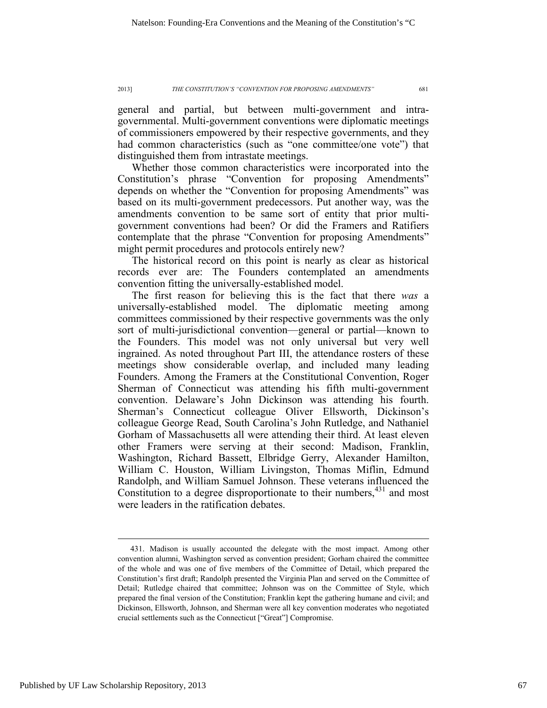general and partial, but between multi-government and intragovernmental. Multi-government conventions were diplomatic meetings of commissioners empowered by their respective governments, and they had common characteristics (such as "one committee/one vote") that distinguished them from intrastate meetings.

Whether those common characteristics were incorporated into the Constitution's phrase "Convention for proposing Amendments" depends on whether the "Convention for proposing Amendments" was based on its multi-government predecessors. Put another way, was the amendments convention to be same sort of entity that prior multigovernment conventions had been? Or did the Framers and Ratifiers contemplate that the phrase "Convention for proposing Amendments" might permit procedures and protocols entirely new?

The historical record on this point is nearly as clear as historical records ever are: The Founders contemplated an amendments convention fitting the universally-established model.

The first reason for believing this is the fact that there *was* a universally-established model. The diplomatic meeting among committees commissioned by their respective governments was the only sort of multi-jurisdictional convention—general or partial—known to the Founders. This model was not only universal but very well ingrained. As noted throughout Part III, the attendance rosters of these meetings show considerable overlap, and included many leading Founders. Among the Framers at the Constitutional Convention, Roger Sherman of Connecticut was attending his fifth multi-government convention. Delaware's John Dickinson was attending his fourth. Sherman's Connecticut colleague Oliver Ellsworth, Dickinson's colleague George Read, South Carolina's John Rutledge, and Nathaniel Gorham of Massachusetts all were attending their third. At least eleven other Framers were serving at their second: Madison, Franklin, Washington, Richard Bassett, Elbridge Gerry, Alexander Hamilton, William C. Houston, William Livingston, Thomas Miflin, Edmund Randolph, and William Samuel Johnson. These veterans influenced the Constitution to a degree disproportionate to their numbers,  $431$  and most were leaders in the ratification debates.

 <sup>431.</sup> Madison is usually accounted the delegate with the most impact. Among other convention alumni, Washington served as convention president; Gorham chaired the committee of the whole and was one of five members of the Committee of Detail, which prepared the Constitution's first draft; Randolph presented the Virginia Plan and served on the Committee of Detail; Rutledge chaired that committee; Johnson was on the Committee of Style, which prepared the final version of the Constitution; Franklin kept the gathering humane and civil; and Dickinson, Ellsworth, Johnson, and Sherman were all key convention moderates who negotiated crucial settlements such as the Connecticut ["Great"] Compromise.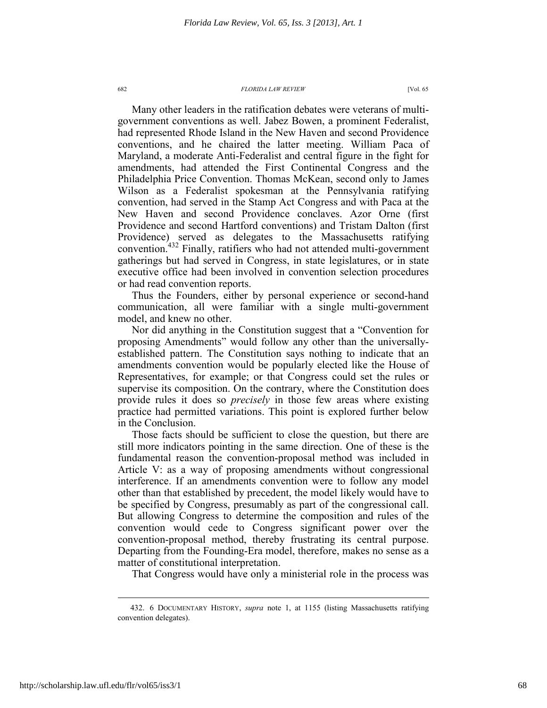Many other leaders in the ratification debates were veterans of multigovernment conventions as well. Jabez Bowen, a prominent Federalist, had represented Rhode Island in the New Haven and second Providence conventions, and he chaired the latter meeting. William Paca of Maryland, a moderate Anti-Federalist and central figure in the fight for amendments, had attended the First Continental Congress and the Philadelphia Price Convention. Thomas McKean, second only to James Wilson as a Federalist spokesman at the Pennsylvania ratifying convention, had served in the Stamp Act Congress and with Paca at the New Haven and second Providence conclaves. Azor Orne (first Providence and second Hartford conventions) and Tristam Dalton (first Providence) served as delegates to the Massachusetts ratifying convention.432 Finally, ratifiers who had not attended multi-government gatherings but had served in Congress, in state legislatures, or in state executive office had been involved in convention selection procedures or had read convention reports.

Thus the Founders, either by personal experience or second-hand communication, all were familiar with a single multi-government model, and knew no other.

Nor did anything in the Constitution suggest that a "Convention for proposing Amendments" would follow any other than the universallyestablished pattern. The Constitution says nothing to indicate that an amendments convention would be popularly elected like the House of Representatives, for example; or that Congress could set the rules or supervise its composition. On the contrary, where the Constitution does provide rules it does so *precisely* in those few areas where existing practice had permitted variations. This point is explored further below in the Conclusion.

Those facts should be sufficient to close the question, but there are still more indicators pointing in the same direction. One of these is the fundamental reason the convention-proposal method was included in Article V: as a way of proposing amendments without congressional interference. If an amendments convention were to follow any model other than that established by precedent, the model likely would have to be specified by Congress, presumably as part of the congressional call. But allowing Congress to determine the composition and rules of the convention would cede to Congress significant power over the convention-proposal method, thereby frustrating its central purpose. Departing from the Founding-Era model, therefore, makes no sense as a matter of constitutional interpretation.

That Congress would have only a ministerial role in the process was

 <sup>432. 6</sup> DOCUMENTARY HISTORY, *supra* note 1, at 1155 (listing Massachusetts ratifying convention delegates).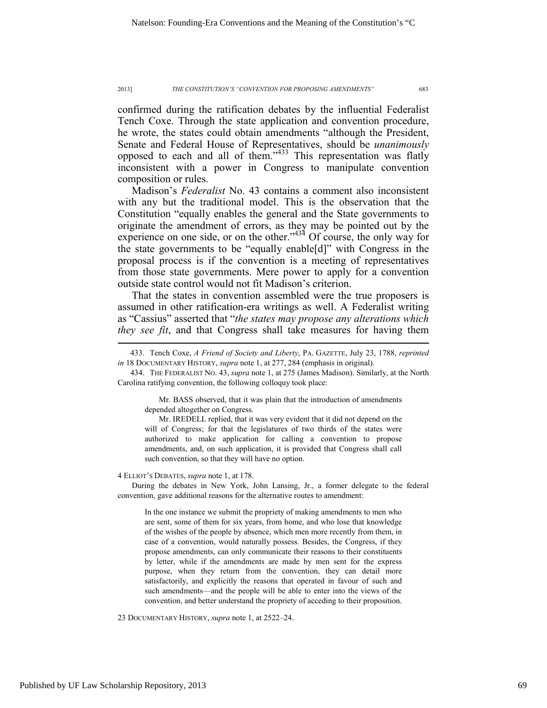confirmed during the ratification debates by the influential Federalist Tench Coxe. Through the state application and convention procedure, he wrote, the states could obtain amendments "although the President, Senate and Federal House of Representatives, should be *unanimously*  opposed to each and all of them."433 This representation was flatly inconsistent with a power in Congress to manipulate convention composition or rules.

Madison's *Federalist* No. 43 contains a comment also inconsistent with any but the traditional model. This is the observation that the Constitution "equally enables the general and the State governments to originate the amendment of errors, as they may be pointed out by the experience on one side, or on the other." $434$  Of course, the only way for the state governments to be "equally enable[d]" with Congress in the proposal process is if the convention is a meeting of representatives from those state governments. Mere power to apply for a convention outside state control would not fit Madison's criterion.

That the states in convention assembled were the true proposers is assumed in other ratification-era writings as well. A Federalist writing as "Cassius" asserted that "*the states may propose any alterations which they see fit*, and that Congress shall take measures for having them

 434. THE FEDERALIST NO. 43, *supra* note 1, at 275 (James Madison). Similarly, at the North Carolina ratifying convention, the following colloquy took place:

Mr. BASS observed, that it was plain that the introduction of amendments depended altogether on Congress.

Mr. IREDELL replied, that it was very evident that it did not depend on the will of Congress; for that the legislatures of two thirds of the states were authorized to make application for calling a convention to propose amendments, and, on such application, it is provided that Congress shall call such convention, so that they will have no option.

4 ELLIOT'S DEBATES, *supra* note 1, at 178.

During the debates in New York, John Lansing, Jr., a former delegate to the federal convention, gave additional reasons for the alternative routes to amendment:

In the one instance we submit the propriety of making amendments to men who are sent, some of them for six years, from home, and who lose that knowledge of the wishes of the people by absence, which men more recently from them, in case of a convention, would naturally possess. Besides, the Congress, if they propose amendments, can only communicate their reasons to their constituents by letter, while if the amendments are made by men sent for the express purpose, when they return from the convention, they can detail more satisfactorily, and explicitly the reasons that operated in favour of such and such amendments—and the people will be able to enter into the views of the convention, and better understand the propriety of acceding to their proposition.

23 DOCUMENTARY HISTORY, *supra* note 1, at 2522–24.

 <sup>433.</sup> Tench Coxe, *A Friend of Society and Liberty*, PA. GAZETTE, July 23, 1788, *reprinted in* 18 DOCUMENTARY HISTORY, *supra* note 1, at 277, 284 (emphasis in original).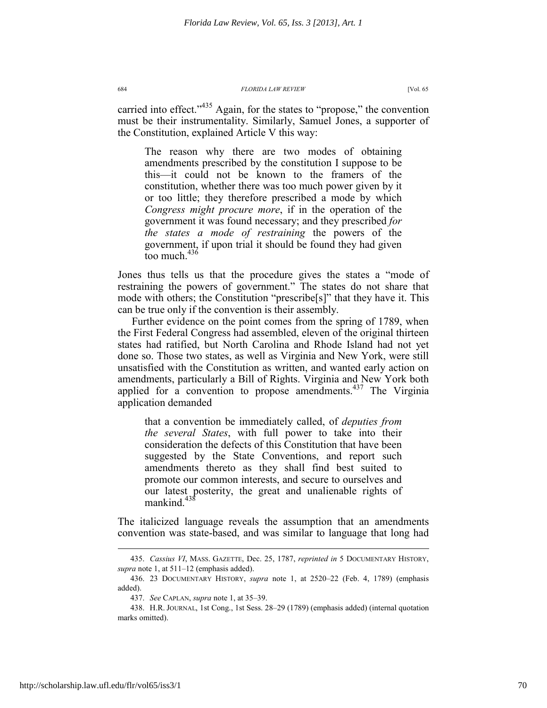carried into effect."<sup>435</sup> Again, for the states to "propose," the convention must be their instrumentality. Similarly, Samuel Jones, a supporter of the Constitution, explained Article V this way:

The reason why there are two modes of obtaining amendments prescribed by the constitution I suppose to be this—it could not be known to the framers of the constitution, whether there was too much power given by it or too little; they therefore prescribed a mode by which *Congress might procure more*, if in the operation of the government it was found necessary; and they prescribed *for the states a mode of restraining* the powers of the government, if upon trial it should be found they had given too much  $436$ 

Jones thus tells us that the procedure gives the states a "mode of restraining the powers of government." The states do not share that mode with others; the Constitution "prescribe[s]" that they have it. This can be true only if the convention is their assembly.

Further evidence on the point comes from the spring of 1789, when the First Federal Congress had assembled, eleven of the original thirteen states had ratified, but North Carolina and Rhode Island had not yet done so. Those two states, as well as Virginia and New York, were still unsatisfied with the Constitution as written, and wanted early action on amendments, particularly a Bill of Rights. Virginia and New York both applied for a convention to propose amendments. $437$  The Virginia application demanded

that a convention be immediately called, of *deputies from the several States*, with full power to take into their consideration the defects of this Constitution that have been suggested by the State Conventions, and report such amendments thereto as they shall find best suited to promote our common interests, and secure to ourselves and our latest posterity, the great and unalienable rights of mankind. $438$ 

The italicized language reveals the assumption that an amendments convention was state-based, and was similar to language that long had

 <sup>435.</sup> *Cassius VI*, MASS. GAZETTE, Dec. 25, 1787, *reprinted in* 5 DOCUMENTARY HISTORY, *supra* note 1, at 511–12 (emphasis added).

 <sup>436. 23</sup> DOCUMENTARY HISTORY, *supra* note 1, at 2520–22 (Feb. 4, 1789) (emphasis added).

 <sup>437.</sup> *See* CAPLAN, *supra* note 1, at 35–39.

 <sup>438.</sup> H.R. JOURNAL, 1st Cong., 1st Sess. 28–29 (1789) (emphasis added) (internal quotation marks omitted).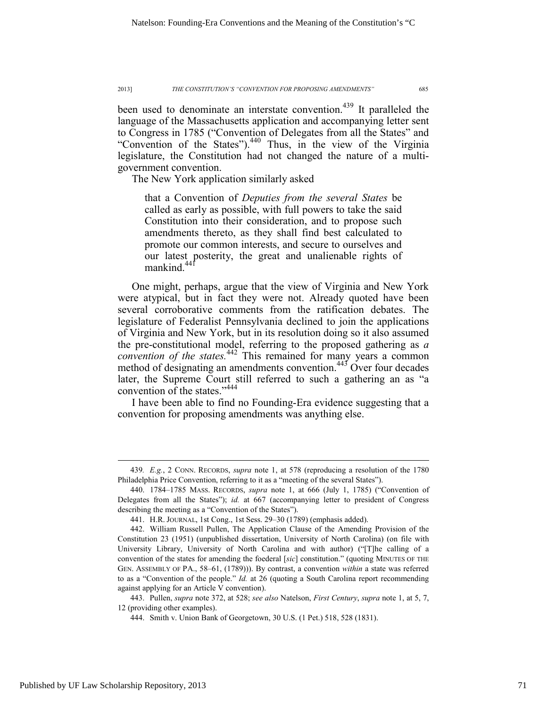been used to denominate an interstate convention.<sup>439</sup> It paralleled the language of the Massachusetts application and accompanying letter sent to Congress in 1785 ("Convention of Delegates from all the States" and "Convention of the States").440 Thus, in the view of the Virginia legislature, the Constitution had not changed the nature of a multigovernment convention.

The New York application similarly asked

that a Convention of *Deputies from the several States* be called as early as possible, with full powers to take the said Constitution into their consideration, and to propose such amendments thereto, as they shall find best calculated to promote our common interests, and secure to ourselves and our latest posterity, the great and unalienable rights of mankind<sup>441</sup>

One might, perhaps, argue that the view of Virginia and New York were atypical, but in fact they were not. Already quoted have been several corroborative comments from the ratification debates. The legislature of Federalist Pennsylvania declined to join the applications of Virginia and New York, but in its resolution doing so it also assumed the pre-constitutional model, referring to the proposed gathering as *a convention of the states.*<sup>442</sup> This remained for many years a common method of designating an amendments convention.<sup>443</sup> Over four decades later, the Supreme Court still referred to such a gathering an as "a convention of the states."<sup>444</sup>

I have been able to find no Founding-Era evidence suggesting that a convention for proposing amendments was anything else.

 <sup>439</sup>*. E.g.*, 2 CONN. RECORDS, *supra* note 1, at 578 (reproducing a resolution of the 1780 Philadelphia Price Convention, referring to it as a "meeting of the several States").

 <sup>440. 1784–1785</sup> MASS. RECORDS, *supra* note 1, at 666 (July 1, 1785) ("Convention of Delegates from all the States"); *id.* at 667 (accompanying letter to president of Congress describing the meeting as a "Convention of the States").

 <sup>441.</sup> H.R. JOURNAL, 1st Cong., 1st Sess. 29–30 (1789) (emphasis added).

 <sup>442.</sup> William Russell Pullen, The Application Clause of the Amending Provision of the Constitution 23 (1951) (unpublished dissertation, University of North Carolina) (on file with University Library, University of North Carolina and with author) ("[T]he calling of a convention of the states for amending the foederal [*sic*] constitution." (quoting MINUTES OF THE GEN. ASSEMBLY OF PA., 58–61, (1789))). By contrast, a convention *within* a state was referred to as a "Convention of the people." *Id.* at 26 (quoting a South Carolina report recommending against applying for an Article V convention).

 <sup>443.</sup> Pullen, *supra* note 372, at 528; *see also* Natelson, *First Century*, *supra* note 1, at 5, 7, 12 (providing other examples).

 <sup>444.</sup> Smith v. Union Bank of Georgetown, 30 U.S. (1 Pet.) 518, 528 (1831).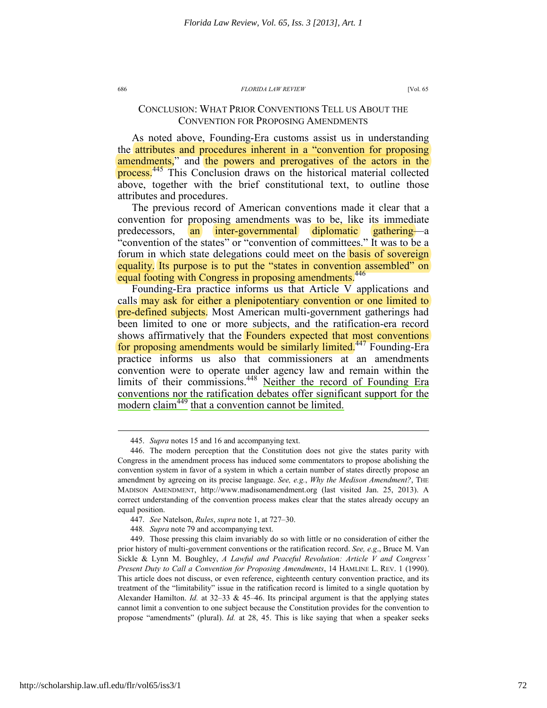## CONCLUSION: WHAT PRIOR CONVENTIONS TELL US ABOUT THE CONVENTION FOR PROPOSING AMENDMENTS

As noted above, Founding-Era customs assist us in understanding the attributes and procedures inherent in a "convention for proposing amendments," and the powers and prerogatives of the actors in the process.<sup>445</sup> This Conclusion draws on the historical material collected above, together with the brief constitutional text, to outline those attributes and procedures.

The previous record of American conventions made it clear that a convention for proposing amendments was to be, like its immediate predecessors, an inter-governmental diplomatic gathering—a "convention of the states" or "convention of committees." It was to be a forum in which state delegations could meet on the **basis of sovereign** equality. Its purpose is to put the "states in convention assembled" on equal footing with Congress in proposing amendments.<sup>446</sup>

Founding-Era practice informs us that Article V applications and calls may ask for either a plenipotentiary convention or one limited to pre-defined subjects. Most American multi-government gatherings had been limited to one or more subjects, and the ratification-era record shows affirmatively that the **Founders expected that most conventions** for proposing amendments would be similarly limited.<sup>447</sup> Founding-Era practice informs us also that commissioners at an amendments convention were to operate under agency law and remain within the limits of their commissions.<sup>448</sup> Neither the record of Founding Era conventions nor the ratification debates offer significant support for the modern claim<sup>449</sup> that a convention cannot be limited.

 <sup>445.</sup> *Supra* notes 15 and 16 and accompanying text.

 <sup>446.</sup> The modern perception that the Constitution does not give the states parity with Congress in the amendment process has induced some commentators to propose abolishing the convention system in favor of a system in which a certain number of states directly propose an amendment by agreeing on its precise language. *See, e.g., Why the Medison Amendment?*, THE MADISON AMENDMENT, http://www.madisonamendment.org (last visited Jan. 25, 2013). A correct understanding of the convention process makes clear that the states already occupy an equal position.

 <sup>447.</sup> *See* Natelson, *Rules*, *supra* note 1, at 727–30.

<sup>448</sup>*. Supra* note 79 and accompanying text.

 <sup>449.</sup> Those pressing this claim invariably do so with little or no consideration of either the prior history of multi-government conventions or the ratification record. *See, e.g*., Bruce M. Van Sickle & Lynn M. Boughley, *A Lawful and Peaceful Revolution: Article V and Congress' Present Duty to Call a Convention for Proposing Amendments*, 14 HAMLINE L. REV. 1 (1990). This article does not discuss, or even reference, eighteenth century convention practice, and its treatment of the "limitability" issue in the ratification record is limited to a single quotation by Alexander Hamilton. *Id.* at 32–33 & 45–46. Its principal argument is that the applying states cannot limit a convention to one subject because the Constitution provides for the convention to propose "amendments" (plural). *Id.* at 28, 45. This is like saying that when a speaker seeks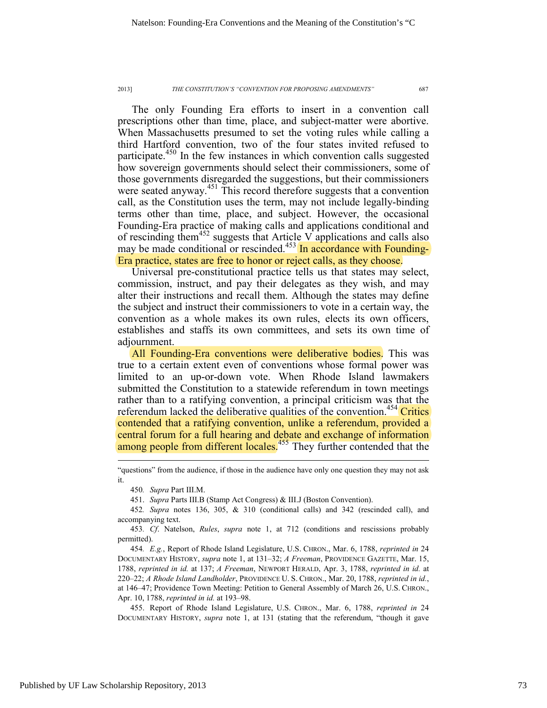The only Founding Era efforts to insert in a convention call prescriptions other than time, place, and subject-matter were abortive. When Massachusetts presumed to set the voting rules while calling a third Hartford convention, two of the four states invited refused to participate.<sup>450</sup> In the few instances in which convention calls suggested how sovereign governments should select their commissioners, some of those governments disregarded the suggestions, but their commissioners were seated anyway.<sup>451</sup> This record therefore suggests that a convention call, as the Constitution uses the term, may not include legally-binding terms other than time, place, and subject. However, the occasional Founding-Era practice of making calls and applications conditional and of rescinding them<sup>452</sup> suggests that Article V applications and calls also may be made conditional or rescinded.<sup>453</sup> In accordance with Founding-Era practice, states are free to honor or reject calls, as they choose.

Universal pre-constitutional practice tells us that states may select, commission, instruct, and pay their delegates as they wish, and may alter their instructions and recall them. Although the states may define the subject and instruct their commissioners to vote in a certain way, the convention as a whole makes its own rules, elects its own officers, establishes and staffs its own committees, and sets its own time of adjournment.

All Founding-Era conventions were deliberative bodies. This was true to a certain extent even of conventions whose formal power was limited to an up-or-down vote. When Rhode Island lawmakers submitted the Constitution to a statewide referendum in town meetings rather than to a ratifying convention, a principal criticism was that the referendum lacked the deliberative qualities of the convention.<sup>454</sup> Critics contended that a ratifying convention, unlike a referendum, provided a central forum for a full hearing and debate and exchange of information among people from different locales.<sup>455</sup> They further contended that the

451. *Supra* Parts III.B (Stamp Act Congress) & III.J (Boston Convention).

453*. Cf*. Natelson, *Rules*, *supra* note 1, at 712 (conditions and rescissions probably permitted).

454*. E.g.*, Report of Rhode Island Legislature, U.S. CHRON., Mar. 6, 1788, *reprinted in* 24 DOCUMENTARY HISTORY, *supra* note 1, at 131–32; *A Freeman*, PROVIDENCE GAZETTE, Mar. 15, 1788, *reprinted in id.* at 137; *A Freeman*, NEWPORT HERALD, Apr. 3, 1788, *reprinted in id.* at 220–22; *A Rhode Island Landholder*, PROVIDENCE U. S. CHRON., Mar. 20, 1788, *reprinted in id.*, at 146–47; Providence Town Meeting: Petition to General Assembly of March 26, U.S. CHRON., Apr. 10, 1788, *reprinted in id.* at 193–98.

 455. Report of Rhode Island Legislature, U.S. CHRON., Mar. 6, 1788, *reprinted in* 24 DOCUMENTARY HISTORY, *supra* note 1, at 131 (stating that the referendum, "though it gave

<sup>&</sup>quot;questions" from the audience, if those in the audience have only one question they may not ask it.

<sup>450</sup>*. Supra* Part III.M.

<sup>452</sup>*. Supra* notes 136, 305, & 310 (conditional calls) and 342 (rescinded call), and accompanying text.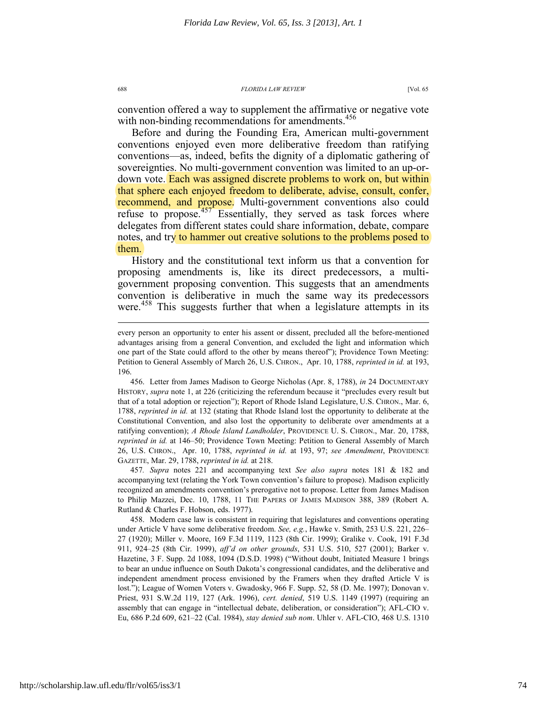convention offered a way to supplement the affirmative or negative vote with non-binding recommendations for amendments.<sup>456</sup>

Before and during the Founding Era, American multi-government conventions enjoyed even more deliberative freedom than ratifying conventions—as, indeed, befits the dignity of a diplomatic gathering of sovereignties. No multi-government convention was limited to an up-ordown vote. Each was assigned discrete problems to work on, but within that sphere each enjoyed freedom to deliberate, advise, consult, confer, recommend, and propose. Multi-government conventions also could refuse to propose. $457$  Essentially, they served as task forces where delegates from different states could share information, debate, compare notes, and try to hammer out creative solutions to the problems posed to them.

History and the constitutional text inform us that a convention for proposing amendments is, like its direct predecessors, a multigovernment proposing convention. This suggests that an amendments convention is deliberative in much the same way its predecessors were.<sup>458</sup> This suggests further that when a legislature attempts in its

 456. Letter from James Madison to George Nicholas (Apr. 8, 1788), *in* 24 DOCUMENTARY HISTORY, *supra* note 1, at 226 (criticizing the referendum because it "precludes every result but that of a total adoption or rejection"); Report of Rhode Island Legislature, U.S. CHRON., Mar. 6, 1788, *reprinted in id.* at 132 (stating that Rhode Island lost the opportunity to deliberate at the Constitutional Convention, and also lost the opportunity to deliberate over amendments at a ratifying convention); *A Rhode Island Landholder*, PROVIDENCE U. S. CHRON., Mar. 20, 1788, *reprinted in id.* at 146–50; Providence Town Meeting: Petition to General Assembly of March 26, U.S. CHRON., Apr. 10, 1788, *reprinted in id.* at 193, 97; *see Amendment*, PROVIDENCE GAZETTE, Mar. 29, 1788, *reprinted in id.* at 218.

457*. Supra* notes 221 and accompanying text *See also supra* notes 181 & 182 and accompanying text (relating the York Town convention's failure to propose). Madison explicitly recognized an amendments convention's prerogative not to propose. Letter from James Madison to Philip Mazzei, Dec. 10, 1788, 11 THE PAPERS OF JAMES MADISON 388, 389 (Robert A. Rutland & Charles F. Hobson, eds. 1977).

 458. Modern case law is consistent in requiring that legislatures and conventions operating under Article V have some deliberative freedom. *See, e.g.*, Hawke v. Smith, 253 U.S. 221, 226– 27 (1920); Miller v. Moore, 169 F.3d 1119, 1123 (8th Cir. 1999); Gralike v. Cook, 191 F.3d 911, 924–25 (8th Cir. 1999), *aff'd on other grounds*, 531 U.S. 510, 527 (2001); Barker v. Hazetine, 3 F. Supp. 2d 1088, 1094 (D.S.D. 1998) ("Without doubt, Initiated Measure 1 brings to bear an undue influence on South Dakota's congressional candidates, and the deliberative and independent amendment process envisioned by the Framers when they drafted Article V is lost."); League of Women Voters v. Gwadosky, 966 F. Supp. 52, 58 (D. Me. 1997); Donovan v. Priest, 931 S.W.2d 119, 127 (Ark. 1996), *cert. denied*, 519 U.S. 1149 (1997) (requiring an assembly that can engage in "intellectual debate, deliberation, or consideration"); AFL-CIO v. Eu, 686 P.2d 609, 621–22 (Cal. 1984), *stay denied sub nom*. Uhler v. AFL-CIO, 468 U.S. 1310

every person an opportunity to enter his assent or dissent, precluded all the before-mentioned advantages arising from a general Convention, and excluded the light and information which one part of the State could afford to the other by means thereof"); Providence Town Meeting: Petition to General Assembly of March 26, U.S. CHRON., Apr. 10, 1788, *reprinted in id.* at 193, 196.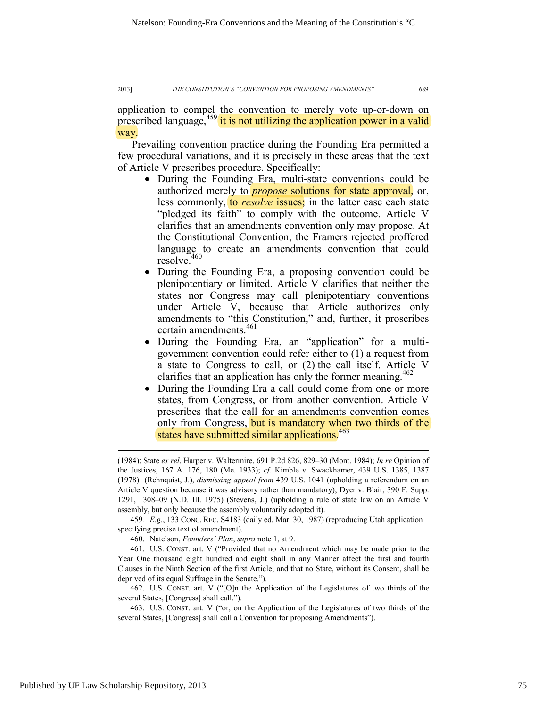application to compel the convention to merely vote up-or-down on prescribed language, $459$  it is not utilizing the application power in a valid way.

Prevailing convention practice during the Founding Era permitted a few procedural variations, and it is precisely in these areas that the text of Article V prescribes procedure. Specifically:

- During the Founding Era, multi-state conventions could be authorized merely to *propose* solutions for state approval, or, less commonly, to *resolve* issues; in the latter case each state "pledged its faith" to comply with the outcome. Article V clarifies that an amendments convention only may propose. At the Constitutional Convention, the Framers rejected proffered language to create an amendments convention that could resolve.<sup>460</sup>
- During the Founding Era, a proposing convention could be plenipotentiary or limited. Article V clarifies that neither the states nor Congress may call plenipotentiary conventions under Article V, because that Article authorizes only amendments to "this Constitution," and, further, it proscribes certain amendments.<sup>461</sup>
- During the Founding Era, an "application" for a multigovernment convention could refer either to (1) a request from a state to Congress to call, or (2) the call itself. Article V clarifies that an application has only the former meaning.<sup>462</sup>
- During the Founding Era a call could come from one or more states, from Congress, or from another convention. Article V prescribes that the call for an amendments convention comes only from Congress, but is mandatory when two thirds of the states have submitted similar applications.<sup>463</sup>

459*. E.g.*, 133 CONG. REC. S4183 (daily ed. Mar. 30, 1987) (reproducing Utah application specifying precise text of amendment).

460. Natelson, *Founders' Plan*, *supra* note 1, at 9.

 461. U.S. CONST. art. V ("Provided that no Amendment which may be made prior to the Year One thousand eight hundred and eight shall in any Manner affect the first and fourth Clauses in the Ninth Section of the first Article; and that no State, without its Consent, shall be deprived of its equal Suffrage in the Senate.").

 462. U.S. CONST. art. V ("[O]n the Application of the Legislatures of two thirds of the several States, [Congress] shall call.").

 463. U.S. CONST. art. V ("or, on the Application of the Legislatures of two thirds of the several States, [Congress] shall call a Convention for proposing Amendments").

<sup>(1984);</sup> State *ex rel*. Harper v. Waltermire, 691 P.2d 826, 829–30 (Mont. 1984); *In re* Opinion of the Justices, 167 A. 176, 180 (Me. 1933); *cf.* Kimble v. Swackhamer, 439 U.S. 1385, 1387 (1978) (Rehnquist, J.), *dismissing appeal from* 439 U.S. 1041 (upholding a referendum on an Article V question because it was advisory rather than mandatory); Dyer v. Blair, 390 F. Supp. 1291, 1308–09 (N.D. Ill. 1975) (Stevens, J.) (upholding a rule of state law on an Article V assembly, but only because the assembly voluntarily adopted it).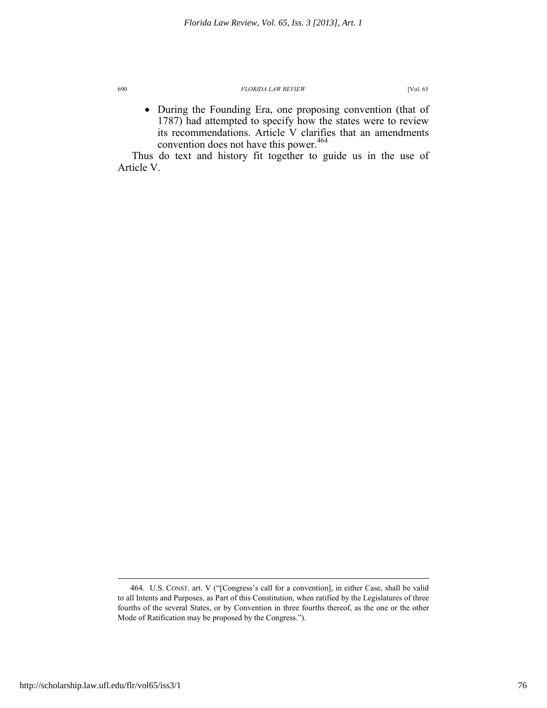• During the Founding Era, one proposing convention (that of 1787) had attempted to specify how the states were to review its recommendations. Article V clarifies that an amendments convention does not have this power.<sup>464</sup>

Thus do text and history fit together to guide us in the use of Article V.

 <sup>464.</sup> U.S. CONST. art. V ("[Congress's call for a convention], in either Case, shall be valid to all Intents and Purposes, as Part of this Constitution, when ratified by the Legislatures of three fourths of the several States, or by Convention in three fourths thereof, as the one or the other Mode of Ratification may be proposed by the Congress.").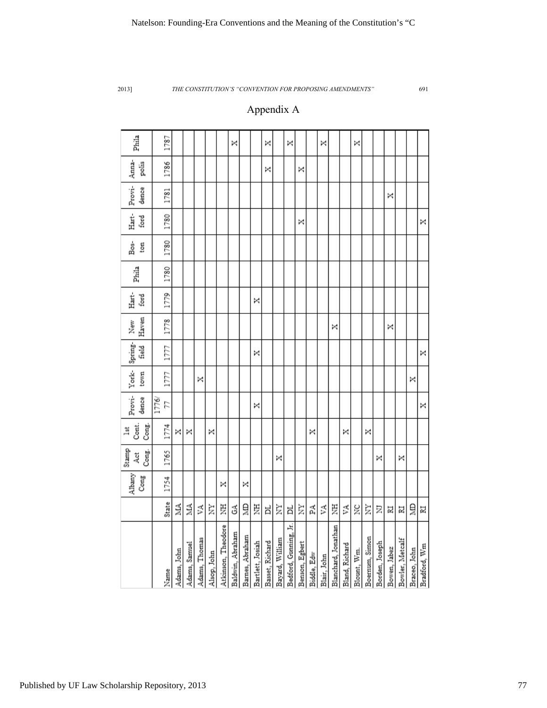# Appendix A

| Phila                           | 1787        |             |               |               |             |                    | ×                |                 |                  | ×               |                 | ×                     |                |             | ×           |                     |                | ×           |                |                |              |                 |              |              |
|---------------------------------|-------------|-------------|---------------|---------------|-------------|--------------------|------------------|-----------------|------------------|-----------------|-----------------|-----------------------|----------------|-------------|-------------|---------------------|----------------|-------------|----------------|----------------|--------------|-----------------|--------------|--------------|
| Anna-<br>polis                  | 1786        |             |               |               |             |                    |                  |                 |                  | ×               |                 |                       | ×              |             |             |                     |                |             |                |                |              |                 |              |              |
| Provi-<br>dence                 | 1781        |             |               |               |             |                    |                  |                 |                  |                 |                 |                       |                |             |             |                     |                |             |                |                | ×            |                 |              |              |
| Hart-<br>ford                   | 1780        |             |               |               |             |                    |                  |                 |                  |                 |                 |                       | ×              |             |             |                     |                |             |                |                |              |                 |              | ×            |
| Bos-<br>ton                     | 1780        |             |               |               |             |                    |                  |                 |                  |                 |                 |                       |                |             |             |                     |                |             |                |                |              |                 |              |              |
| Phila                           | 1780        |             |               |               |             |                    |                  |                 |                  |                 |                 |                       |                |             |             |                     |                |             |                |                |              |                 |              |              |
| Hart-<br>ford                   | 1779        |             |               |               |             |                    |                  |                 | ×                |                 |                 |                       |                |             |             |                     |                |             |                |                |              |                 |              |              |
| Haven<br>New                    | 1778        |             |               |               |             |                    |                  |                 |                  |                 |                 |                       |                |             |             | ×                   |                |             |                |                | ×            |                 |              |              |
| Provi- York- Spring-<br>field   | 1777        |             |               |               |             |                    |                  |                 | ×                |                 |                 |                       |                |             |             |                     |                |             |                |                |              |                 |              | ×            |
| town                            | 1777        |             |               | ×             |             |                    |                  |                 |                  |                 |                 |                       |                |             |             |                     |                |             |                |                |              |                 | ×            |              |
| dence                           | 1776/<br>77 |             |               |               |             |                    |                  |                 | ×                |                 |                 |                       |                |             |             |                     |                |             |                |                |              |                 |              | ×            |
| Cont.<br>Cong.<br>$\frac{1}{3}$ | 1774        | ×           | ×             |               | ×           |                    |                  |                 |                  |                 |                 |                       |                | ×           |             |                     | ×              |             | ×              |                |              |                 |              |              |
| Stamp<br>Cong.<br>Åct           | 1765        |             |               |               |             |                    |                  |                 |                  |                 | ×               |                       |                |             |             |                     |                |             |                | ×              |              | ×               |              |              |
| Albany<br>Cong                  | 1754        |             |               |               |             | ×                  |                  | ×               |                  |                 |                 |                       |                |             |             |                     |                |             |                |                |              |                 |              |              |
|                                 | State       | NIA.        | ΜА            | VA            | È           | 芝                  | ج                | ă               | 夏                | ㅂ               | È               | ă                     | È              | Ã           | ٧A          | 罢                   | Ã              | š           | È              | Σ              | 冨            | 冨               | Ê            | N            |
|                                 | Name        | Adams, John | Adams, Samuel | Adams, Thomas | Alsop, John | Atkinson, Theodore | Baldwin, Abraham | Barnes, Abraham | Bartlett, Josiah | Basset, Richard | Bayard, William | Bedford, Gunning, Jr. | Benson, Egbert | Biddle, Edw | Blair, John | Blanchard, Jonathan | Bland, Richard | Blount, Wm. | Boernum, Simon | Borden, Joseph | Bowen, Jabez | Bowler, Metcalf | Braceo, John | Bradford, Wm |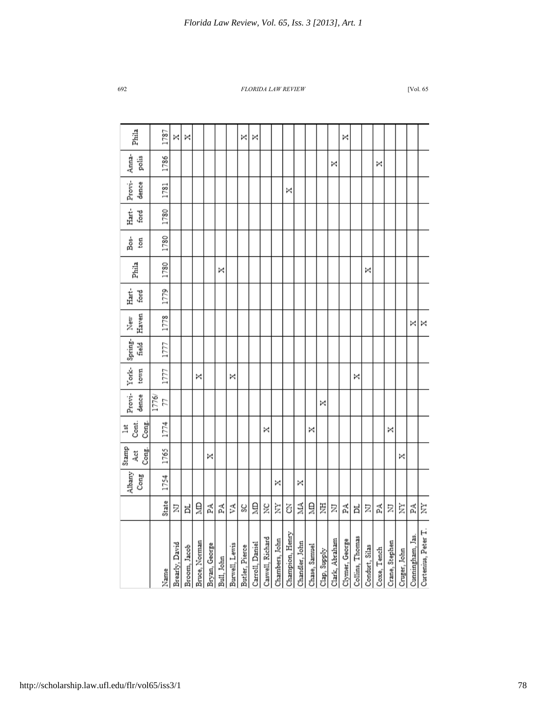| Phila                        | 1787        | ×              | ×            |               |               |            |                | ×              | ×               |                  |                |                 |                |               |              |                | ×              |                 |                |             |                |              |                  |                     |
|------------------------------|-------------|----------------|--------------|---------------|---------------|------------|----------------|----------------|-----------------|------------------|----------------|-----------------|----------------|---------------|--------------|----------------|----------------|-----------------|----------------|-------------|----------------|--------------|------------------|---------------------|
| Anna-<br>polis               | 1786        |                |              |               |               |            |                |                |                 |                  |                |                 |                |               |              | ×              |                |                 |                | ×           |                |              |                  |                     |
| Provi-<br>dence              | 1781        |                |              |               |               |            |                |                |                 |                  |                | ×               |                |               |              |                |                |                 |                |             |                |              |                  |                     |
| Hart-<br>ford                | 1780        |                |              |               |               |            |                |                |                 |                  |                |                 |                |               |              |                |                |                 |                |             |                |              |                  |                     |
| Bos-<br>ton                  | 1780        |                |              |               |               |            |                |                |                 |                  |                |                 |                |               |              |                |                |                 |                |             |                |              |                  |                     |
| Phila                        | 1780        |                |              |               |               | ×          |                |                |                 |                  |                |                 |                |               |              |                |                |                 | ×              |             |                |              |                  |                     |
| Hart-<br>ford                | 1779        |                |              |               |               |            |                |                |                 |                  |                |                 |                |               |              |                |                |                 |                |             |                |              |                  |                     |
| Haven<br>New                 | 1778        |                |              |               |               |            |                |                |                 |                  |                |                 |                |               |              |                |                |                 |                |             |                |              | ×                | ×                   |
| field                        | 1777        |                |              |               |               |            |                |                |                 |                  |                |                 |                |               |              |                |                |                 |                |             |                |              |                  |                     |
| Provi- York- Spring-<br>town | 1777        |                |              | ×             |               |            | ×              |                |                 |                  |                |                 |                |               |              |                |                | ×               |                |             |                |              |                  |                     |
| dence                        | 1776/<br>77 |                |              |               |               |            |                |                |                 |                  |                |                 |                |               | ×            |                |                |                 |                |             |                |              |                  |                     |
| Cont.<br>Cong.<br>lst        | 1774        |                |              |               |               |            |                |                |                 | ×                |                |                 |                | ×             |              |                |                |                 |                |             | ×              |              |                  |                     |
| Stamp<br>Cong.<br>Åč         | 1765        |                |              |               | ×             |            |                |                |                 |                  |                |                 |                |               |              |                |                |                 |                |             |                | ×            |                  |                     |
| Albany<br>Cong               | 1754        |                |              |               |               |            |                |                |                 |                  | ×              |                 | ×              |               |              |                |                |                 |                |             |                |              |                  |                     |
|                              | State       | Ξ              | ă            | ğ             | PA.           | Ã          | УA             | Š              | ă               | š                | È              | 3               | MA             | ă             | Ë            | Σ              | Ã              | ă               | Σ              | Ã           | Σ              | È            | Ã                | È                   |
|                              | Name        | Brearly, David | Broom, Jacob | Bruce, Norman | Bryan, George | Bull, John | Burwell, Lewis | Butler, Pierce | Carroll, Daniel | Caswell, Richard | Chambers, John | Champion, Henry | Chandler, John | Chase, Samuel | Clap, Supply | Clark, Abraham | Clymer, George | Collins, Thomas | Condurt, Silas | Coxe, Tench | Crane, Stephen | Cruger, John | Cunningham, Jas. | Curtenius, Peter T. |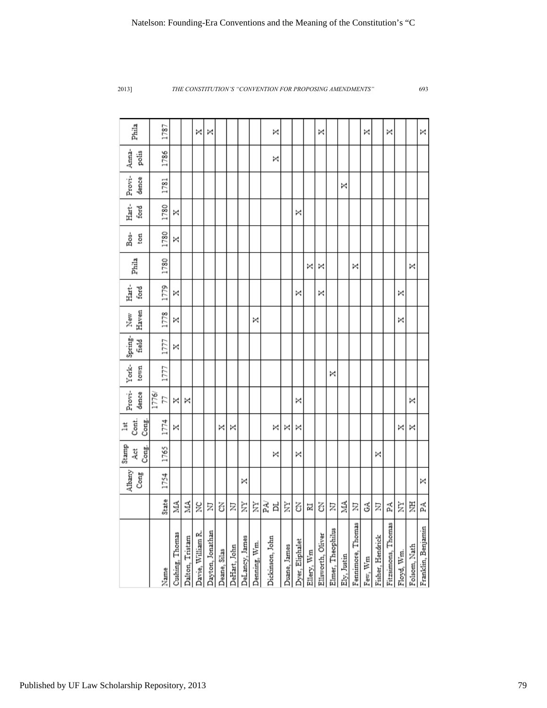|                    |        | Albany<br>Cong | Stamp<br>Cong.<br>4ct | Cont.<br>Cong.<br>lst | Provi-<br>dence | York-<br>town | Spring-<br>field | Haven<br>New | Hart-<br>ford | Phila | Bos-<br>ton | Hart-<br>ford | Provi-<br>dence | Anna-<br>polis | Phila |
|--------------------|--------|----------------|-----------------------|-----------------------|-----------------|---------------|------------------|--------------|---------------|-------|-------------|---------------|-----------------|----------------|-------|
|                    |        |                |                       |                       | 1776/           |               |                  |              |               |       |             |               |                 |                |       |
| Name               | State  | 1754           | 1765                  | 1774                  | 77              | 1777          | 1777             | 1778         | 1779          | 1780  | 1780        | 1780          | 1781            | 1786           | 1787  |
| Cushing, Thomas    | Á      |                |                       | ×                     | ×               |               | ×                | ×            | ×             |       | ×           | ×             |                 |                |       |
| Dalton, Tristam    | ЙЙ     |                |                       |                       | ×               |               |                  |              |               |       |             |               |                 |                |       |
| Davie, William R.  | ž      |                |                       |                       |                 |               |                  |              |               |       |             |               |                 |                | ×     |
| Dayton, Jonathan   | Σ      |                |                       |                       |                 |               |                  |              |               |       |             |               |                 |                | ×     |
| Deane, Silas       | 3      |                |                       | ×                     |                 |               |                  |              |               |       |             |               |                 |                |       |
| DeHart, John       | Ξ      |                |                       | ×                     |                 |               |                  |              |               |       |             |               |                 |                |       |
| DeLancy, James     | È      | ×              |                       |                       |                 |               |                  |              |               |       |             |               |                 |                |       |
| Denning, Wm.       | È      |                |                       |                       |                 |               |                  | ×            |               |       |             |               |                 |                |       |
| Dickinson, John    | Ã<br>ă |                | ×                     | ×                     |                 |               |                  |              |               |       |             |               |                 | ×              | ×     |
| Duane, James       | È      |                |                       | ×                     |                 |               |                  |              |               |       |             |               |                 |                |       |
| Dyer, Eliphalet    | Z      |                | ×                     | ×                     | ×               |               |                  |              | ×             |       |             | ×             |                 |                |       |
| Ellery, Wm         | 冨      |                |                       |                       |                 |               |                  |              |               | ×     |             |               |                 |                |       |
| Ellsworth, Oliver  | Z      |                |                       |                       |                 |               |                  |              | ×             | ×     |             |               |                 |                | ×     |
| Elmer, Theophilus  | Σ      |                |                       |                       |                 | ×             |                  |              |               |       |             |               |                 |                |       |
| Ely, Justin        | á      |                |                       |                       |                 |               |                  |              |               |       |             |               | ×               |                |       |
| Fennimore, Thomas  | Ξ      |                |                       |                       |                 |               |                  |              |               | ×     |             |               |                 |                |       |
| Few, Wm            | З      |                |                       |                       |                 |               |                  |              |               |       |             |               |                 |                | ×     |
| Fisher, Hendrick   | Ξ      |                | ×                     |                       |                 |               |                  |              |               |       |             |               |                 |                |       |
| Fitzsimons, Thomas | Ã      |                |                       |                       |                 |               |                  |              |               |       |             |               |                 |                | ×     |
| Floyd, Wm.         | È      |                |                       | ×                     |                 |               |                  | ×            | ×             |       |             |               |                 |                |       |
| Folsom, Nath       | Ë      |                |                       | ×                     | ×               |               |                  |              |               | ×     |             |               |                 |                |       |
| Franklin, Benjamin | 덫      | ×              |                       |                       |                 |               |                  |              |               |       |             |               |                 |                | ×     |
|                    |        |                |                       |                       |                 |               |                  |              |               |       |             |               |                 |                |       |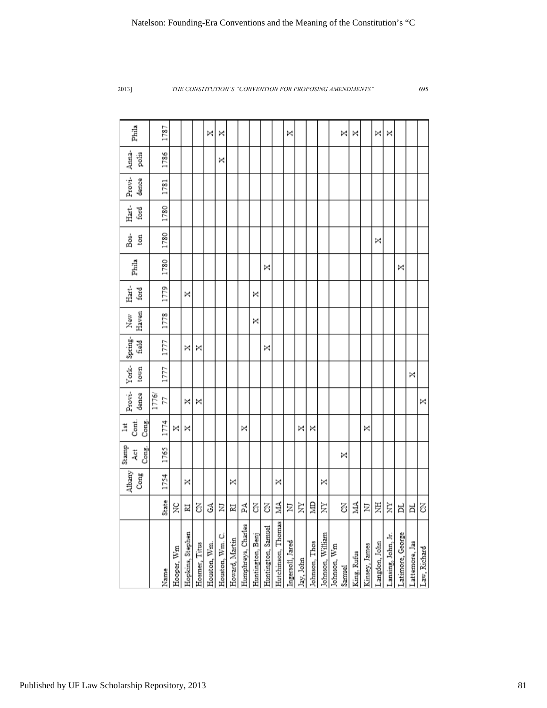| Phila                 | 1787        |            |                  |               | ×            | ×               |                |                    |                  |                    |                    | ×                |           |               |                  |             | ×      | ×           |               | ×             | ×                  |                  |                |              |
|-----------------------|-------------|------------|------------------|---------------|--------------|-----------------|----------------|--------------------|------------------|--------------------|--------------------|------------------|-----------|---------------|------------------|-------------|--------|-------------|---------------|---------------|--------------------|------------------|----------------|--------------|
| Anna-<br>polis        | 1786        |            |                  |               |              | ×               |                |                    |                  |                    |                    |                  |           |               |                  |             |        |             |               |               |                    |                  |                |              |
| Provi-<br>dence       | 1781        |            |                  |               |              |                 |                |                    |                  |                    |                    |                  |           |               |                  |             |        |             |               |               |                    |                  |                |              |
| Hart-<br>ford         | 1780        |            |                  |               |              |                 |                |                    |                  |                    |                    |                  |           |               |                  |             |        |             |               |               |                    |                  |                |              |
| Bos-<br>ton           | 1780        |            |                  |               |              |                 |                |                    |                  |                    |                    |                  |           |               |                  |             |        |             |               | ×             |                    |                  |                |              |
| Phila                 | 1780        |            |                  |               |              |                 |                |                    |                  | ×                  |                    |                  |           |               |                  |             |        |             |               |               |                    | ×                |                |              |
| Hart-<br>ford         | 1779        |            | ×                |               |              |                 |                |                    | ×                |                    |                    |                  |           |               |                  |             |        |             |               |               |                    |                  |                |              |
| Haven<br>New          | 1778        |            |                  |               |              |                 |                |                    | ×                |                    |                    |                  |           |               |                  |             |        |             |               |               |                    |                  |                |              |
| Spring-<br>field      | 1777        |            | ×                | ×             |              |                 |                |                    |                  | ×                  |                    |                  |           |               |                  |             |        |             |               |               |                    |                  |                |              |
| York-<br>town         | 1777        |            |                  |               |              |                 |                |                    |                  |                    |                    |                  |           |               |                  |             |        |             |               |               |                    |                  | ×              |              |
| Provi-<br>dence       | 1776/<br>22 |            | ×                | ×             |              |                 |                |                    |                  |                    |                    |                  |           |               |                  |             |        |             |               |               |                    |                  |                | ×            |
| Cont.<br>Cong.<br>lst | 1774        | ×          | ×                |               |              |                 |                | ×                  |                  |                    |                    |                  | ×         | ×             |                  |             |        |             | ×             |               |                    |                  |                |              |
| Stamp<br>Cong.<br>Åct | 1765        |            |                  |               |              |                 |                |                    |                  |                    |                    |                  |           |               |                  |             | ×      |             |               |               |                    |                  |                |              |
| Albany<br>Cong        | 1754        |            | ×                |               |              |                 | ×              |                    |                  |                    | ×                  |                  |           |               | ×                |             |        |             |               |               |                    |                  |                |              |
|                       | State       | ž          | N                | Z             | З            | Ξ               | N              | 덫                  | Z                | Z                  | МА                 | Σ                | È         | ğ             | È                |             | Z      | MA          | Σ             | 芝             | È                  | ă                | ă              | Z            |
|                       | Name        | Hooper, Wm | Hopkins, Stephen | Hosmer, Titus | Houston, Wm. | Houston, Wm. C. | Howard, Martin | Humphreys, Charles | Huntington, Benj | Huntington, Samuel | Hutchinson, Thomas | Ingersoll, Jared | Jay, John | Johnson, Thos | Johnson, William | Johnson, Wm | Samuel | King, Rufus | Kinsey, James | Langdon, John | Lansing, John, Jr. | Latimore, George | Lattemore, Jas | Law, Richard |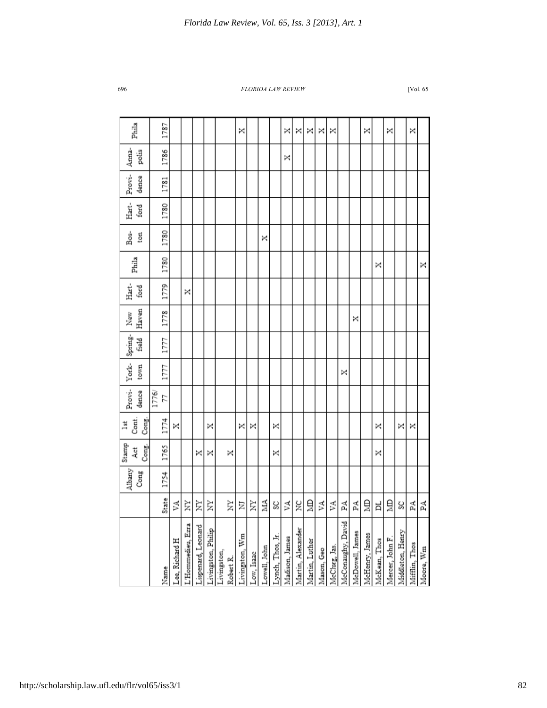| Cont.<br>Cong.<br>lst<br>Stamp<br>Cong.<br>4et<br>Albany<br>Cong |  | Provi-<br>dence | York-<br>town | Spring-<br>field | Haven<br>New | Hart-<br>ford | Phila | និ<br>ton | Hart-<br>ford | Provi-<br>dence | Anna-<br>polis | Phila |
|------------------------------------------------------------------|--|-----------------|---------------|------------------|--------------|---------------|-------|-----------|---------------|-----------------|----------------|-------|
| 1774<br>1765<br>1754                                             |  | 1776/<br>57     | 1777          | 1777             | 1778         | 1779          | 1780  | 1780      | 1780          | 1781            | 1786           | 1787  |
| ×                                                                |  |                 |               |                  |              |               |       |           |               |                 |                |       |
|                                                                  |  |                 |               |                  |              | ×             |       |           |               |                 |                |       |
| ×                                                                |  |                 |               |                  |              |               |       |           |               |                 |                |       |
| ×<br>×                                                           |  |                 |               |                  |              |               |       |           |               |                 |                |       |
| ×                                                                |  |                 |               |                  |              |               |       |           |               |                 |                |       |
| ×                                                                |  |                 |               |                  |              |               |       |           |               |                 |                | ×     |
| ×                                                                |  |                 |               |                  |              |               |       |           |               |                 |                |       |
|                                                                  |  |                 |               |                  |              |               |       | ×         |               |                 |                |       |
| ×<br>×                                                           |  |                 |               |                  |              |               |       |           |               |                 |                |       |
|                                                                  |  |                 |               |                  |              |               |       |           |               |                 | ×              | ×     |
|                                                                  |  |                 |               |                  |              |               |       |           |               |                 |                | ×     |
|                                                                  |  |                 |               |                  |              |               |       |           |               |                 |                | ×     |
|                                                                  |  |                 |               |                  |              |               |       |           |               |                 |                | ×     |
|                                                                  |  |                 |               |                  |              |               |       |           |               |                 |                | ×     |
|                                                                  |  |                 | ×             |                  |              |               |       |           |               |                 |                |       |
|                                                                  |  |                 |               |                  | ×            |               |       |           |               |                 |                |       |
|                                                                  |  |                 |               |                  |              |               |       |           |               |                 |                | ×     |
| ×<br>×                                                           |  |                 |               |                  |              |               | ×     |           |               |                 |                |       |
|                                                                  |  |                 |               |                  |              |               |       |           |               |                 |                | ×     |
| ×                                                                |  |                 |               |                  |              |               |       |           |               |                 |                |       |
| ×                                                                |  |                 |               |                  |              |               |       |           |               |                 |                | ×     |
|                                                                  |  |                 |               |                  |              |               | ×     |           |               |                 |                |       |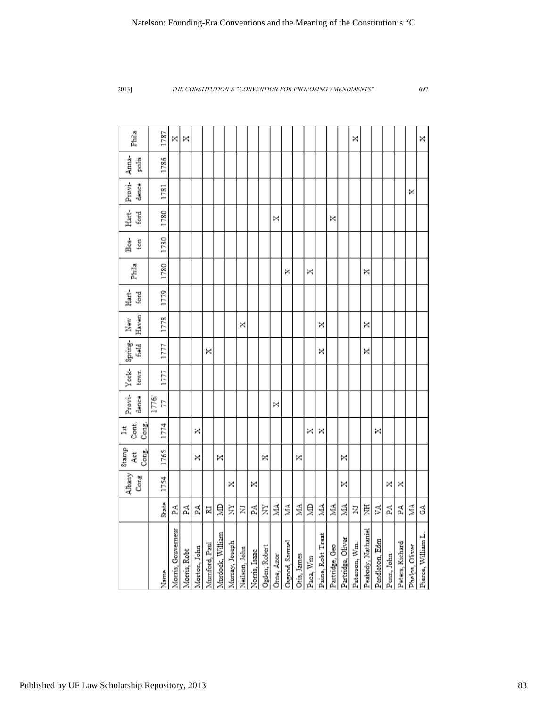|                                                   |       | Albany<br>Cong | Stamp<br>Cong.<br>Act | Cont.<br>Cong.<br>lst | Provi-<br>dence | York-<br>town | Spring-<br><b>field</b> | Haven<br>New | Hart-<br>ford | Phila | Bos-<br>ton | Hart-<br>ford | Provi-<br>dence | Anna-<br>polis | Phila |
|---------------------------------------------------|-------|----------------|-----------------------|-----------------------|-----------------|---------------|-------------------------|--------------|---------------|-------|-------------|---------------|-----------------|----------------|-------|
|                                                   |       |                |                       |                       | 1776/           |               |                         |              |               |       |             |               |                 |                |       |
| Name                                              | State | 1754           | 1765                  | 1774                  | 24              | 1777          | 1777                    | 1778         | 1779          | 1780  | 1780        | 1780          | 1781            | 1786           | 1787  |
| Morris, Gouverneur                                | 딫     |                |                       |                       |                 |               |                         |              |               |       |             |               |                 |                | ×     |
| Morris, Robt                                      | 덫     |                |                       |                       |                 |               |                         |              |               |       |             |               |                 |                | ×     |
|                                                   | 덫     |                | ×                     | ×                     |                 |               |                         |              |               |       |             |               |                 |                |       |
| Morton, John<br>Mumford, Paul<br>Murdock, William | N     |                |                       |                       |                 |               | ×                       |              |               |       |             |               |                 |                |       |
|                                                   | ã     |                | ×                     |                       |                 |               |                         |              |               |       |             |               |                 |                |       |
|                                                   | È     | ×              |                       |                       |                 |               |                         |              |               |       |             |               |                 |                |       |
| Murray, Joseph<br>Neilson, John                   | Ξ     |                |                       |                       |                 |               |                         | ×            |               |       |             |               |                 |                |       |
| Norris, Isaac                                     | Ã     | ×              |                       |                       |                 |               |                         |              |               |       |             |               |                 |                |       |
| Ogden, Robert                                     | È     |                | ×                     |                       |                 |               |                         |              |               |       |             |               |                 |                |       |
| Orne, Azor                                        | É     |                |                       |                       | ×               |               |                         |              |               |       |             | ×             |                 |                |       |
| Osgood, Samuel                                    | É     |                |                       |                       |                 |               |                         |              |               | ×     |             |               |                 |                |       |
| Otis, James                                       | Š     |                | ×                     |                       |                 |               |                         |              |               |       |             |               |                 |                |       |
| Paca, ${\rm Wm}$                                  | ğ     |                |                       | ×                     |                 |               |                         |              |               | ×     |             |               |                 |                |       |
| Paine, Robt Treat                                 | É     |                |                       | ×                     |                 |               | ×                       | ×            |               |       |             |               |                 |                |       |
| Partridge, Geo<br>Partridge, Oliver               | á     |                |                       |                       |                 |               |                         |              |               |       |             | ×             |                 |                |       |
|                                                   | ₹     | ×              | ×                     |                       |                 |               |                         |              |               |       |             |               |                 |                |       |
| Paterson, Wm.                                     | Ξ     |                |                       |                       |                 |               |                         |              |               |       |             |               |                 |                | ×     |
| Peabody, Nathaniel                                | 芝     |                |                       |                       |                 |               | ×                       | ×            |               | ×     |             |               |                 |                |       |
| Pendleton, Edm                                    | Ã     |                |                       | ×                     |                 |               |                         |              |               |       |             |               |                 |                |       |
| Penn, John                                        | 덫     | ×              |                       |                       |                 |               |                         |              |               |       |             |               |                 |                |       |
| Peters, Richard                                   | 덫     | ×              |                       |                       |                 |               |                         |              |               |       |             |               |                 |                |       |
| Phelps, Oliver                                    | ≸     |                |                       |                       |                 |               |                         |              |               |       |             |               | ×               |                |       |
| Pierce, William L.                                | З     |                |                       |                       |                 |               |                         |              |               |       |             |               |                 |                | ×     |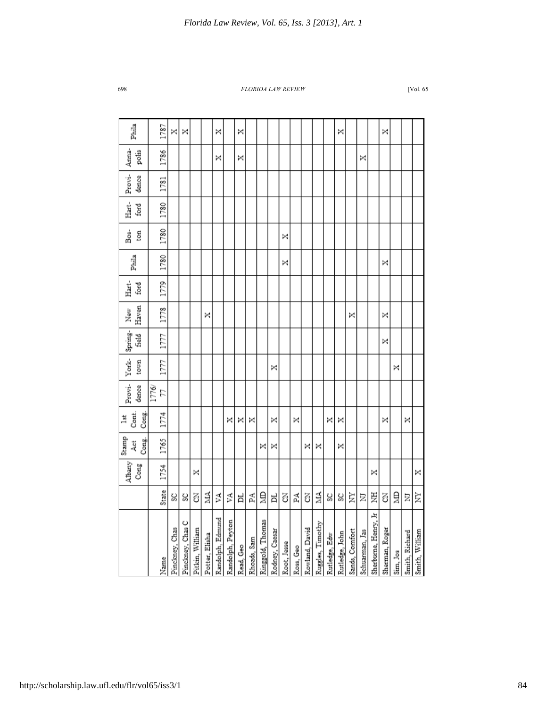| Phila                      | 1787        | ×              | ×                |                 |                | ×                |                  | ×         |             |                  |                |             |           |                |                  |               | ×              |                |                |                      | ×              |          |                |                |
|----------------------------|-------------|----------------|------------------|-----------------|----------------|------------------|------------------|-----------|-------------|------------------|----------------|-------------|-----------|----------------|------------------|---------------|----------------|----------------|----------------|----------------------|----------------|----------|----------------|----------------|
| Anna-<br>polis             | 1786        |                |                  |                 |                | ×                |                  | ×         |             |                  |                |             |           |                |                  |               |                |                | ×              |                      |                |          |                |                |
| Provi-<br>dence            | 1781        |                |                  |                 |                |                  |                  |           |             |                  |                |             |           |                |                  |               |                |                |                |                      |                |          |                |                |
| Hart-<br>ford              | 1780        |                |                  |                 |                |                  |                  |           |             |                  |                |             |           |                |                  |               |                |                |                |                      |                |          |                |                |
| Bos-<br>ton                | 1780        |                |                  |                 |                |                  |                  |           |             |                  |                | ×           |           |                |                  |               |                |                |                |                      |                |          |                |                |
| Phila                      | 1780        |                |                  |                 |                |                  |                  |           |             |                  |                | ×           |           |                |                  |               |                |                |                |                      | ×              |          |                |                |
| Hart-<br>ford              | 1779        |                |                  |                 |                |                  |                  |           |             |                  |                |             |           |                |                  |               |                |                |                |                      |                |          |                |                |
| Haven<br>New               | 1778        |                |                  |                 | ×              |                  |                  |           |             |                  |                |             |           |                |                  |               |                | ×              |                |                      | ×              |          |                |                |
| York-Spring-<br>field<br>H | 1777        |                |                  |                 |                |                  |                  |           |             |                  |                |             |           |                |                  |               |                |                |                |                      | ×              |          |                |                |
| town                       | 1777        |                |                  |                 |                |                  |                  |           |             |                  | ×              |             |           |                |                  |               |                |                |                |                      |                | ×        |                |                |
| Provi-<br>dence            | 1776/<br>57 |                |                  |                 |                |                  |                  |           |             |                  |                |             |           |                |                  |               |                |                |                |                      |                |          |                |                |
| Cont.<br>Cong.<br>lst      | 1774        |                |                  |                 |                |                  | ×                | ×         | ×           |                  | ×              |             | ×         |                |                  | ×             | ×              |                |                |                      | ×              |          | ×              |                |
| Stamp<br>Cong.<br>Act      | 1765        |                |                  |                 |                |                  |                  |           |             | ×                | ×              |             |           | ×              | ×                |               | ×              |                |                |                      |                |          |                |                |
| Albany<br>Cong             | 1754        |                |                  | ×               |                |                  |                  |           |             |                  |                |             |           |                |                  |               |                |                |                | ×                    |                |          |                | ×              |
|                            | State       | Š              | Š                | ś               | МА             | Š                | ζÂ,              | 片         | Ã           | Ê                | 片              | Ŝ           | Ã         | 3              | МА               | S)            | S)             | È              | Σ              | 罗                    | ś              | Ě        | Σ              | È              |
|                            | Name        | Pinckney, Chas | Pinckney, Chas C | Pitkin, William | Potter, Elisha | Randolph, Edmund | Randolph, Peyton | Read, Geo | Rhoads, Sam | Ringgold, Thomas | Rodney, Caesar | Root, Jesse | Ross, Geo | Rowland, David | Ruggles, Timothy | Rutledge, Edw | Rutledge, John | Sands, Comfort | Schuarman, Jas | Sherburne, Henry, Jr | Sherman, Roger | Sim, Jos | Smith, Richard | Smith, William |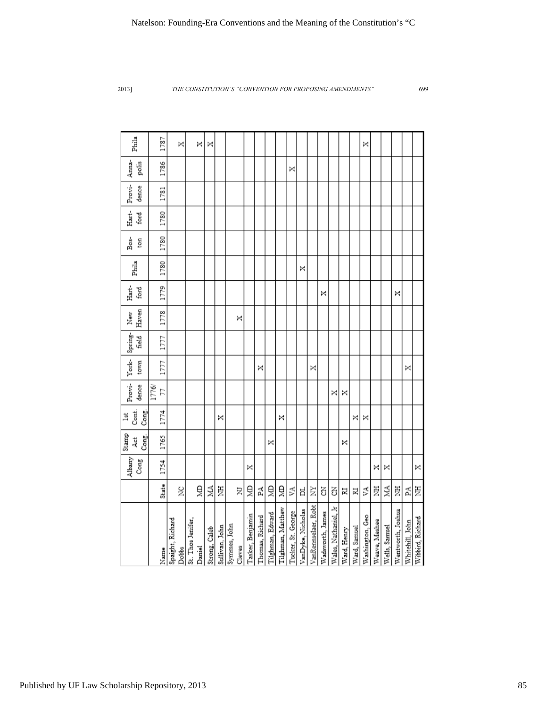| Phila                              | 1787        |                  | ×     |                   | ×      | ×             |                |              |        |                  |                 |                  |                   |                    |                   |                     |                  |                      |             |              | ×               |               |               |                   |                 |                  |
|------------------------------------|-------------|------------------|-------|-------------------|--------|---------------|----------------|--------------|--------|------------------|-----------------|------------------|-------------------|--------------------|-------------------|---------------------|------------------|----------------------|-------------|--------------|-----------------|---------------|---------------|-------------------|-----------------|------------------|
| Anna-<br>polis                     | 1786        |                  |       |                   |        |               |                |              |        |                  |                 |                  |                   | ×                  |                   |                     |                  |                      |             |              |                 |               |               |                   |                 |                  |
| Provi-<br>dence                    | 1781        |                  |       |                   |        |               |                |              |        |                  |                 |                  |                   |                    |                   |                     |                  |                      |             |              |                 |               |               |                   |                 |                  |
| Hart-<br>ford                      | 1780        |                  |       |                   |        |               |                |              |        |                  |                 |                  |                   |                    |                   |                     |                  |                      |             |              |                 |               |               |                   |                 |                  |
| Bos-<br>ton                        | 1780        |                  |       |                   |        |               |                |              |        |                  |                 |                  |                   |                    |                   |                     |                  |                      |             |              |                 |               |               |                   |                 |                  |
| Phila                              | 1780        |                  |       |                   |        |               |                |              |        |                  |                 |                  |                   |                    | ×                 |                     |                  |                      |             |              |                 |               |               |                   |                 |                  |
| Hart-<br>ford                      | 1779        |                  |       |                   |        |               |                |              |        |                  |                 |                  |                   |                    |                   |                     | ×                |                      |             |              |                 |               |               | ×                 |                 |                  |
| Haven<br>New                       | 1778        |                  |       |                   |        |               |                |              | ×      |                  |                 |                  |                   |                    |                   |                     |                  |                      |             |              |                 |               |               |                   |                 |                  |
| Provi- York- Spring-<br>field      | 1777        |                  |       |                   |        |               |                |              |        |                  |                 |                  |                   |                    |                   |                     |                  |                      |             |              |                 |               |               |                   |                 |                  |
| town                               | 1777        |                  |       |                   |        |               |                |              |        |                  | ×               |                  |                   |                    |                   | ×                   |                  |                      |             |              |                 |               |               |                   | ×               |                  |
| dence                              | 1776/<br>57 |                  |       |                   |        |               |                |              |        |                  |                 |                  |                   |                    |                   |                     |                  | ×                    | ×           |              |                 |               |               |                   |                 |                  |
| Cont.<br>Cong.<br>ă                | 1774        |                  |       |                   |        |               | ×              |              |        |                  |                 |                  | ×                 |                    |                   |                     |                  |                      |             | ×            | ×               |               |               |                   |                 |                  |
| Stamp<br>Cong.<br>Act              | 1765        |                  |       |                   |        |               |                |              |        |                  |                 | ×                |                   |                    |                   |                     |                  |                      | ×           |              |                 |               |               |                   |                 |                  |
| Albany<br>$\mathop{\mathrm{Cong}}$ | 1754        |                  |       |                   |        |               |                |              |        | ×                |                 |                  |                   |                    |                   |                     |                  |                      |             |              |                 | ×             | ×             |                   |                 | ×                |
|                                    | State       |                  | š     |                   | ă      | NIA.          | 夏              |              | Σ      | ă                | Ã               | ă                | ğ                 | VA.                | ă                 | È                   | š                | ś                    | N           | N            | ΣÂ              | 夏             | NIA.          | 夏                 | 됳               | 夏                |
|                                    | Name        | Spaight, Richard | Dobbs | St. Thos Jenifer, | Daniel | Strong, Caleb | Sullivan, John | Symmes, John | Cleves | Tasker, Benjamin | Thomas, Richard | Tilghman, Edward | Tilghman, Matthew | Tucker, St. George | VanDyke, Nicholas | VanRennselaer, Robt | Wadsworth, James | Wales, Nathaniel, Jr | Ward, Henry | Ward, Samuel | Washington, Geo | Weave, Meshee | Wells, Samuel | Wentworth, Joshua | Whitehill, John | Wibbird, Richard |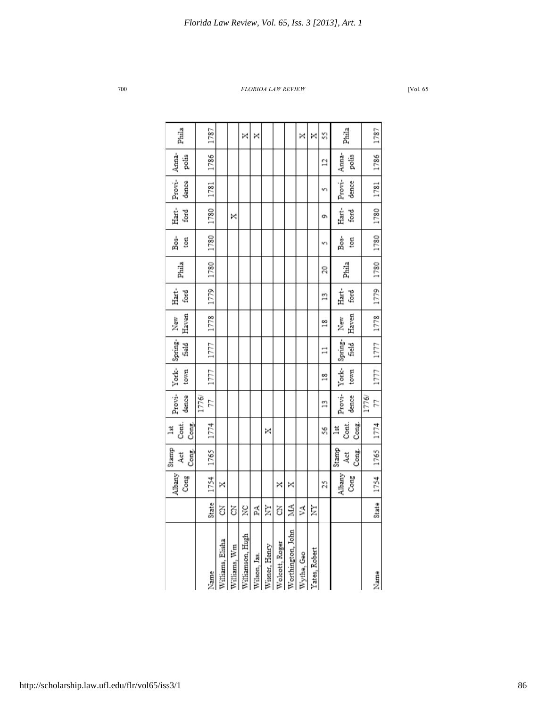|               | Phila                 | 1787        |                 |              | ×                | ×            |               |                |                   | ×          | ×             | S              | Phila                 | 1787        |
|---------------|-----------------------|-------------|-----------------|--------------|------------------|--------------|---------------|----------------|-------------------|------------|---------------|----------------|-----------------------|-------------|
|               | Anna-<br>polis        | 1786        |                 |              |                  |              |               |                |                   |            |               | 2              | Anna-<br>polis        | 1786        |
|               | Provi-<br>dence       | 1781        |                 |              |                  |              |               |                |                   |            |               | w١             | Provi-<br>dence       | 1781        |
|               | Hart-<br>ford         | 1780        |                 | ×            |                  |              |               |                |                   |            |               | o۱             | Hart-<br>ford         | 1780        |
|               | Bos-<br>ton           | 1780        |                 |              |                  |              |               |                |                   |            |               | w١             | Bos-<br>ton           | 1780        |
|               | Phila                 | 1780        |                 |              |                  |              |               |                |                   |            |               | 20             | Phila                 | 1780        |
|               | Hart-<br>ford         | 1779        |                 |              |                  |              |               |                |                   |            |               | $\frac{8}{11}$ | Hart-<br>ford         | 1779        |
|               | Haven<br>New          | 1778        |                 |              |                  |              |               |                |                   |            |               | $\frac{8}{10}$ | Haven<br>New          | 1778        |
|               | Spring-<br>field      | 1777        |                 |              |                  |              |               |                |                   |            |               | $\Box$         | Spring-<br>field      | 1777        |
|               | York-<br>town         | 1777        |                 |              |                  |              |               |                |                   |            |               | $\frac{8}{1}$  | York-<br>town         | 1777        |
|               | Provi-<br>dence       | 1776/<br>21 |                 |              |                  |              |               |                |                   |            |               | $\frac{8}{11}$ | Provi-<br>dence       | 77<br>1776/ |
| $\frac{1}{2}$ | Cont.<br>Cong.        | 1774        |                 |              |                  |              | ×             |                |                   |            |               | S6             | Cont.<br>Cong.<br>ă   | 1774        |
|               | Stamp<br>Cong.<br>Åct | 1765        |                 |              |                  |              |               |                |                   |            |               |                | Stamp<br>Cong.<br>4ct | 1765        |
|               | Albany<br>Cong        | 1754        | ×               |              |                  |              |               | ×              | ×                 |            |               | 25             | Albany<br>Cong        | 1754        |
|               |                       | State       | Z               | ś            | ž                | 덫            | È             | Z              | Á                 | ٧A         | È             |                |                       | State       |
|               |                       | Name        | Alliams, Elisha | Villiams, Wm | /illiamson, Hugh | Vilson, Jas. | Visner, Henry | Volcott, Roger | Vorthington, John | Nythe, Geo | Yates, Robert |                |                       | Name        |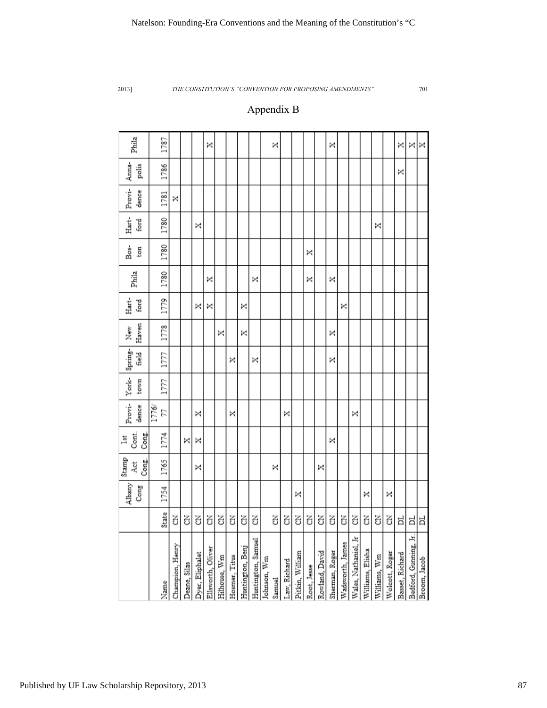# Appendix B

| Phila                 | 1787        |                 |              |                 | ×                 |              |               |                  |                    |             | ×      |              |                 |             |                | ×              |                  |                      |                  |              |                | ×               | ×                     | ×            |
|-----------------------|-------------|-----------------|--------------|-----------------|-------------------|--------------|---------------|------------------|--------------------|-------------|--------|--------------|-----------------|-------------|----------------|----------------|------------------|----------------------|------------------|--------------|----------------|-----------------|-----------------------|--------------|
| Anna-<br>polis        | 1786        |                 |              |                 |                   |              |               |                  |                    |             |        |              |                 |             |                |                |                  |                      |                  |              |                | ×               |                       |              |
| Provi-<br>dence       | 1781        | ×               |              |                 |                   |              |               |                  |                    |             |        |              |                 |             |                |                |                  |                      |                  |              |                |                 |                       |              |
| Hart-<br>ford         | 1780        |                 |              | ×               |                   |              |               |                  |                    |             |        |              |                 |             |                |                |                  |                      |                  | ×            |                |                 |                       |              |
| Bos-<br>ton           | 1780        |                 |              |                 |                   |              |               |                  |                    |             |        |              |                 | ×           |                |                |                  |                      |                  |              |                |                 |                       |              |
| Phila                 | 1780        |                 |              |                 | ×                 |              |               |                  | ×                  |             |        |              |                 | ×           |                | ×              |                  |                      |                  |              |                |                 |                       |              |
| Hart-<br>ford         | 1779        |                 |              | ×               | ×                 |              |               | ×                |                    |             |        |              |                 |             |                |                | ×                |                      |                  |              |                |                 |                       |              |
| Haven<br>New          | 1778        |                 |              |                 |                   | ×            |               | ×                |                    |             |        |              |                 |             |                | ×              |                  |                      |                  |              |                |                 |                       |              |
| Spring-<br>field      | 1777        |                 |              |                 |                   |              | ×             |                  | ×                  |             |        |              |                 |             |                | ×              |                  |                      |                  |              |                |                 |                       |              |
| York-<br>town         | 1777        |                 |              |                 |                   |              |               |                  |                    |             |        |              |                 |             |                |                |                  |                      |                  |              |                |                 |                       |              |
| Provi-<br>dence       | 1776/<br>24 |                 |              | ×               |                   |              | ×             |                  |                    |             |        | ×            |                 |             |                |                |                  | ×                    |                  |              |                |                 |                       |              |
| Cont.<br>Cong.<br>lst | 1774        |                 | ×            | ×               |                   |              |               |                  |                    |             |        |              |                 |             |                | ×              |                  |                      |                  |              |                |                 |                       |              |
| Stamp<br>Cong.<br>Åct | 1765        |                 |              | ×               |                   |              |               |                  |                    |             | ×      |              |                 |             | ×              |                |                  |                      |                  |              |                |                 |                       |              |
| Albany<br>Cong        | 1754        |                 |              |                 |                   |              |               |                  |                    |             |        |              | ×               |             |                |                |                  |                      | ×                |              | ×              |                 |                       |              |
|                       | State       | Z               | 5            | Z               | Z                 | 3            | Z             | Z                | ś                  |             | T      | T            | Z               | 3           | Z              | Z              | Z                | T                    | Z                | Z            | 3              | ᄇ               | 비                     | ă            |
|                       | Name        | Champion, Henry | Deane, Silas | Dyer, Eliphalet | Ellsworth, Oliver | Hilhouse, Wm | Hosmer, Titus | Huntington, Benj | Huntington, Samuel | Johnson, Wm | Samuel | Law, Richard | Pitkin, William | Root, Jesse | Rowland, David | Sherman, Roger | Wadsworth, James | Wales, Nathaniel, Jr | Williams, Elisha | Williams, Wm | Wolcott, Roger | Basset, Richard | Bedford, Gunning, Jr. | Broom, Jacob |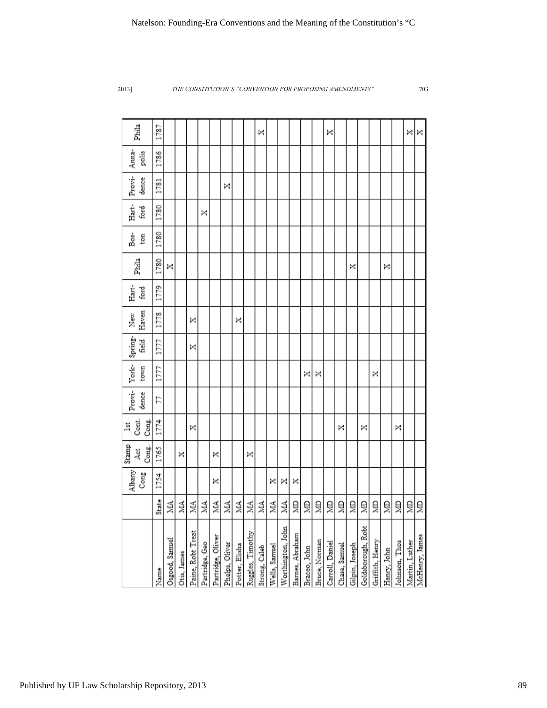| Natelson: Founding-Era Conventions and the Meaning of the Constitution's "C |  |  |
|-----------------------------------------------------------------------------|--|--|
|-----------------------------------------------------------------------------|--|--|

| Phila                           | 1787  |                |             |                   |                |                   |                |                |                  | ×             |               |                   |                 |              |               | ×               |               |                |                    |                 |             |               | ×              | ×              |
|---------------------------------|-------|----------------|-------------|-------------------|----------------|-------------------|----------------|----------------|------------------|---------------|---------------|-------------------|-----------------|--------------|---------------|-----------------|---------------|----------------|--------------------|-----------------|-------------|---------------|----------------|----------------|
| Anna-<br>polis                  | 1786  |                |             |                   |                |                   |                |                |                  |               |               |                   |                 |              |               |                 |               |                |                    |                 |             |               |                |                |
| Provi-<br>dence                 | 1781  |                |             |                   |                |                   | ×              |                |                  |               |               |                   |                 |              |               |                 |               |                |                    |                 |             |               |                |                |
| Hart-<br>ford                   | 1780  |                |             |                   | ×              |                   |                |                |                  |               |               |                   |                 |              |               |                 |               |                |                    |                 |             |               |                |                |
| Bos-<br>ton                     | 1780  |                |             |                   |                |                   |                |                |                  |               |               |                   |                 |              |               |                 |               |                |                    |                 |             |               |                |                |
| Phila                           | 1780  | ×              |             |                   |                |                   |                |                |                  |               |               |                   |                 |              |               |                 |               | ×              |                    |                 | ×           |               |                |                |
| Hart-<br>ford                   | 1779  |                |             |                   |                |                   |                |                |                  |               |               |                   |                 |              |               |                 |               |                |                    |                 |             |               |                |                |
| Haven<br>New                    | 1778  |                |             | ×                 |                |                   |                | ×              |                  |               |               |                   |                 |              |               |                 |               |                |                    |                 |             |               |                |                |
| Spring-<br>field                | 1777  |                |             | ×                 |                |                   |                |                |                  |               |               |                   |                 |              |               |                 |               |                |                    |                 |             |               |                |                |
| York-<br>town                   | 1777  |                |             |                   |                |                   |                |                |                  |               |               |                   |                 | ×            | ×             |                 |               |                |                    | ×               |             |               |                |                |
| Provi-<br>dence                 | 22    |                |             |                   |                |                   |                |                |                  |               |               |                   |                 |              |               |                 |               |                |                    |                 |             |               |                |                |
| Cont.<br>Cong.<br>$\frac{1}{3}$ | 1774  |                |             | ×                 |                |                   |                |                |                  |               |               |                   |                 |              |               |                 | ×             |                | ×                  |                 |             | ×             |                |                |
| Stamp<br>Cong.<br>Åct           | 1765  |                | ×           |                   |                | ×                 |                |                | ×                |               |               |                   |                 |              |               |                 |               |                |                    |                 |             |               |                |                |
| Albany<br>Cong                  | 1754  |                |             |                   |                | ×                 |                |                |                  |               | ×             | ×                 | ×               |              |               |                 |               |                |                    |                 |             |               |                |                |
|                                 | State | ΝИ             | MA.         | ΝИ                | ŃМ             | ΝА                | ŽЙ             | Š.             | МА               | МА            | МА            | ΝИ                | ã               | ã            | ğ             | 의               | 의             | 의              | ğ                  | ₫               | 회           | 의             | ğ              | ã              |
|                                 | Name  | Osgood, Samuel | Otis, James | Paine, Robt Treat | Partridge, Geo | Partridge, Oliver | Phelps, Oliver | Potter, Elisha | Ruggles, Timothy | Strong, Caleb | Wells, Samuel | Worthington, John | Barnes, Abraham | Braceo, John | Bruce, Norman | Carroll, Daniel | Chase, Samuel | Gilpin, Joseph | Goldsborough, Robt | Griffith, Henry | Henry, John | Johnson, Thos | Martin, Luther | McHenry, James |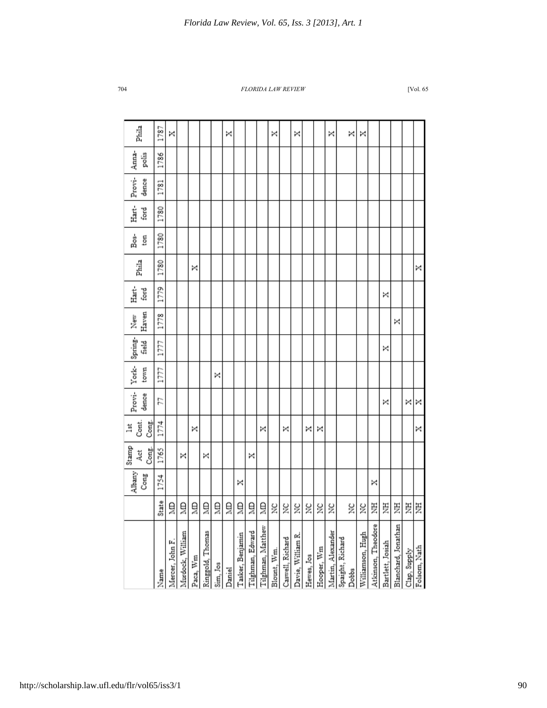|                     |       | Albany<br>Cong | Stamp<br>Cong.<br>4ct | Cont.<br>Cong.<br>lst | Provi-<br>dence | York-<br>town | Spring-<br>field | Haven<br>New | Hart-<br>ford | Phila | Bos-<br>ton | Hart-<br>ford | Provi-<br>dence | Anna-<br>polis | Phila |
|---------------------|-------|----------------|-----------------------|-----------------------|-----------------|---------------|------------------|--------------|---------------|-------|-------------|---------------|-----------------|----------------|-------|
|                     | State | 1754           | 1765                  | 1774                  | 17              | 1777          | 1777             | 1778         | 1779          | 1780  | 1780        | 1780          | 1781            | 1786           | 1787  |
| Mercer, John F.     | ă     |                |                       |                       |                 |               |                  |              |               |       |             |               |                 |                | ×     |
| Murdock, William    | 의     |                | ×                     |                       |                 |               |                  |              |               |       |             |               |                 |                |       |
| Paca, Wm            | ğ     |                |                       | ×                     |                 |               |                  |              |               | ×     |             |               |                 |                |       |
| Ringgold, Thomas    | ă     |                | ×                     |                       |                 |               |                  |              |               |       |             |               |                 |                |       |
| Sim, Jos            | ğ     |                |                       |                       |                 | ×             |                  |              |               |       |             |               |                 |                |       |
|                     | ğ     |                |                       |                       |                 |               |                  |              |               |       |             |               |                 |                | ×     |
| Tasker, Benjamin    | ă     | ×              |                       |                       |                 |               |                  |              |               |       |             |               |                 |                |       |
| Tilghman, Edward    | ğ     |                | ×                     |                       |                 |               |                  |              |               |       |             |               |                 |                |       |
| Tilghman, Matthew   | ă     |                |                       | ×                     |                 |               |                  |              |               |       |             |               |                 |                |       |
| Blount, Wm.         | ž     |                |                       |                       |                 |               |                  |              |               |       |             |               |                 |                | ×     |
| Caswell, Richard    | XC    |                |                       | ×                     |                 |               |                  |              |               |       |             |               |                 |                |       |
| Davie, William R.   | g     |                |                       |                       |                 |               |                  |              |               |       |             |               |                 |                | ×     |
| Hewes, Jos          | ž     |                |                       | ×                     |                 |               |                  |              |               |       |             |               |                 |                |       |
| Hooper, Wm          | ž     |                |                       | ×                     |                 |               |                  |              |               |       |             |               |                 |                |       |
| Martin, Alexander   | ž     |                |                       |                       |                 |               |                  |              |               |       |             |               |                 |                | ×     |
| Spaight, Richard    |       |                |                       |                       |                 |               |                  |              |               |       |             |               |                 |                |       |
|                     | š     |                |                       |                       |                 |               |                  |              |               |       |             |               |                 |                | ×     |
| Williamson, Hugh    | ă     |                |                       |                       |                 |               |                  |              |               |       |             |               |                 |                | ×     |
| Atkinson, Theodore  | Ë     | ×              |                       |                       |                 |               |                  |              |               |       |             |               |                 |                |       |
| Bartlett, Josiah    | 乤     |                |                       |                       | ×               |               | ×                |              | ×             |       |             |               |                 |                |       |
| Blanchard, Jonathan | Ë     |                |                       |                       |                 |               |                  | ×            |               |       |             |               |                 |                |       |
| Clap, Supply        | Ë     |                |                       |                       | ×               |               |                  |              |               |       |             |               |                 |                |       |
| Folsom, Nath        | 罢     |                |                       | ×                     | ×               |               |                  |              |               | ×     |             |               |                 |                |       |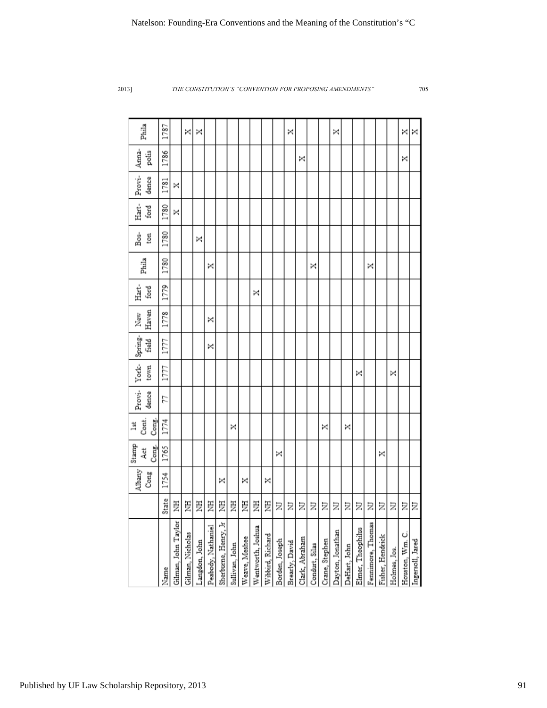| Phila                   | 1787          |                     | ×                | ×             |                    |                      |                |               |                   |                  |                | ×              |                |                |                | ×                |              |                   |                   |                  |              | ×               | ×                |
|-------------------------|---------------|---------------------|------------------|---------------|--------------------|----------------------|----------------|---------------|-------------------|------------------|----------------|----------------|----------------|----------------|----------------|------------------|--------------|-------------------|-------------------|------------------|--------------|-----------------|------------------|
| Anna-<br>polis          | 1786          |                     |                  |               |                    |                      |                |               |                   |                  |                |                | ×              |                |                |                  |              |                   |                   |                  |              | ×               |                  |
| Provi-<br>dence         | 1781          | ×                   |                  |               |                    |                      |                |               |                   |                  |                |                |                |                |                |                  |              |                   |                   |                  |              |                 |                  |
| Hart-<br>ford           | 1780          | ×                   |                  |               |                    |                      |                |               |                   |                  |                |                |                |                |                |                  |              |                   |                   |                  |              |                 |                  |
| å<br>B∞<br>ton          | 1780          |                     |                  | ×             |                    |                      |                |               |                   |                  |                |                |                |                |                |                  |              |                   |                   |                  |              |                 |                  |
| Phila                   | 1780          |                     |                  |               | ×                  |                      |                |               |                   |                  |                |                |                | ×              |                |                  |              |                   | ×                 |                  |              |                 |                  |
| Hart-<br>ford           | 1779          |                     |                  |               |                    |                      |                |               | ×                 |                  |                |                |                |                |                |                  |              |                   |                   |                  |              |                 |                  |
| Haven<br>New            | 1778          |                     |                  |               | ×                  |                      |                |               |                   |                  |                |                |                |                |                |                  |              |                   |                   |                  |              |                 |                  |
| Spring-<br><b>Field</b> | 1777          |                     |                  |               | ×                  |                      |                |               |                   |                  |                |                |                |                |                |                  |              |                   |                   |                  |              |                 |                  |
| York-<br>town           | 1777          |                     |                  |               |                    |                      |                |               |                   |                  |                |                |                |                |                |                  |              | ×                 |                   |                  | ×            |                 |                  |
| Provi-<br>dence         | 21            |                     |                  |               |                    |                      |                |               |                   |                  |                |                |                |                |                |                  |              |                   |                   |                  |              |                 |                  |
| Cont.<br>lst            | 1774<br>Cong. |                     |                  |               |                    |                      | ×              |               |                   |                  |                |                |                |                | ×              |                  | ×            |                   |                   |                  |              |                 |                  |
| Stamp<br>Åct            | Cong.<br>1765 |                     |                  |               |                    |                      |                |               |                   |                  | ×              |                |                |                |                |                  |              |                   |                   | ×                |              |                 |                  |
| Albany<br>Cong          | 1754          |                     |                  |               |                    | ×                    |                | ×             |                   | ×                |                |                |                |                |                |                  |              |                   |                   |                  |              |                 |                  |
|                         | State         | 툳                   | 芝                | Ę             | Ë                  | 芝                    | Ę              | 罢             | 芝                 | Ë                | Σ              | Σ              | Σ              | Σ              | Σ              | Σ                | Σ            | Σ                 | Ξ                 | Σ                | Ξ            | Ξ               | l                |
|                         | Name          | Gilman, John Taylor | Gilman, Nicholas | Langdon, John | Peabody, Nathaniel | Sherburne, Henry, Jr | Sullivan, John | Weave, Meshee | Wentworth, Joshua | Wibbird, Richard | Borden, Joseph | Brearly, David | Clark, Abraham | Condurt, Silas | Crane, Stephen | Dayton, Jonathan | DeHart, John | Elmer, Theophilus | Fennimore, Thomas | Fisher, Hendrick | Holmes, Jos. | Houston, Wm. C. | Ingersoll, Jared |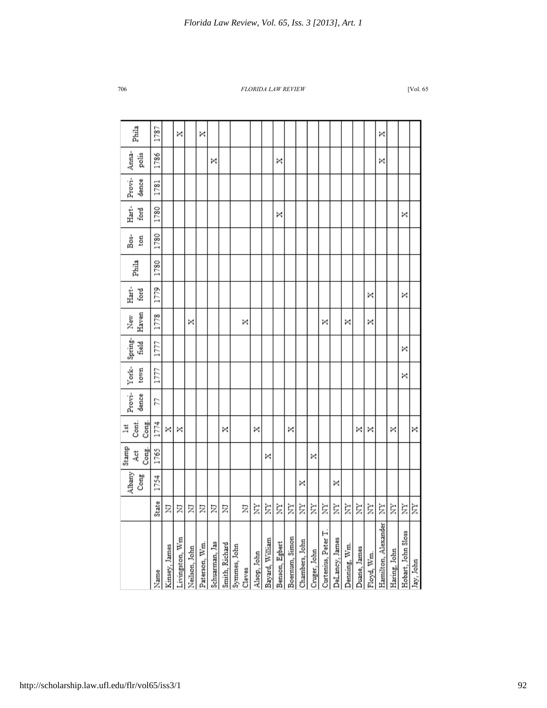|                                                                              |       | Albany | Stamp        | Cont.<br>ă | Provi- | York- | Spring- | New   | Hart- | Phila | Bœ.  | Hart- | Provi- | Anna- | Phila |
|------------------------------------------------------------------------------|-------|--------|--------------|------------|--------|-------|---------|-------|-------|-------|------|-------|--------|-------|-------|
|                                                                              |       | Cong   | Cong.<br>Act | Cong.      | dence  | town  | field   | Haven | ford  |       | ton  | ford  | dence  | polis |       |
| Name                                                                         | State | 1754   | 1765         | 1774       | 57     | 1777  | 1777    | 1778  | 1779  | 1780  | 1780 | 1780  | 1781   | 1786  | 1787  |
| Kinsey, James                                                                | Ξ     |        |              | ×          |        |       |         |       |       |       |      |       |        |       |       |
| Livingston, Wm                                                               | Σ     |        |              | ×          |        |       |         |       |       |       |      |       |        |       | ×     |
| Neilson, John                                                                | Σ     |        |              |            |        |       |         | ×     |       |       |      |       |        |       |       |
|                                                                              | Ξ     |        |              |            |        |       |         |       |       |       |      |       |        |       | ×     |
| Paterson, Wm.<br>Schuarman, Jas<br>Smith, Richard                            | Ξ     |        |              |            |        |       |         |       |       |       |      |       |        | ×     |       |
|                                                                              | Σ     |        |              | ×          |        |       |         |       |       |       |      |       |        |       |       |
| Symmes, John                                                                 |       |        |              |            |        |       |         |       |       |       |      |       |        |       |       |
|                                                                              | Ξ     |        |              |            |        |       |         | ×     |       |       |      |       |        |       |       |
|                                                                              | È     |        |              | ×          |        |       |         |       |       |       |      |       |        |       |       |
|                                                                              | È     |        | ×            |            |        |       |         |       |       |       |      |       |        |       |       |
| Cleves<br>Alsop, John<br>Bayard, William<br>Benson, Egbert<br>Boernum, Simon | È     |        |              |            |        |       |         |       |       |       |      | ×     |        | ×     |       |
|                                                                              | È     |        |              | ×          |        |       |         |       |       |       |      |       |        |       |       |
| Chambers, John                                                               | È     | ×      |              |            |        |       |         |       |       |       |      |       |        |       |       |
|                                                                              | È     |        | ×            |            |        |       |         |       |       |       |      |       |        |       |       |
|                                                                              | È     |        |              |            |        |       |         | ×     |       |       |      |       |        |       |       |
| Cruger, John<br>Ourtenius, Peter T.<br>DeLancy, James                        | È     | ×      |              |            |        |       |         |       |       |       |      |       |        |       |       |
| Denning, Wm.                                                                 | È     |        |              |            |        |       |         | ×     |       |       |      |       |        |       |       |
| Duane, James                                                                 | È     |        |              | ×          |        |       |         |       |       |       |      |       |        |       |       |
| Floyd, Wm.                                                                   | È     |        |              | ×          |        |       |         | ×     | ×     |       |      |       |        |       |       |
| Hamilton, Alexander                                                          | È     |        |              |            |        |       |         |       |       |       |      |       |        | ×     | ×     |
| Haring, John                                                                 | È     |        |              | ×          |        |       |         |       |       |       |      |       |        |       |       |
| Hobart, John Sloss                                                           | È     |        |              |            |        | ×     | ×       |       | ×     |       |      | ×     |        |       |       |
| Jay, John                                                                    | È     |        |              | ×          |        |       |         |       |       |       |      |       |        |       |       |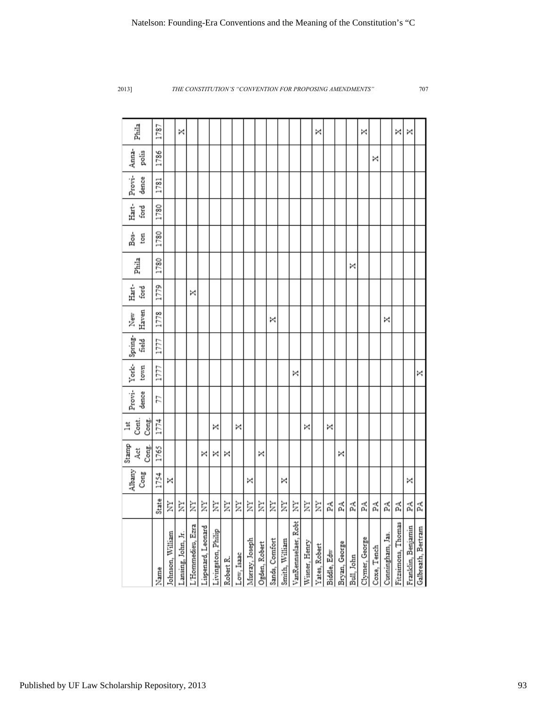| Phila                 | 1787    |                  | ×                  |                   |                    |                    |           |            |                |               |                |                |                     |               | ×             |             |               |            | ×              |             |                  | ×                  | ×                  |                    |
|-----------------------|---------|------------------|--------------------|-------------------|--------------------|--------------------|-----------|------------|----------------|---------------|----------------|----------------|---------------------|---------------|---------------|-------------|---------------|------------|----------------|-------------|------------------|--------------------|--------------------|--------------------|
| Anna-<br>polis        | 1786    |                  |                    |                   |                    |                    |           |            |                |               |                |                |                     |               |               |             |               |            |                | ×           |                  |                    |                    |                    |
| Provi-<br>dence       | 1781    |                  |                    |                   |                    |                    |           |            |                |               |                |                |                     |               |               |             |               |            |                |             |                  |                    |                    |                    |
| Hart-<br>ford         | 1780    |                  |                    |                   |                    |                    |           |            |                |               |                |                |                     |               |               |             |               |            |                |             |                  |                    |                    |                    |
| នី<br>ton             | 1780    |                  |                    |                   |                    |                    |           |            |                |               |                |                |                     |               |               |             |               |            |                |             |                  |                    |                    |                    |
| Phila                 | 1780    |                  |                    |                   |                    |                    |           |            |                |               |                |                |                     |               |               |             |               | ×          |                |             |                  |                    |                    |                    |
| Hart-<br>ford         | 1779    |                  |                    | ×                 |                    |                    |           |            |                |               |                |                |                     |               |               |             |               |            |                |             |                  |                    |                    |                    |
| Haven<br>New          | 1778    |                  |                    |                   |                    |                    |           |            |                |               | ×              |                |                     |               |               |             |               |            |                |             | ×                |                    |                    |                    |
| Spring-<br>field      | 1777    |                  |                    |                   |                    |                    |           |            |                |               |                |                |                     |               |               |             |               |            |                |             |                  |                    |                    |                    |
| York-<br>town         | 1777    |                  |                    |                   |                    |                    |           |            |                |               |                |                | ×                   |               |               |             |               |            |                |             |                  |                    |                    | ×                  |
| Provi-<br>dence       | 77      |                  |                    |                   |                    |                    |           |            |                |               |                |                |                     |               |               |             |               |            |                |             |                  |                    |                    |                    |
| Cont.<br>Cong.<br>ă   | 1774    |                  |                    |                   |                    | ×                  |           | ×          |                |               |                |                |                     | ×             |               | ×           |               |            |                |             |                  |                    |                    |                    |
| Stamp<br>Cong.<br>Act | 1765    |                  |                    |                   | ×                  | ×                  | ×         |            |                | ×             |                |                |                     |               |               |             | ×             |            |                |             |                  |                    |                    |                    |
| Albany<br>Cong        | 1754    | ×                |                    |                   |                    |                    |           |            | ×              |               |                | ×              |                     |               |               |             |               |            |                |             |                  |                    | ×                  |                    |
|                       | te<br>ö | È                | Ż                  | ž                 | Ż,                 | È                  | È         | È          | È              | È             | Ż              | ă              | È                   | E)            | È             | Ŀ,          | 4             | ď,         | ď,             | E,          | Ā,               | Ā,                 | 뙤                  | Ã                  |
|                       | Name    | Johnson, William | Lansing, John, Jr. | L'Hommedieu, Ezra | Lispenard, Leonard | Livingston, Philip | Robert R. | Low, Isaac | Murray, Joseph | Ogden, Robert | Sands, Comfort | Smith, William | VanRennselaer, Robt | Wisner, Henry | Yates, Robert | Biddle, Edw | Bryan, George | Bull, John | Clymer, George | Coxe, Tench | Cunningham, Jas. | Fitzsimons, Thomas | Franklin, Benjamin | Galbreath, Bertram |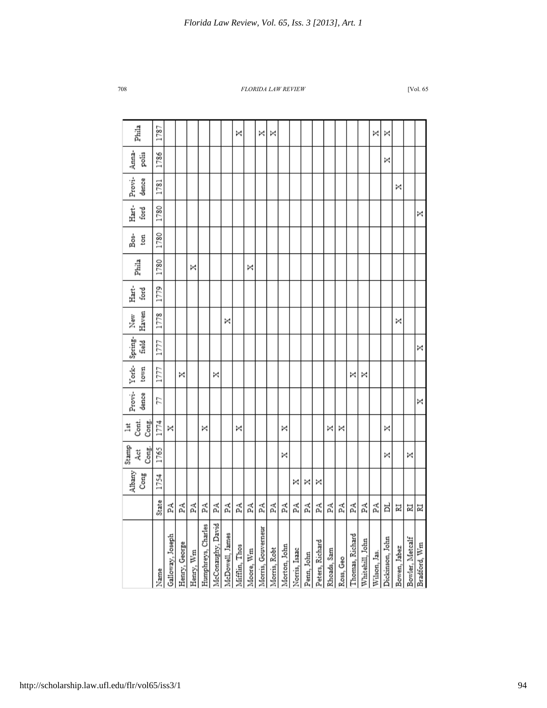|       |    | Albany | Stamp<br>Åct | Cont.<br>lst | Provi- | York- | Spring- | New   | Hart- | Phila | Bos- | Hart- | Provi- | Anna- | Phila |
|-------|----|--------|--------------|--------------|--------|-------|---------|-------|-------|-------|------|-------|--------|-------|-------|
|       |    | Cong   | Cong.        | Cong.        | dence  | town  | field   | Haven | ford  |       | ton  | ford  | dence  | polis |       |
| State |    | 1754   | 1765         | 1774         | 77     | 1777  | 1777    | 1778  | 1779  | 1780  | 1780 | 1780  | 1781   | 1786  | 1787  |
| Ã     |    |        |              | ×            |        |       |         |       |       |       |      |       |        |       |       |
|       | Ã  |        |              |              |        | ×     |         |       |       |       |      |       |        |       |       |
|       | Ã  |        |              |              |        |       |         |       |       | ×     |      |       |        |       |       |
|       | Ã  |        |              | ×            |        |       |         |       |       |       |      |       |        |       |       |
|       | Ã  |        |              |              |        | ×     |         |       |       |       |      |       |        |       |       |
|       | Ã  |        |              |              |        |       |         | ×     |       |       |      |       |        |       |       |
|       | Ã  |        |              | ×            |        |       |         |       |       |       |      |       |        |       | ×     |
|       | Ã  |        |              |              |        |       |         |       |       | ×     |      |       |        |       |       |
|       | Ã  |        |              |              |        |       |         |       |       |       |      |       |        |       | ×     |
|       | 덫  |        |              |              |        |       |         |       |       |       |      |       |        |       | ×     |
|       | РA |        | ×            | ×            |        |       |         |       |       |       |      |       |        |       |       |
|       | Ã  | ×      |              |              |        |       |         |       |       |       |      |       |        |       |       |
|       | 덫  | ×      |              |              |        |       |         |       |       |       |      |       |        |       |       |
|       | Ã  | ×      |              |              |        |       |         |       |       |       |      |       |        |       |       |
|       | Ã  |        |              | ×            |        |       |         |       |       |       |      |       |        |       |       |
|       | Ã  |        |              | ×            |        |       |         |       |       |       |      |       |        |       |       |
|       | Ã  |        |              |              |        | ×     |         |       |       |       |      |       |        |       |       |
|       | Ã  |        |              |              |        | ×     |         |       |       |       |      |       |        |       |       |
|       | Ã  |        |              |              |        |       |         |       |       |       |      |       |        |       | ×     |
|       | ă  |        | ×            | ×            |        |       |         |       |       |       |      |       |        | ×     | ×     |
|       | N  |        |              |              |        |       |         | ×     |       |       |      |       | ×      |       |       |
|       | N  |        | ×            |              |        |       |         |       |       |       |      |       |        |       |       |
|       | 료  |        |              |              | ×      |       | ×       |       |       |       |      | ×     |        |       |       |
|       |    |        |              |              |        |       |         |       |       |       |      |       |        |       |       |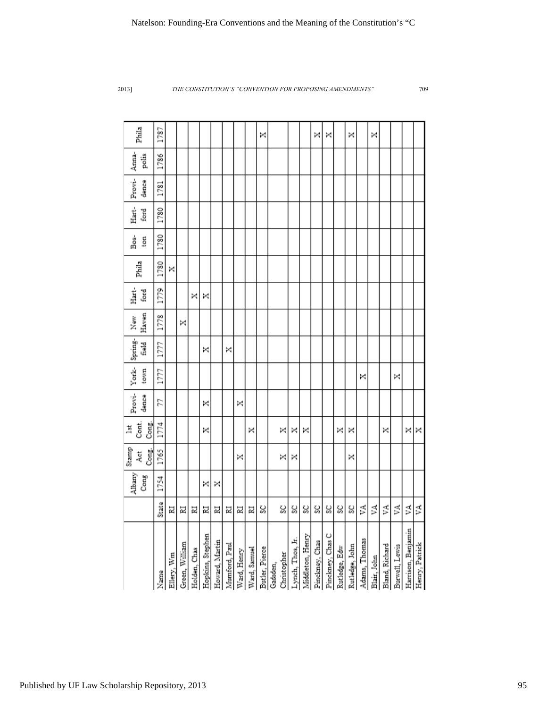|                            |            | Albany<br>Cong | Stamp<br>Cong.<br>Åct | Cont.<br>Cong.<br>lst | Provi-<br>dence | York-Spring-<br>town | <b>Field</b> | Haven<br>New | Hart-<br>ford | Phila | Bos-<br>ton | Hart-<br>ford | Provi-<br>dence | Anna-<br>polis | Phila |
|----------------------------|------------|----------------|-----------------------|-----------------------|-----------------|----------------------|--------------|--------------|---------------|-------|-------------|---------------|-----------------|----------------|-------|
| Name                       | State      | 1754           | 1765                  | 1774                  | 57              | 1777                 | 1777         | 1778         | 1779          | 1780  | 1780        | 1780          | 1781            | 1786           | 1787  |
| Ellery, Wm                 | 비          |                |                       |                       |                 |                      |              |              |               | ×     |             |               |                 |                |       |
| Green, William             | 리          |                |                       |                       |                 |                      |              | ×            |               |       |             |               |                 |                |       |
| Holden, Chas               | 비          |                |                       |                       |                 |                      |              |              | ×             |       |             |               |                 |                |       |
| Hopkins, Stephen           | 비          | ×              |                       | ×                     | ×               |                      | ×            |              | ×             |       |             |               |                 |                |       |
| Howard, Martin             | 뵈          | ×              |                       |                       |                 |                      |              |              |               |       |             |               |                 |                |       |
| Mumford, Paul              | 뵈          |                |                       |                       |                 |                      | ×            |              |               |       |             |               |                 |                |       |
| Ward, Henry                | 뵈          |                | ×                     |                       | ×               |                      |              |              |               |       |             |               |                 |                |       |
| Ward, Samuel               | 뵈          |                |                       | ×                     |                 |                      |              |              |               |       |             |               |                 |                |       |
|                            | SC         |                |                       |                       |                 |                      |              |              |               |       |             |               |                 |                | ×     |
| Butler, Pierce<br>Gadsden, |            |                |                       |                       |                 |                      |              |              |               |       |             |               |                 |                |       |
| Christopher                | ಜ          |                | ×                     | ×                     |                 |                      |              |              |               |       |             |               |                 |                |       |
| Lynch, Thos, Ir.           | ပ္တ        |                | ×                     | ×                     |                 |                      |              |              |               |       |             |               |                 |                |       |
| Middleton, Henry           | ಜ್ಞ        |                |                       | ×                     |                 |                      |              |              |               |       |             |               |                 |                |       |
| Pinckney, Chas             | ပ္တ        |                |                       |                       |                 |                      |              |              |               |       |             |               |                 |                | ×     |
| Pinckney, Chas C           | ಀೢ         |                |                       |                       |                 |                      |              |              |               |       |             |               |                 |                | ×     |
| Rutledge, Edw              | ပ္တု       |                |                       | ×                     |                 |                      |              |              |               |       |             |               |                 |                |       |
| Rutledge, John             | ಜ್ಞ        |                | ×                     | ×                     |                 |                      |              |              |               |       |             |               |                 |                | ×     |
| Adams, Thomas              | ζÎ.        |                |                       |                       |                 | ×                    |              |              |               |       |             |               |                 |                |       |
| Blair, John                | $\leq$     |                |                       |                       |                 |                      |              |              |               |       |             |               |                 |                | ×     |
| Bland, Richard             | ₫          |                |                       | ×                     |                 |                      |              |              |               |       |             |               |                 |                |       |
| Burwell, Lewis             | $\lesssim$ |                |                       |                       |                 | ×                    |              |              |               |       |             |               |                 |                |       |
| Harrison, Benjamin         | $\leq$     |                |                       | ×                     |                 |                      |              |              |               |       |             |               |                 |                |       |
| Henry, Patrick             | ΥĀ,        |                |                       | ×                     |                 |                      |              |              |               |       |             |               |                 |                |       |